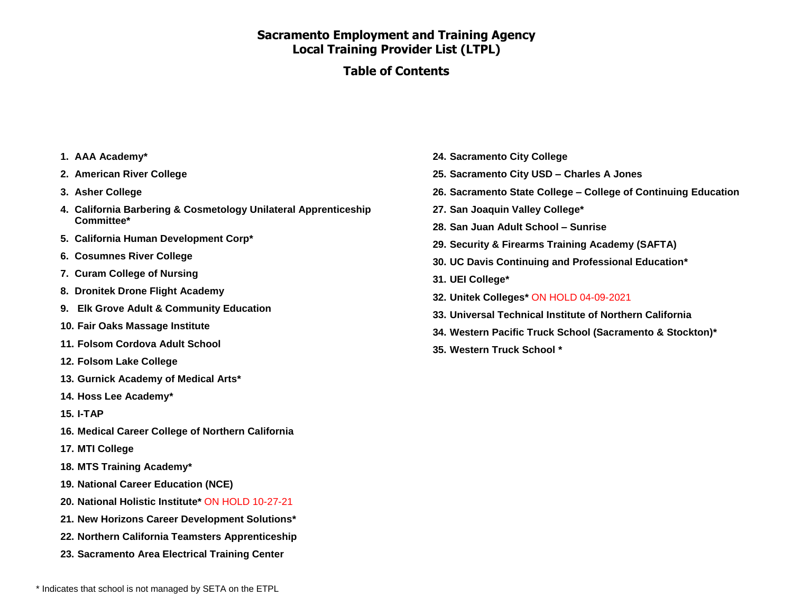#### **Table of Contents**

- **1. AAA Academy\***
- **2. American River College**
- **3. Asher College**
- **4. California Barbering & Cosmetology Unilateral Apprenticeship Committee\***
- **5. California Human Development Corp\***
- **6. Cosumnes River College**
- **7. Curam College of Nursing**
- **8. Dronitek Drone Flight Academy**
- **9. Elk Grove Adult & Community Education**
- **10. Fair Oaks Massage Institute**
- **11. Folsom Cordova Adult School**
- **12. Folsom Lake College**
- **13. Gurnick Academy of Medical Arts\***
- **14. Hoss Lee Academy\***
- **15. I-TAP**
- **16. Medical Career College of Northern California**
- **17. MTI College**
- **18. MTS Training Academy\***
- **19. National Career Education (NCE)**
- **20. National Holistic Institute\*** ON HOLD 10-27-21
- **21. New Horizons Career Development Solutions\***
- **22. Northern California Teamsters Apprenticeship**
- **23. Sacramento Area Electrical Training Center**
- **24. Sacramento City College**
- **25. Sacramento City USD – Charles A Jones**
- **26. Sacramento State College – College of Continuing Education**
- **27. San Joaquin Valley College\***
- **28. San Juan Adult School – Sunrise**
- **29. Security & Firearms Training Academy (SAFTA)**
- **30. UC Davis Continuing and Professional Education\***
- **31. UEI College\***
- **32. Unitek Colleges\*** ON HOLD 04-09-2021
- **33. Universal Technical Institute of Northern California**
- **34. Western Pacific Truck School (Sacramento & Stockton)\***
- **35. Western Truck School \***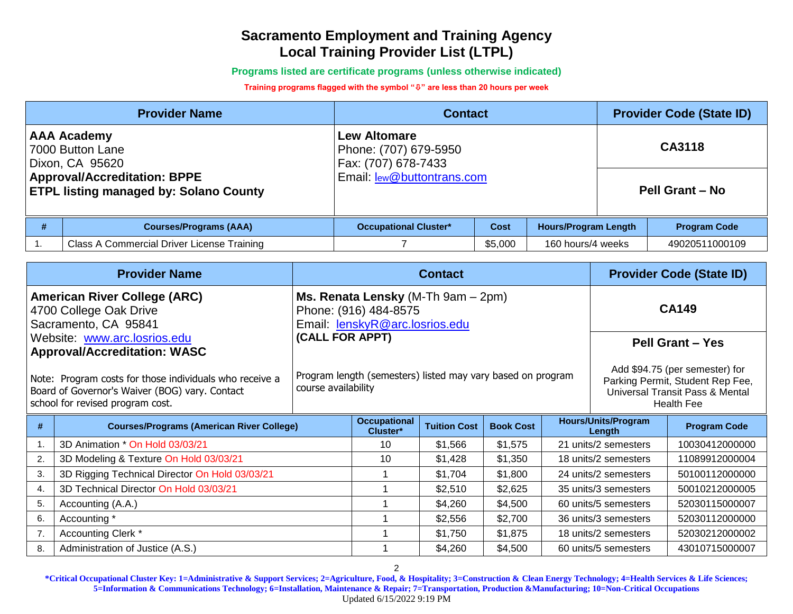**Programs listed are certificate programs (unless otherwise indicated)**

#### **Training programs flagged with the symbol "" are less than 20 hours per week**

|                                                                                                                                                   | <b>Provider Name</b>                       | <b>Contact</b>                                                                                           |         | <b>Provider Code (State ID)</b> |                     |                                  |
|---------------------------------------------------------------------------------------------------------------------------------------------------|--------------------------------------------|----------------------------------------------------------------------------------------------------------|---------|---------------------------------|---------------------|----------------------------------|
| <b>AAA Academy</b><br>7000 Button Lane<br>Dixon, CA 95620<br><b>Approval/Accreditation: BPPE</b><br><b>ETPL listing managed by: Solano County</b> |                                            | <b>Lew Altomare</b><br>Phone: (707) 679-5950<br>Fax: (707) 678-7433<br><b>Email:</b> lew@buttontrans.com |         |                                 |                     | CA3118<br><b>Pell Grant - No</b> |
| #                                                                                                                                                 | <b>Courses/Programs (AAA)</b>              | <b>Occupational Cluster*</b><br><b>Hours/Program Length</b><br><b>Cost</b>                               |         |                                 | <b>Program Code</b> |                                  |
|                                                                                                                                                   | Class A Commercial Driver License Training |                                                                                                          | \$5,000 | 160 hours/4 weeks               |                     | 49020511000109                   |

| <b>Provider Name</b>                            |                                                                                                                                                                                      | <b>Contact</b>                                                                     |                                                                                                         |                     |                  | <b>Provider Code (State ID)</b> |                                                                                                                            |                         |
|-------------------------------------------------|--------------------------------------------------------------------------------------------------------------------------------------------------------------------------------------|------------------------------------------------------------------------------------|---------------------------------------------------------------------------------------------------------|---------------------|------------------|---------------------------------|----------------------------------------------------------------------------------------------------------------------------|-------------------------|
|                                                 | <b>American River College (ARC)</b><br>4700 College Oak Drive<br>Sacramento, CA 95841                                                                                                |                                                                                    | <b>Ms. Renata Lensky</b> (M-Th $9am - 2pm$ )<br>Phone: (916) 484-8575<br>Email: lenskyR@arc.losrios.edu |                     |                  |                                 |                                                                                                                            | <b>CA149</b>            |
| (CALL FOR APPT)<br>Website: www.arc.losrios.edu |                                                                                                                                                                                      |                                                                                    |                                                                                                         |                     |                  |                                 |                                                                                                                            | <b>Pell Grant - Yes</b> |
|                                                 | <b>Approval/Accreditation: WASC</b><br>Note: Program costs for those individuals who receive a<br>Board of Governor's Waiver (BOG) vary. Contact<br>school for revised program cost. | Program length (semesters) listed may vary based on program<br>course availability |                                                                                                         |                     |                  |                                 | Add \$94.75 (per semester) for<br>Parking Permit, Student Rep Fee,<br>Universal Transit Pass & Mental<br><b>Health Fee</b> |                         |
| #                                               | <b>Courses/Programs (American River College)</b>                                                                                                                                     |                                                                                    | <b>Occupational</b><br>Cluster*                                                                         | <b>Tuition Cost</b> | <b>Book Cost</b> |                                 | <b>Hours/Units/Program</b><br>Length                                                                                       | <b>Program Code</b>     |
| 1.                                              | 3D Animation * On Hold 03/03/21                                                                                                                                                      |                                                                                    | 10                                                                                                      | \$1,566             | \$1,575          |                                 | 21 units/2 semesters                                                                                                       | 10030412000000          |
| 2.                                              | 3D Modeling & Texture On Hold 03/03/21                                                                                                                                               |                                                                                    | 10                                                                                                      | \$1,428             | \$1,350          |                                 | 18 units/2 semesters                                                                                                       | 11089912000004          |
| 3.                                              | 3D Rigging Technical Director On Hold 03/03/21                                                                                                                                       |                                                                                    |                                                                                                         | \$1,704             | \$1,800          |                                 | 24 units/2 semesters                                                                                                       | 50100112000000          |
| 4.                                              | 3D Technical Director On Hold 03/03/21                                                                                                                                               |                                                                                    |                                                                                                         | \$2,510             | \$2,625          |                                 | 35 units/3 semesters                                                                                                       | 50010212000005          |
| 5.                                              | Accounting (A.A.)                                                                                                                                                                    |                                                                                    |                                                                                                         | \$4,260             | \$4,500          |                                 | 60 units/5 semesters                                                                                                       | 52030115000007          |
| 6.                                              | Accounting *                                                                                                                                                                         |                                                                                    |                                                                                                         | \$2,556             | \$2,700          |                                 | 36 units/3 semesters                                                                                                       | 52030112000000          |
| 7.                                              | Accounting Clerk *                                                                                                                                                                   |                                                                                    |                                                                                                         | \$1,750             | \$1,875          |                                 | 18 units/2 semesters                                                                                                       | 52030212000002          |
| 8.                                              | Administration of Justice (A.S.)                                                                                                                                                     |                                                                                    |                                                                                                         | \$4,260             | \$4,500          |                                 | 60 units/5 semesters                                                                                                       | 43010715000007          |

2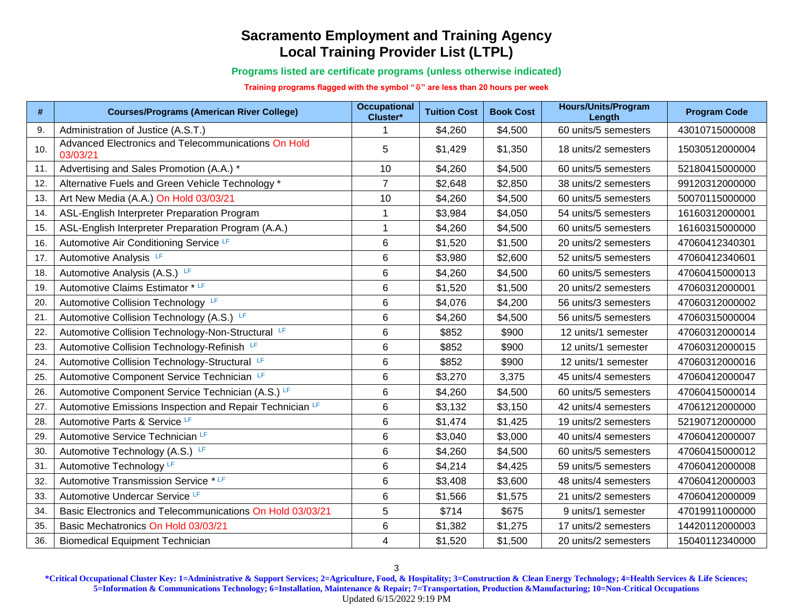**Programs listed are certificate programs (unless otherwise indicated)**

**Training programs flagged with the symbol "" are less than 20 hours per week**

| #   | <b>Courses/Programs (American River College)</b>                | <b>Occupational</b><br>Cluster* | <b>Tuition Cost</b> | <b>Book Cost</b> | <b>Hours/Units/Program</b><br>Length | <b>Program Code</b> |
|-----|-----------------------------------------------------------------|---------------------------------|---------------------|------------------|--------------------------------------|---------------------|
| 9.  | Administration of Justice (A.S.T.)                              |                                 | \$4,260             | \$4,500          | 60 units/5 semesters                 | 43010715000008      |
| 10. | Advanced Electronics and Telecommunications On Hold<br>03/03/21 | 5                               | \$1,429             | \$1,350          | 18 units/2 semesters                 | 15030512000004      |
| 11. | Advertising and Sales Promotion (A.A.) *                        | 10                              | \$4,260             | \$4,500          | 60 units/5 semesters                 | 52180415000000      |
| 12. | Alternative Fuels and Green Vehicle Technology *                | $\overline{7}$                  | \$2,648             | \$2,850          | 38 units/2 semesters                 | 99120312000000      |
| 13. | Art New Media (A.A.) On Hold 03/03/21                           | 10                              | \$4,260             | \$4,500          | 60 units/5 semesters                 | 50070115000000      |
| 14. | ASL-English Interpreter Preparation Program                     | -1                              | \$3,984             | \$4,050          | 54 units/5 semesters                 | 16160312000001      |
| 15. | ASL-English Interpreter Preparation Program (A.A.)              | $\mathbf 1$                     | \$4,260             | \$4,500          | 60 units/5 semesters                 | 16160315000000      |
| 16. | Automotive Air Conditioning Service LF                          | $\,6$                           | \$1,520             | \$1,500          | 20 units/2 semesters                 | 47060412340301      |
| 17. | Automotive Analysis LF                                          | $\,6$                           | \$3,980             | \$2,600          | 52 units/5 semesters                 | 47060412340601      |
| 18. | Automotive Analysis (A.S.) LF                                   | 6                               | \$4,260             | \$4,500          | 60 units/5 semesters                 | 47060415000013      |
| 19. | Automotive Claims Estimator * LF                                | 6                               | \$1,520             | \$1,500          | 20 units/2 semesters                 | 47060312000001      |
| 20. | Automotive Collision Technology LF                              | $\,6\,$                         | \$4,076             | \$4,200          | 56 units/3 semesters                 | 47060312000002      |
| 21  | Automotive Collision Technology (A.S.) LF                       | $\,6$                           | \$4,260             | \$4,500          | 56 units/5 semesters                 | 47060315000004      |
| 22. | Automotive Collision Technology-Non-Structural LF               | $\,6$                           | \$852               | \$900            | 12 units/1 semester                  | 47060312000014      |
| 23. | Automotive Collision Technology-Refinish LF                     | $\,6$                           | \$852               | \$900            | 12 units/1 semester                  | 47060312000015      |
| 24. | Automotive Collision Technology-Structural LF                   | 6                               | \$852               | \$900            | 12 units/1 semester                  | 47060312000016      |
| 25. | Automotive Component Service Technician LF                      | $\,6$                           | \$3,270             | 3,375            | 45 units/4 semesters                 | 47060412000047      |
| 26. | Automotive Component Service Technician (A.S.) LF               | $6\phantom{1}6$                 | \$4,260             | \$4,500          | 60 units/5 semesters                 | 47060415000014      |
| 27. | Automotive Emissions Inspection and Repair Technician LF        | $\,6$                           | \$3,132             | \$3,150          | 42 units/4 semesters                 | 47061212000000      |
| 28. | Automotive Parts & Service LF                                   | 6                               | \$1,474             | \$1,425          | 19 units/2 semesters                 | 52190712000000      |
| 29. | Automotive Service Technician LF                                | $\,6\,$                         | \$3,040             | \$3,000          | 40 units/4 semesters                 | 47060412000007      |
| 30. | Automotive Technology (A.S.) LF                                 | 6                               | \$4,260             | \$4,500          | 60 units/5 semesters                 | 47060415000012      |
| 31. | Automotive Technology LF                                        | 6                               | \$4,214             | \$4,425          | 59 units/5 semesters                 | 47060412000008      |
| 32. | Automotive Transmission Service *LF                             | 6                               | \$3,408             | \$3,600          | 48 units/4 semesters                 | 47060412000003      |
| 33. | Automotive Undercar Service LF                                  | $\,6$                           | \$1,566             | \$1,575          | 21 units/2 semesters                 | 47060412000009      |
| 34. | Basic Electronics and Telecommunications On Hold 03/03/21       | 5                               | \$714               | \$675            | 9 units/1 semester                   | 47019911000000      |
| 35. | Basic Mechatronics On Hold 03/03/21                             | 6                               | \$1,382             | \$1,275          | 17 units/2 semesters                 | 14420112000003      |
| 36. | <b>Biomedical Equipment Technician</b>                          | 4                               | \$1,520             | \$1,500          | 20 units/2 semesters                 | 15040112340000      |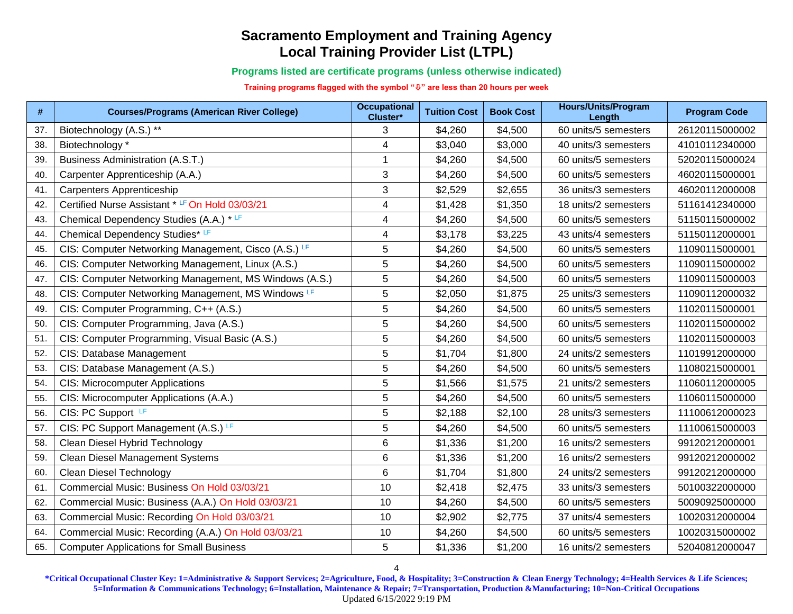**Programs listed are certificate programs (unless otherwise indicated)**

**Training programs flagged with the symbol "" are less than 20 hours per week**

| #   | <b>Courses/Programs (American River College)</b>       | <b>Occupational</b><br>Cluster* | <b>Tuition Cost</b> | <b>Book Cost</b> | <b>Hours/Units/Program</b><br>Length | <b>Program Code</b> |
|-----|--------------------------------------------------------|---------------------------------|---------------------|------------------|--------------------------------------|---------------------|
| 37. | Biotechnology (A.S.) **                                | 3                               | \$4,260             | \$4,500          | 60 units/5 semesters                 | 26120115000002      |
| 38. | Biotechnology *                                        | 4                               | \$3,040             | \$3,000          | 40 units/3 semesters                 | 41010112340000      |
| 39. | <b>Business Administration (A.S.T.)</b>                | $\mathbf{1}$                    | \$4,260             | \$4,500          | 60 units/5 semesters                 | 52020115000024      |
| 40. | Carpenter Apprenticeship (A.A.)                        | $\mathfrak{S}$                  | \$4,260             | \$4,500          | 60 units/5 semesters                 | 46020115000001      |
| 41. | Carpenters Apprenticeship                              | 3                               | \$2,529             | \$2,655          | 36 units/3 semesters                 | 46020112000008      |
| 42. | Certified Nurse Assistant * LF On Hold 03/03/21        | $\overline{\mathbf{4}}$         | \$1,428             | \$1,350          | 18 units/2 semesters                 | 51161412340000      |
| 43. | Chemical Dependency Studies (A.A.) * LF                | $\overline{\mathbf{4}}$         | \$4,260             | \$4,500          | 60 units/5 semesters                 | 51150115000002      |
| 44. | Chemical Dependency Studies* LF                        | $\overline{\mathbf{4}}$         | \$3,178             | \$3,225          | 43 units/4 semesters                 | 51150112000001      |
| 45. | CIS: Computer Networking Management, Cisco (A.S.) LF   | 5                               | \$4,260             | \$4,500          | 60 units/5 semesters                 | 11090115000001      |
| 46. | CIS: Computer Networking Management, Linux (A.S.)      | 5                               | \$4,260             | \$4,500          | 60 units/5 semesters                 | 11090115000002      |
| 47. | CIS: Computer Networking Management, MS Windows (A.S.) | $\sqrt{5}$                      | \$4,260             | \$4,500          | 60 units/5 semesters                 | 11090115000003      |
| 48. | CIS: Computer Networking Management, MS Windows LF     | 5                               | \$2,050             | \$1,875          | 25 units/3 semesters                 | 11090112000032      |
| 49. | CIS: Computer Programming, C++ (A.S.)                  | 5                               | \$4,260             | \$4,500          | 60 units/5 semesters                 | 11020115000001      |
| 50. | CIS: Computer Programming, Java (A.S.)                 | 5                               | \$4,260             | \$4,500          | 60 units/5 semesters                 | 11020115000002      |
| 51. | CIS: Computer Programming, Visual Basic (A.S.)         | 5                               | \$4,260             | \$4,500          | 60 units/5 semesters                 | 11020115000003      |
| 52. | CIS: Database Management                               | 5                               | \$1,704             | \$1,800          | 24 units/2 semesters                 | 11019912000000      |
| 53. | CIS: Database Management (A.S.)                        | $\sqrt{5}$                      | \$4,260             | \$4,500          | 60 units/5 semesters                 | 11080215000001      |
| 54. | <b>CIS: Microcomputer Applications</b>                 | 5                               | \$1,566             | \$1,575          | 21 units/2 semesters                 | 11060112000005      |
| 55. | CIS: Microcomputer Applications (A.A.)                 | 5                               | \$4,260             | \$4,500          | 60 units/5 semesters                 | 11060115000000      |
| 56. | CIS: PC Support LF                                     | 5                               | \$2,188             | \$2,100          | 28 units/3 semesters                 | 11100612000023      |
| 57. | CIS: PC Support Management (A.S.) LF                   | 5                               | \$4,260             | \$4,500          | 60 units/5 semesters                 | 11100615000003      |
| 58. | Clean Diesel Hybrid Technology                         | $\,6\,$                         | \$1,336             | \$1,200          | 16 units/2 semesters                 | 99120212000001      |
| 59. | <b>Clean Diesel Management Systems</b>                 | 6                               | \$1,336             | \$1,200          | 16 units/2 semesters                 | 99120212000002      |
| 60. | Clean Diesel Technology                                | $\,6$                           | \$1,704             | \$1,800          | 24 units/2 semesters                 | 99120212000000      |
| 61. | Commercial Music: Business On Hold 03/03/21            | 10                              | \$2,418             | \$2,475          | 33 units/3 semesters                 | 50100322000000      |
| 62. | Commercial Music: Business (A.A.) On Hold 03/03/21     | 10                              | \$4,260             | \$4,500          | 60 units/5 semesters                 | 50090925000000      |
| 63. | Commercial Music: Recording On Hold 03/03/21           | 10                              | \$2,902             | \$2,775          | 37 units/4 semesters                 | 10020312000004      |
| 64. | Commercial Music: Recording (A.A.) On Hold 03/03/21    | 10                              | \$4,260             | \$4,500          | 60 units/5 semesters                 | 10020315000002      |
| 65. | <b>Computer Applications for Small Business</b>        | 5                               | \$1,336             | \$1,200          | 16 units/2 semesters                 | 52040812000047      |

4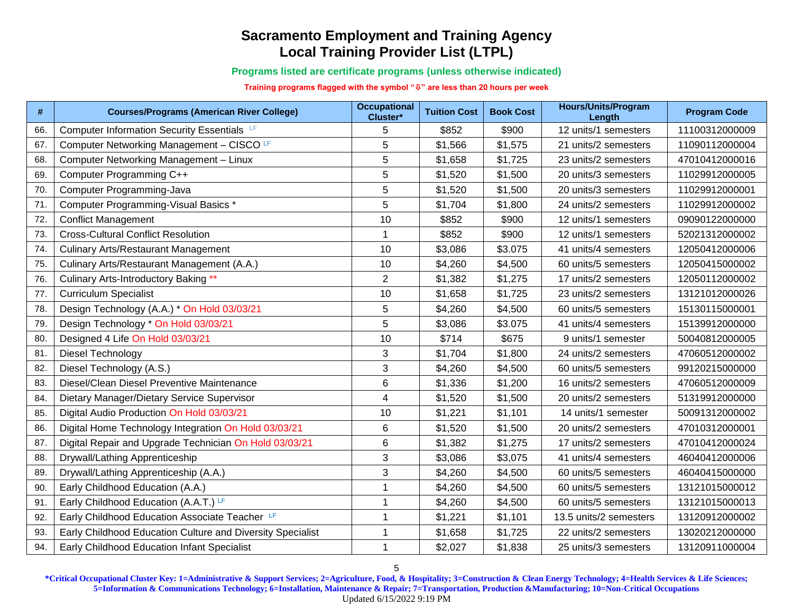**Programs listed are certificate programs (unless otherwise indicated)**

**Training programs flagged with the symbol "" are less than 20 hours per week**

| #   | <b>Courses/Programs (American River College)</b>           | <b>Occupational</b><br>Cluster* | <b>Tuition Cost</b> | <b>Book Cost</b> | <b>Hours/Units/Program</b><br>Length | <b>Program Code</b> |
|-----|------------------------------------------------------------|---------------------------------|---------------------|------------------|--------------------------------------|---------------------|
| 66. | Computer Information Security Essentials LF                | 5                               | \$852               | \$900            | 12 units/1 semesters                 | 11100312000009      |
| 67. | Computer Networking Management - CISCO LF                  | 5                               | \$1,566             | \$1,575          | 21 units/2 semesters                 | 11090112000004      |
| 68. | Computer Networking Management - Linux                     | 5                               | \$1,658             | \$1,725          | 23 units/2 semesters                 | 47010412000016      |
| 69. | Computer Programming C++                                   | 5                               | \$1,520             | \$1,500          | 20 units/3 semesters                 | 11029912000005      |
| 70. | Computer Programming-Java                                  | 5                               | \$1,520             | \$1,500          | 20 units/3 semesters                 | 11029912000001      |
| 71. | Computer Programming-Visual Basics *                       | 5                               | \$1,704             | \$1,800          | 24 units/2 semesters                 | 11029912000002      |
| 72. | <b>Conflict Management</b>                                 | 10                              | \$852               | \$900            | 12 units/1 semesters                 | 09090122000000      |
| 73. | <b>Cross-Cultural Conflict Resolution</b>                  | $\mathbf{1}$                    | \$852               | \$900            | 12 units/1 semesters                 | 52021312000002      |
| 74. | <b>Culinary Arts/Restaurant Management</b>                 | 10                              | \$3,086             | \$3.075          | 41 units/4 semesters                 | 12050412000006      |
| 75. | Culinary Arts/Restaurant Management (A.A.)                 | 10                              | \$4,260             | \$4,500          | 60 units/5 semesters                 | 12050415000002      |
| 76. | Culinary Arts-Introductory Baking **                       | $\overline{2}$                  | \$1,382             | \$1,275          | 17 units/2 semesters                 | 12050112000002      |
| 77. | <b>Curriculum Specialist</b>                               | 10                              | \$1,658             | \$1,725          | 23 units/2 semesters                 | 13121012000026      |
| 78. | Design Technology (A.A.) * On Hold 03/03/21                | 5                               | \$4,260             | \$4,500          | 60 units/5 semesters                 | 15130115000001      |
| 79. | Design Technology * On Hold 03/03/21                       | 5                               | \$3,086             | \$3.075          | 41 units/4 semesters                 | 15139912000000      |
| 80. | Designed 4 Life On Hold 03/03/21                           | 10                              | \$714               | \$675            | 9 units/1 semester                   | 50040812000005      |
| 81. | Diesel Technology                                          | 3                               | \$1,704             | \$1,800          | 24 units/2 semesters                 | 47060512000002      |
| 82. | Diesel Technology (A.S.)                                   | 3                               | \$4,260             | \$4,500          | 60 units/5 semesters                 | 99120215000000      |
| 83. | Diesel/Clean Diesel Preventive Maintenance                 | 6                               | \$1,336             | \$1,200          | 16 units/2 semesters                 | 47060512000009      |
| 84. | Dietary Manager/Dietary Service Supervisor                 | $\overline{4}$                  | \$1,520             | \$1,500          | 20 units/2 semesters                 | 51319912000000      |
| 85. | Digital Audio Production On Hold 03/03/21                  | 10                              | \$1,221             | \$1,101          | 14 units/1 semester                  | 50091312000002      |
| 86. | Digital Home Technology Integration On Hold 03/03/21       | 6                               | \$1,520             | \$1,500          | 20 units/2 semesters                 | 47010312000001      |
| 87. | Digital Repair and Upgrade Technician On Hold 03/03/21     | 6                               | \$1,382             | \$1,275          | 17 units/2 semesters                 | 47010412000024      |
| 88. | Drywall/Lathing Apprenticeship                             | 3                               | \$3,086             | \$3,075          | 41 units/4 semesters                 | 46040412000006      |
| 89. | Drywall/Lathing Apprenticeship (A.A.)                      | 3                               | \$4,260             | \$4,500          | 60 units/5 semesters                 | 46040415000000      |
| 90. | Early Childhood Education (A.A.)                           | 1                               | \$4,260             | \$4,500          | 60 units/5 semesters                 | 13121015000012      |
| 91. | Early Childhood Education (A.A.T.) LF                      | 1                               | \$4,260             | \$4,500          | 60 units/5 semesters                 | 13121015000013      |
| 92. | Early Childhood Education Associate Teacher                | 1                               | \$1,221             | \$1,101          | 13.5 units/2 semesters               | 13120912000002      |
| 93. | Early Childhood Education Culture and Diversity Specialist | 1                               | \$1,658             | \$1,725          | 22 units/2 semesters                 | 13020212000000      |
| 94. | Early Childhood Education Infant Specialist                | 1                               | \$2,027             | \$1,838          | 25 units/3 semesters                 | 13120911000004      |

5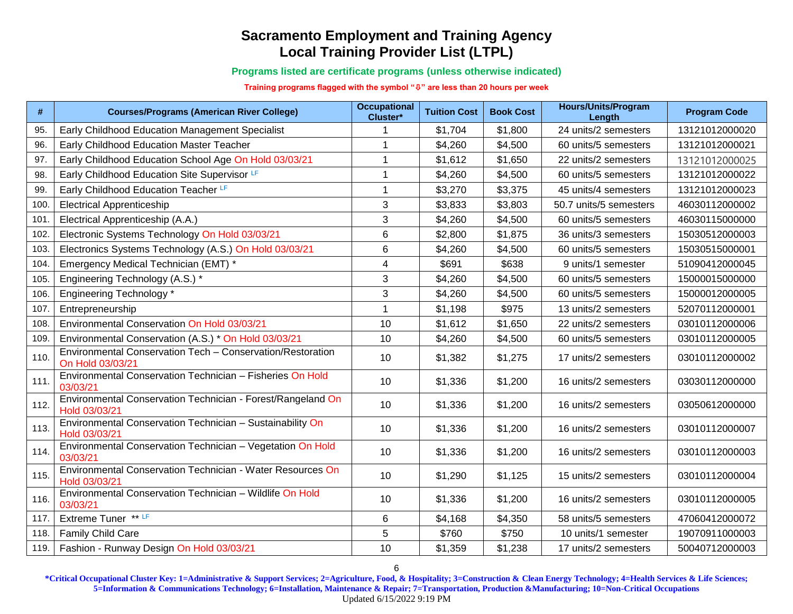**Programs listed are certificate programs (unless otherwise indicated)**

**Training programs flagged with the symbol "" are less than 20 hours per week**

| #    | <b>Courses/Programs (American River College)</b>                               | <b>Occupational</b><br>Cluster* | <b>Tuition Cost</b> | <b>Book Cost</b> | <b>Hours/Units/Program</b><br>Length | <b>Program Code</b> |
|------|--------------------------------------------------------------------------------|---------------------------------|---------------------|------------------|--------------------------------------|---------------------|
| 95.  | Early Childhood Education Management Specialist                                |                                 | \$1,704             | \$1,800          | 24 units/2 semesters                 | 13121012000020      |
| 96.  | Early Childhood Education Master Teacher                                       |                                 | \$4,260             | \$4,500          | 60 units/5 semesters                 | 13121012000021      |
| 97.  | Early Childhood Education School Age On Hold 03/03/21                          | 1                               | \$1,612             | \$1,650          | 22 units/2 semesters                 | 13121012000025      |
| 98.  | Early Childhood Education Site Supervisor LF                                   | $\mathbf{1}$                    | \$4,260             | \$4,500          | 60 units/5 semesters                 | 13121012000022      |
| 99.  | Early Childhood Education Teacher LF                                           | $\mathbf{1}$                    | \$3,270             | \$3,375          | 45 units/4 semesters                 | 13121012000023      |
| 100  | <b>Electrical Apprenticeship</b>                                               | 3                               | \$3,833             | \$3,803          | 50.7 units/5 semesters               | 46030112000002      |
| 101  | Electrical Apprenticeship (A.A.)                                               | 3                               | \$4,260             | \$4,500          | 60 units/5 semesters                 | 46030115000000      |
| 102. | Electronic Systems Technology On Hold 03/03/21                                 | $\,6$                           | \$2,800             | \$1,875          | 36 units/3 semesters                 | 15030512000003      |
| 103  | Electronics Systems Technology (A.S.) On Hold 03/03/21                         | $6\phantom{1}6$                 | \$4,260             | \$4,500          | 60 units/5 semesters                 | 15030515000001      |
| 104  | Emergency Medical Technician (EMT) *                                           | $\overline{4}$                  | \$691               | \$638            | 9 units/1 semester                   | 51090412000045      |
| 105  | Engineering Technology (A.S.) *                                                | 3                               | \$4,260             | \$4,500          | 60 units/5 semesters                 | 15000015000000      |
| 106. | <b>Engineering Technology*</b>                                                 | 3                               | \$4,260             | \$4,500          | 60 units/5 semesters                 | 15000012000005      |
| 107  | Entrepreneurship                                                               | $\mathbf{1}$                    | \$1,198             | \$975            | 13 units/2 semesters                 | 52070112000001      |
| 108  | Environmental Conservation On Hold 03/03/21                                    | 10                              | \$1,612             | \$1,650          | 22 units/2 semesters                 | 03010112000006      |
| 109. | Environmental Conservation (A.S.) * On Hold 03/03/21                           | 10                              | \$4,260             | \$4,500          | 60 units/5 semesters                 | 03010112000005      |
| 110. | Environmental Conservation Tech - Conservation/Restoration<br>On Hold 03/03/21 | 10                              | \$1,382             | \$1,275          | 17 units/2 semesters                 | 03010112000002      |
| 111. | Environmental Conservation Technician - Fisheries On Hold<br>03/03/21          | 10                              | \$1,336             | \$1,200          | 16 units/2 semesters                 | 03030112000000      |
| 112. | Environmental Conservation Technician - Forest/Rangeland On<br>Hold 03/03/21   | 10                              | \$1,336             | \$1,200          | 16 units/2 semesters                 | 03050612000000      |
| 113. | Environmental Conservation Technician - Sustainability On<br>Hold 03/03/21     | 10                              | \$1,336             | \$1,200          | 16 units/2 semesters                 | 03010112000007      |
| 114. | Environmental Conservation Technician - Vegetation On Hold<br>03/03/21         | 10                              | \$1,336             | \$1,200          | 16 units/2 semesters                 | 03010112000003      |
| 115. | Environmental Conservation Technician - Water Resources On<br>Hold 03/03/21    | 10                              | \$1,290             | \$1,125          | 15 units/2 semesters                 | 03010112000004      |
| 116. | Environmental Conservation Technician - Wildlife On Hold<br>03/03/21           | 10                              | \$1,336             | \$1,200          | 16 units/2 semesters                 | 03010112000005      |
| 117. | Extreme Tuner ** LF                                                            | 6                               | \$4,168             | \$4,350          | 58 units/5 semesters                 | 47060412000072      |
| 118. | Family Child Care                                                              | 5                               | \$760               | \$750            | 10 units/1 semester                  | 19070911000003      |
| 119. | Fashion - Runway Design On Hold 03/03/21                                       | 10                              | \$1,359             | \$1,238          | 17 units/2 semesters                 | 50040712000003      |

**\*Critical Occupational Cluster Key: 1=Administrative & Support Services; 2=Agriculture, Food, & Hospitality; 3=Construction & Clean Energy Technology; 4=Health Services & Life Sciences; 5=Information & Communications Technology; 6=Installation, Maintenance & Repair; 7=Transportation, Production &Manufacturing; 10=Non-Critical Occupations** Updated 6/15/2022 9:19 PM

6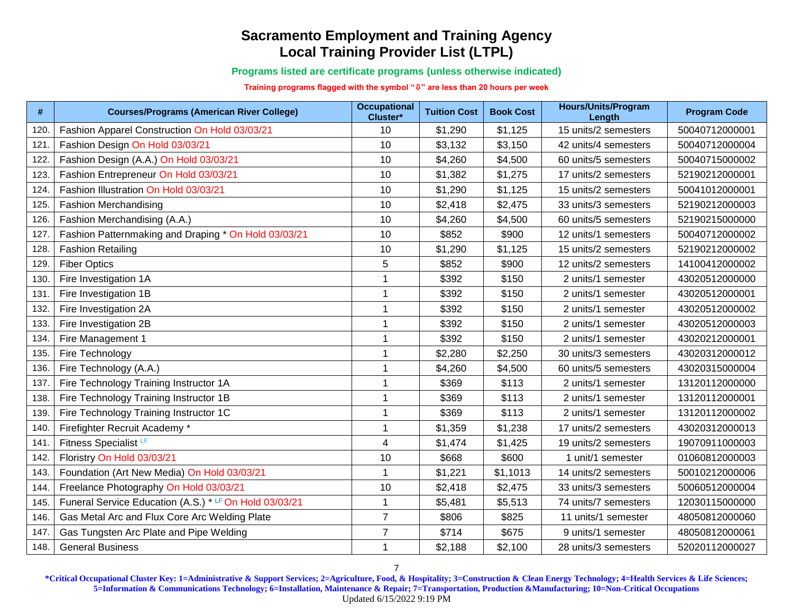**Programs listed are certificate programs (unless otherwise indicated)**

**Training programs flagged with the symbol "" are less than 20 hours per week**

| #    | <b>Courses/Programs (American River College)</b>       | <b>Occupational</b><br>Cluster* | <b>Tuition Cost</b> | <b>Book Cost</b> | <b>Hours/Units/Program</b><br>Length | <b>Program Code</b> |
|------|--------------------------------------------------------|---------------------------------|---------------------|------------------|--------------------------------------|---------------------|
| 120. | Fashion Apparel Construction On Hold 03/03/21          | 10                              | \$1,290             | \$1,125          | 15 units/2 semesters                 | 50040712000001      |
| 121  | Fashion Design On Hold 03/03/21                        | 10                              | \$3,132             | \$3,150          | 42 units/4 semesters                 | 50040712000004      |
| 122. | Fashion Design (A.A.) On Hold 03/03/21                 | 10                              | \$4,260             | \$4,500          | 60 units/5 semesters                 | 50040715000002      |
| 123. | Fashion Entrepreneur On Hold 03/03/21                  | 10                              | \$1,382             | \$1,275          | 17 units/2 semesters                 | 52190212000001      |
| 124. | Fashion Illustration On Hold 03/03/21                  | 10                              | \$1,290             | \$1,125          | 15 units/2 semesters                 | 50041012000001      |
| 125. | <b>Fashion Merchandising</b>                           | 10                              | \$2,418             | \$2,475          | 33 units/3 semesters                 | 52190212000003      |
| 126. | Fashion Merchandising (A.A.)                           | 10                              | \$4,260             | \$4,500          | 60 units/5 semesters                 | 52190215000000      |
| 127  | Fashion Patternmaking and Draping * On Hold 03/03/21   | 10                              | \$852               | \$900            | 12 units/1 semesters                 | 50040712000002      |
| 128. | <b>Fashion Retailing</b>                               | 10                              | \$1,290             | \$1,125          | 15 units/2 semesters                 | 52190212000002      |
| 129. | <b>Fiber Optics</b>                                    | 5                               | \$852               | \$900            | 12 units/2 semesters                 | 14100412000002      |
| 130. | Fire Investigation 1A                                  | $\mathbf 1$                     | \$392               | \$150            | 2 units/1 semester                   | 43020512000000      |
| 131  | Fire Investigation 1B                                  | $\mathbf{1}$                    | \$392               | \$150            | 2 units/1 semester                   | 43020512000001      |
| 132. | Fire Investigation 2A                                  | $\mathbf{1}$                    | \$392               | \$150            | 2 units/1 semester                   | 43020512000002      |
| 133. | Fire Investigation 2B                                  | $\mathbf 1$                     | \$392               | \$150            | 2 units/1 semester                   | 43020512000003      |
| 134. | Fire Management 1                                      | $\overline{1}$                  | \$392               | \$150            | 2 units/1 semester                   | 43020212000001      |
| 135. | Fire Technology                                        | $\mathbf 1$                     | \$2,280             | \$2,250          | 30 units/3 semesters                 | 43020312000012      |
| 136. | Fire Technology (A.A.)                                 | $\mathbf 1$                     | \$4,260             | \$4,500          | 60 units/5 semesters                 | 43020315000004      |
| 137. | Fire Technology Training Instructor 1A                 | $\mathbf{1}$                    | \$369               | \$113            | 2 units/1 semester                   | 13120112000000      |
| 138. | Fire Technology Training Instructor 1B                 | -1                              | \$369               | \$113            | 2 units/1 semester                   | 13120112000001      |
| 139. | Fire Technology Training Instructor 1C                 | $\mathbf 1$                     | \$369               | \$113            | 2 units/1 semester                   | 13120112000002      |
| 140. | Firefighter Recruit Academy *                          | $\overline{1}$                  | \$1,359             | \$1,238          | 17 units/2 semesters                 | 43020312000013      |
| 141  | Fitness Specialist <sup>LF</sup>                       | $\overline{\mathbf{4}}$         | \$1,474             | \$1,425          | 19 units/2 semesters                 | 19070911000003      |
| 142. | Floristry On Hold 03/03/21                             | 10                              | \$668               | \$600            | 1 unit/1 semester                    | 01060812000003      |
| 143. | Foundation (Art New Media) On Hold 03/03/21            | $\mathbf{1}$                    | \$1,221             | \$1,1013         | 14 units/2 semesters                 | 50010212000006      |
| 144. | Freelance Photography On Hold 03/03/21                 | 10                              | \$2,418             | \$2,475          | 33 units/3 semesters                 | 50060512000004      |
| 145  | Funeral Service Education (A.S.) * LF On Hold 03/03/21 | $\mathbf{1}$                    | \$5,481             | \$5,513          | 74 units/7 semesters                 | 12030115000000      |
| 146. | Gas Metal Arc and Flux Core Arc Welding Plate          | $\overline{7}$                  | \$806               | \$825            | 11 units/1 semester                  | 48050812000060      |
| 147. | Gas Tungsten Arc Plate and Pipe Welding                | $\overline{7}$                  | \$714               | \$675            | 9 units/1 semester                   | 48050812000061      |
| 148. | <b>General Business</b>                                | $\mathbf{1}$                    | \$2,188             | \$2,100          | 28 units/3 semesters                 | 52020112000027      |

**\*Critical Occupational Cluster Key: 1=Administrative & Support Services; 2=Agriculture, Food, & Hospitality; 3=Construction & Clean Energy Technology; 4=Health Services & Life Sciences; 5=Information & Communications Technology; 6=Installation, Maintenance & Repair; 7=Transportation, Production &Manufacturing; 10=Non-Critical Occupations** Updated 6/15/2022 9:19 PM

7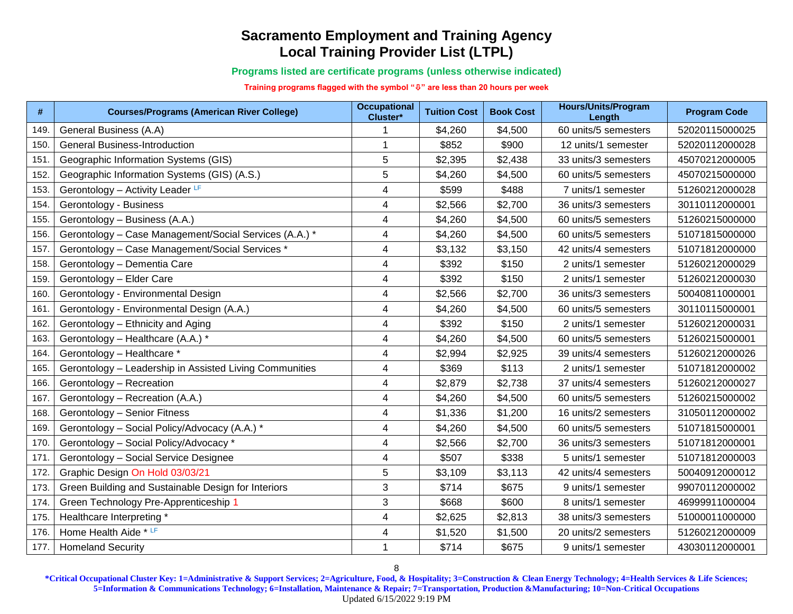**Programs listed are certificate programs (unless otherwise indicated)**

**Training programs flagged with the symbol "" are less than 20 hours per week**

| #    | <b>Courses/Programs (American River College)</b>        | <b>Occupational</b><br>Cluster* | <b>Tuition Cost</b> | <b>Book Cost</b> | <b>Hours/Units/Program</b><br>Length | <b>Program Code</b> |
|------|---------------------------------------------------------|---------------------------------|---------------------|------------------|--------------------------------------|---------------------|
| 149  | General Business (A.A)                                  |                                 | \$4,260             | \$4,500          | 60 units/5 semesters                 | 52020115000025      |
| 150. | <b>General Business-Introduction</b>                    |                                 | \$852               | \$900            | 12 units/1 semester                  | 52020112000028      |
| 151. | Geographic Information Systems (GIS)                    | 5                               | \$2,395             | \$2,438          | 33 units/3 semesters                 | 45070212000005      |
| 152. | Geographic Information Systems (GIS) (A.S.)             | 5                               | \$4,260             | \$4,500          | 60 units/5 semesters                 | 45070215000000      |
| 153. | Gerontology - Activity Leader LF                        | $\overline{4}$                  | \$599               | \$488            | 7 units/1 semester                   | 51260212000028      |
| 154. | Gerontology - Business                                  | $\overline{\mathbf{4}}$         | \$2,566             | \$2,700          | 36 units/3 semesters                 | 30110112000001      |
| 155. | Gerontology - Business (A.A.)                           | $\overline{4}$                  | \$4,260             | \$4,500          | 60 units/5 semesters                 | 51260215000000      |
| 156. | Gerontology - Case Management/Social Services (A.A.) *  | $\overline{\mathcal{A}}$        | \$4,260             | \$4,500          | 60 units/5 semesters                 | 51071815000000      |
| 157. | Gerontology - Case Management/Social Services *         | $\overline{\mathbf{4}}$         | \$3,132             | \$3,150          | 42 units/4 semesters                 | 51071812000000      |
| 158. | Gerontology - Dementia Care                             | $\overline{\mathbf{4}}$         | \$392               | \$150            | 2 units/1 semester                   | 51260212000029      |
| 159. | Gerontology - Elder Care                                | 4                               | \$392               | \$150            | 2 units/1 semester                   | 51260212000030      |
| 160. | Gerontology - Environmental Design                      | $\overline{\mathbf{4}}$         | \$2,566             | \$2,700          | 36 units/3 semesters                 | 50040811000001      |
| 161  | Gerontology - Environmental Design (A.A.)               | $\overline{\mathcal{A}}$        | \$4,260             | \$4,500          | 60 units/5 semesters                 | 30110115000001      |
| 162. | Gerontology - Ethnicity and Aging                       | $\overline{4}$                  | \$392               | \$150            | 2 units/1 semester                   | 51260212000031      |
| 163. | Gerontology - Healthcare (A.A.) *                       | $\overline{4}$                  | \$4,260             | \$4,500          | 60 units/5 semesters                 | 51260215000001      |
| 164. | Gerontology - Healthcare *                              | 4                               | \$2,994             | \$2,925          | 39 units/4 semesters                 | 51260212000026      |
| 165  | Gerontology - Leadership in Assisted Living Communities | $\overline{\mathbf{4}}$         | \$369               | \$113            | 2 units/1 semester                   | 51071812000002      |
| 166. | Gerontology - Recreation                                | $\overline{\mathbf{4}}$         | \$2,879             | \$2,738          | 37 units/4 semesters                 | 51260212000027      |
| 167  | Gerontology - Recreation (A.A.)                         | $\overline{4}$                  | \$4,260             | \$4,500          | 60 units/5 semesters                 | 51260215000002      |
| 168  | Gerontology - Senior Fitness                            | $\overline{\mathcal{A}}$        | \$1,336             | \$1,200          | 16 units/2 semesters                 | 31050112000002      |
| 169  | Gerontology - Social Policy/Advocacy (A.A.) *           | $\overline{\mathcal{A}}$        | \$4,260             | \$4,500          | 60 units/5 semesters                 | 51071815000001      |
| 170  | Gerontology - Social Policy/Advocacy *                  | $\overline{\mathcal{A}}$        | \$2,566             | \$2,700          | 36 units/3 semesters                 | 51071812000001      |
| 171  | Gerontology - Social Service Designee                   | 4                               | \$507               | \$338            | 5 units/1 semester                   | 51071812000003      |
| 172. | Graphic Design On Hold 03/03/21                         | 5                               | \$3,109             | \$3,113          | 42 units/4 semesters                 | 50040912000012      |
| 173. | Green Building and Sustainable Design for Interiors     | 3                               | \$714               | \$675            | 9 units/1 semester                   | 99070112000002      |
| 174. | Green Technology Pre-Apprenticeship 1                   | 3                               | \$668               | \$600            | 8 units/1 semester                   | 46999911000004      |
| 175. | Healthcare Interpreting *                               | $\overline{\mathbf{4}}$         | \$2,625             | \$2,813          | 38 units/3 semesters                 | 51000011000000      |
| 176. | Home Health Aide * LF                                   | $\overline{\mathcal{A}}$        | \$1,520             | \$1,500          | 20 units/2 semesters                 | 51260212000009      |
| 177. | <b>Homeland Security</b>                                | 1                               | \$714               | \$675            | 9 units/1 semester                   | 43030112000001      |

8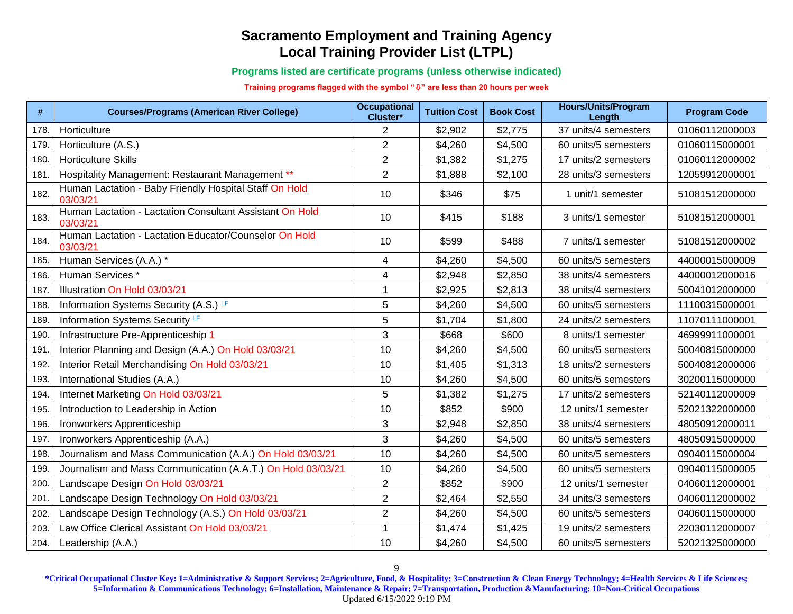**Programs listed are certificate programs (unless otherwise indicated)**

**Training programs flagged with the symbol "" are less than 20 hours per week**

| #    | <b>Courses/Programs (American River College)</b>                     | <b>Occupational</b><br>Cluster* | <b>Tuition Cost</b> | <b>Book Cost</b> | <b>Hours/Units/Program</b><br>Length | <b>Program Code</b> |
|------|----------------------------------------------------------------------|---------------------------------|---------------------|------------------|--------------------------------------|---------------------|
| 178  | Horticulture                                                         | $\overline{2}$                  | \$2,902             | \$2,775          | 37 units/4 semesters                 | 01060112000003      |
| 179. | Horticulture (A.S.)                                                  | $\overline{2}$                  | \$4,260             | \$4,500          | 60 units/5 semesters                 | 01060115000001      |
| 180. | <b>Horticulture Skills</b>                                           | $\overline{2}$                  | \$1,382             | \$1,275          | 17 units/2 semesters                 | 01060112000002      |
| 181  | Hospitality Management: Restaurant Management **                     | $\overline{2}$                  | \$1,888             | \$2,100          | 28 units/3 semesters                 | 12059912000001      |
| 182. | Human Lactation - Baby Friendly Hospital Staff On Hold<br>03/03/21   | 10                              | \$346               | \$75             | 1 unit/1 semester                    | 51081512000000      |
| 183. | Human Lactation - Lactation Consultant Assistant On Hold<br>03/03/21 | 10                              | \$415               | \$188            | 3 units/1 semester                   | 51081512000001      |
| 184. | Human Lactation - Lactation Educator/Counselor On Hold<br>03/03/21   | 10                              | \$599               | \$488            | 7 units/1 semester                   | 51081512000002      |
| 185. | Human Services (A.A.) *                                              | 4                               | \$4,260             | \$4,500          | 60 units/5 semesters                 | 44000015000009      |
| 186  | Human Services*                                                      | $\overline{\mathcal{A}}$        | \$2,948             | \$2,850          | 38 units/4 semesters                 | 44000012000016      |
| 187. | Illustration On Hold 03/03/21                                        | $\mathbf{1}$                    | \$2,925             | \$2,813          | 38 units/4 semesters                 | 50041012000000      |
| 188  | Information Systems Security (A.S.) LF                               | $\sqrt{5}$                      | \$4,260             | \$4,500          | 60 units/5 semesters                 | 11100315000001      |
| 189  | Information Systems Security LF                                      | 5                               | \$1,704             | \$1,800          | 24 units/2 semesters                 | 11070111000001      |
| 190  | Infrastructure Pre-Apprenticeship 1                                  | 3                               | \$668               | \$600            | 8 units/1 semester                   | 46999911000001      |
| 191  | Interior Planning and Design (A.A.) On Hold 03/03/21                 | 10                              | \$4,260             | \$4,500          | 60 units/5 semesters                 | 50040815000000      |
| 192. | Interior Retail Merchandising On Hold 03/03/21                       | 10                              | \$1,405             | \$1,313          | 18 units/2 semesters                 | 50040812000006      |
| 193  | International Studies (A.A.)                                         | 10                              | \$4,260             | \$4,500          | 60 units/5 semesters                 | 30200115000000      |
| 194  | Internet Marketing On Hold 03/03/21                                  | 5                               | \$1,382             | \$1,275          | 17 units/2 semesters                 | 52140112000009      |
| 195  | Introduction to Leadership in Action                                 | 10                              | \$852               | \$900            | 12 units/1 semester                  | 52021322000000      |
| 196. | Ironworkers Apprenticeship                                           | 3                               | \$2,948             | \$2,850          | 38 units/4 semesters                 | 48050912000011      |
| 197  | Ironworkers Apprenticeship (A.A.)                                    | 3                               | \$4,260             | \$4,500          | 60 units/5 semesters                 | 48050915000000      |
| 198. | Journalism and Mass Communication (A.A.) On Hold 03/03/21            | 10                              | \$4,260             | \$4,500          | 60 units/5 semesters                 | 09040115000004      |
| 199. | Journalism and Mass Communication (A.A.T.) On Hold 03/03/21          | 10                              | \$4,260             | \$4,500          | 60 units/5 semesters                 | 09040115000005      |
| 200  | Landscape Design On Hold 03/03/21                                    | $\overline{2}$                  | \$852               | \$900            | 12 units/1 semester                  | 04060112000001      |
| 201  | Landscape Design Technology On Hold 03/03/21                         | $\overline{2}$                  | \$2,464             | \$2,550          | 34 units/3 semesters                 | 04060112000002      |
| 202. | Landscape Design Technology (A.S.) On Hold 03/03/21                  | $\overline{2}$                  | \$4,260             | \$4,500          | 60 units/5 semesters                 | 04060115000000      |
| 203  | Law Office Clerical Assistant On Hold 03/03/21                       | $\mathbf{1}$                    | \$1,474             | \$1,425          | 19 units/2 semesters                 | 22030112000007      |
| 204. | Leadership (A.A.)                                                    | 10                              | \$4,260             | \$4,500          | 60 units/5 semesters                 | 52021325000000      |

**\*Critical Occupational Cluster Key: 1=Administrative & Support Services; 2=Agriculture, Food, & Hospitality; 3=Construction & Clean Energy Technology; 4=Health Services & Life Sciences; 5=Information & Communications Technology; 6=Installation, Maintenance & Repair; 7=Transportation, Production &Manufacturing; 10=Non-Critical Occupations** Updated 6/15/2022 9:19 PM

9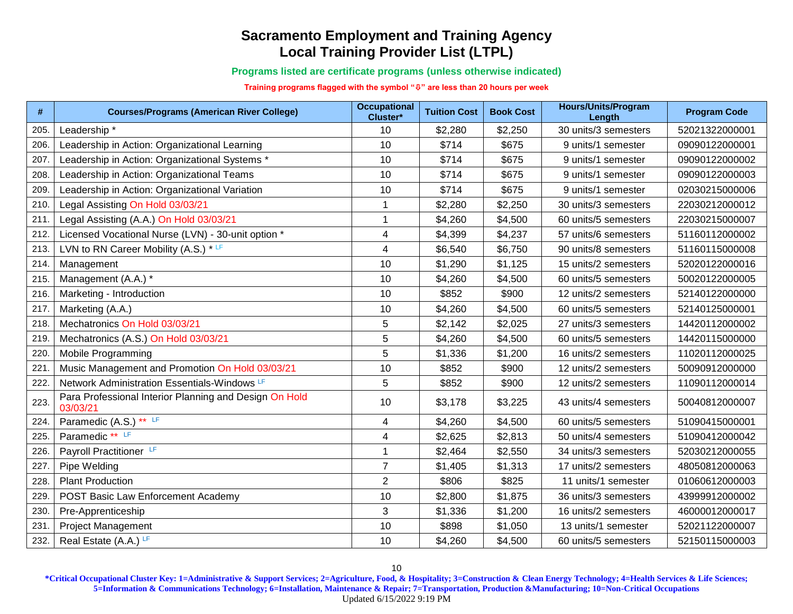**Programs listed are certificate programs (unless otherwise indicated)**

**Training programs flagged with the symbol "" are less than 20 hours per week**

| $\#$ | <b>Courses/Programs (American River College)</b>                   | <b>Occupational</b><br>Cluster* | <b>Tuition Cost</b> | <b>Book Cost</b> | <b>Hours/Units/Program</b><br>Length | <b>Program Code</b> |
|------|--------------------------------------------------------------------|---------------------------------|---------------------|------------------|--------------------------------------|---------------------|
| 205. | Leadership*                                                        | 10                              | \$2,280             | \$2,250          | 30 units/3 semesters                 | 52021322000001      |
| 206  | Leadership in Action: Organizational Learning                      | 10                              | \$714               | \$675            | 9 units/1 semester                   | 09090122000001      |
| 207  | Leadership in Action: Organizational Systems *                     | 10                              | \$714               | \$675            | 9 units/1 semester                   | 09090122000002      |
| 208  | Leadership in Action: Organizational Teams                         | 10                              | \$714               | \$675            | 9 units/1 semester                   | 09090122000003      |
| 209  | Leadership in Action: Organizational Variation                     | 10                              | \$714               | \$675            | 9 units/1 semester                   | 02030215000006      |
| 210  | Legal Assisting On Hold 03/03/21                                   | $\mathbf{1}$                    | \$2,280             | \$2,250          | 30 units/3 semesters                 | 22030212000012      |
| 211  | Legal Assisting (A.A.) On Hold 03/03/21                            | $\mathbf{1}$                    | \$4,260             | \$4,500          | 60 units/5 semesters                 | 22030215000007      |
| 212. | Licensed Vocational Nurse (LVN) - 30-unit option *                 | $\overline{\mathbf{4}}$         | \$4,399             | \$4,237          | 57 units/6 semesters                 | 51160112000002      |
| 213. | LVN to RN Career Mobility (A.S.) * LF                              | $\overline{\mathbf{4}}$         | \$6,540             | \$6,750          | 90 units/8 semesters                 | 51160115000008      |
| 214  | Management                                                         | 10                              | \$1,290             | \$1,125          | 15 units/2 semesters                 | 52020122000016      |
| 215. | Management (A.A.) *                                                | 10                              | \$4,260             | \$4,500          | 60 units/5 semesters                 | 50020122000005      |
| 216. | Marketing - Introduction                                           | 10                              | \$852               | \$900            | 12 units/2 semesters                 | 52140122000000      |
| 217  | Marketing (A.A.)                                                   | 10                              | \$4,260             | \$4,500          | 60 units/5 semesters                 | 52140125000001      |
| 218  | Mechatronics On Hold 03/03/21                                      | 5                               | \$2,142             | \$2,025          | 27 units/3 semesters                 | 14420112000002      |
| 219  | Mechatronics (A.S.) On Hold 03/03/21                               | 5                               | \$4,260             | \$4,500          | 60 units/5 semesters                 | 14420115000000      |
| 220  | Mobile Programming                                                 | 5                               | \$1,336             | \$1,200          | 16 units/2 semesters                 | 11020112000025      |
| 221  | Music Management and Promotion On Hold 03/03/21                    | 10                              | \$852               | \$900            | 12 units/2 semesters                 | 50090912000000      |
| 222  | Network Administration Essentials-Windows LF                       | 5                               | \$852               | \$900            | 12 units/2 semesters                 | 11090112000014      |
| 223. | Para Professional Interior Planning and Design On Hold<br>03/03/21 | 10                              | \$3,178             | \$3,225          | 43 units/4 semesters                 | 50040812000007      |
| 224  | Paramedic (A.S.) ** LF                                             | 4                               | \$4,260             | \$4,500          | 60 units/5 semesters                 | 51090415000001      |
| 225  | Paramedic ** LF                                                    | 4                               | \$2,625             | \$2,813          | 50 units/4 semesters                 | 51090412000042      |
| 226. | Payroll Practitioner LF                                            | $\mathbf{1}$                    | \$2,464             | \$2,550          | 34 units/3 semesters                 | 52030212000055      |
| 227  | Pipe Welding                                                       | $\overline{7}$                  | \$1,405             | \$1,313          | 17 units/2 semesters                 | 48050812000063      |
| 228  | <b>Plant Production</b>                                            | $\overline{2}$                  | \$806               | \$825            | 11 units/1 semester                  | 01060612000003      |
| 229  | POST Basic Law Enforcement Academy                                 | 10                              | \$2,800             | \$1,875          | 36 units/3 semesters                 | 43999912000002      |
| 230. | Pre-Apprenticeship                                                 | 3                               | \$1,336             | \$1,200          | 16 units/2 semesters                 | 46000012000017      |
| 231  | <b>Project Management</b>                                          | 10                              | \$898               | \$1,050          | 13 units/1 semester                  | 52021122000007      |
| 232. | Real Estate (A.A.) LF                                              | 10                              | \$4,260             | \$4,500          | 60 units/5 semesters                 | 52150115000003      |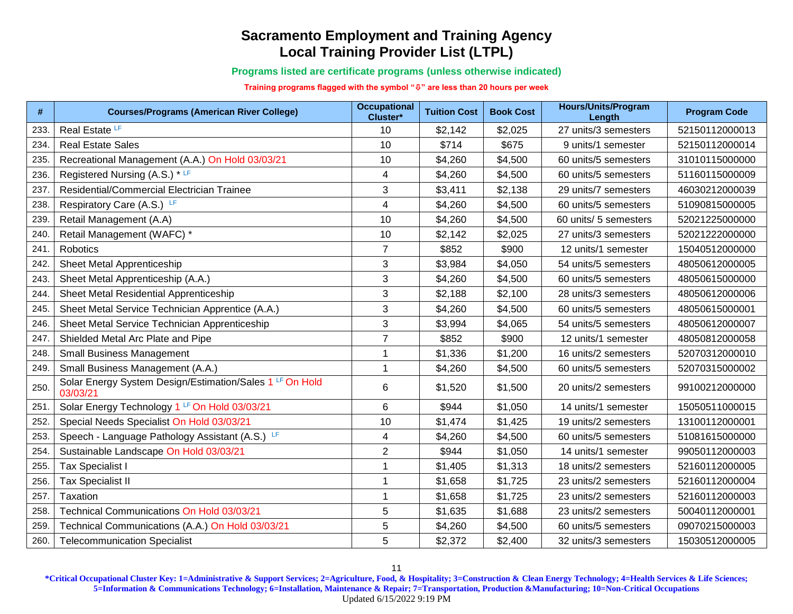**Programs listed are certificate programs (unless otherwise indicated)**

**Training programs flagged with the symbol "" are less than 20 hours per week**

| #    | <b>Courses/Programs (American River College)</b>                     | <b>Occupational</b><br>Cluster* | <b>Tuition Cost</b> | <b>Book Cost</b> | <b>Hours/Units/Program</b><br>Length | <b>Program Code</b> |
|------|----------------------------------------------------------------------|---------------------------------|---------------------|------------------|--------------------------------------|---------------------|
| 233  | Real Estate LF                                                       | 10                              | \$2,142             | \$2,025          | 27 units/3 semesters                 | 52150112000013      |
| 234  | <b>Real Estate Sales</b>                                             | 10                              | \$714               | \$675            | 9 units/1 semester                   | 52150112000014      |
| 235  | Recreational Management (A.A.) On Hold 03/03/21                      | 10                              | \$4,260             | \$4,500          | 60 units/5 semesters                 | 31010115000000      |
| 236  | Registered Nursing (A.S.) * LF                                       | $\overline{\mathbf{4}}$         | \$4,260             | \$4,500          | 60 units/5 semesters                 | 51160115000009      |
| 237  | Residential/Commercial Electrician Trainee                           | 3                               | \$3,411             | \$2,138          | 29 units/7 semesters                 | 46030212000039      |
| 238  | Respiratory Care (A.S.) LF                                           | 4                               | \$4,260             | \$4,500          | 60 units/5 semesters                 | 51090815000005      |
| 239  | Retail Management (A.A)                                              | 10                              | \$4,260             | \$4,500          | 60 units/ 5 semesters                | 52021225000000      |
| 240  | Retail Management (WAFC) *                                           | 10                              | \$2,142             | \$2,025          | 27 units/3 semesters                 | 52021222000000      |
| 241  | Robotics                                                             | $\overline{7}$                  | \$852               | \$900            | 12 units/1 semester                  | 15040512000000      |
| 242  | Sheet Metal Apprenticeship                                           | 3                               | \$3,984             | \$4,050          | 54 units/5 semesters                 | 48050612000005      |
| 243. | Sheet Metal Apprenticeship (A.A.)                                    | 3                               | \$4,260             | \$4,500          | 60 units/5 semesters                 | 48050615000000      |
| 244  | Sheet Metal Residential Apprenticeship                               | 3                               | \$2,188             | \$2,100          | 28 units/3 semesters                 | 48050612000006      |
| 245. | Sheet Metal Service Technician Apprentice (A.A.)                     | 3                               | \$4,260             | \$4,500          | 60 units/5 semesters                 | 48050615000001      |
| 246. | Sheet Metal Service Technician Apprenticeship                        | 3                               | \$3,994             | \$4,065          | 54 units/5 semesters                 | 48050612000007      |
| 247  | Shielded Metal Arc Plate and Pipe                                    | $\overline{7}$                  | \$852               | \$900            | 12 units/1 semester                  | 48050812000058      |
| 248  | <b>Small Business Management</b>                                     | $\mathbf{1}$                    | \$1,336             | \$1,200          | 16 units/2 semesters                 | 52070312000010      |
| 249. | Small Business Management (A.A.)                                     | $\mathbf{1}$                    | \$4,260             | \$4,500          | 60 units/5 semesters                 | 52070315000002      |
| 250. | Solar Energy System Design/Estimation/Sales 1 LF On Hold<br>03/03/21 | 6                               | \$1,520             | \$1,500          | 20 units/2 semesters                 | 99100212000000      |
| 251  | Solar Energy Technology 1 LF On Hold 03/03/21                        | 6                               | \$944               | \$1,050          | 14 units/1 semester                  | 15050511000015      |
| 252. | Special Needs Specialist On Hold 03/03/21                            | 10                              | \$1,474             | \$1,425          | 19 units/2 semesters                 | 13100112000001      |
| 253  | Speech - Language Pathology Assistant (A.S.) LF                      | $\overline{\mathbf{4}}$         | \$4,260             | \$4,500          | 60 units/5 semesters                 | 51081615000000      |
| 254  | Sustainable Landscape On Hold 03/03/21                               | $\overline{2}$                  | \$944               | \$1,050          | 14 units/1 semester                  | 99050112000003      |
| 255  | <b>Tax Specialist I</b>                                              | $\mathbf 1$                     | \$1,405             | \$1,313          | 18 units/2 semesters                 | 52160112000005      |
| 256. | <b>Tax Specialist II</b>                                             | $\mathbf 1$                     | \$1,658             | \$1,725          | 23 units/2 semesters                 | 52160112000004      |
| 257  | Taxation                                                             | $\mathbf{1}$                    | \$1,658             | \$1,725          | 23 units/2 semesters                 | 52160112000003      |
| 258  | Technical Communications On Hold 03/03/21                            | 5                               | \$1,635             | \$1,688          | 23 units/2 semesters                 | 50040112000001      |
| 259  | Technical Communications (A.A.) On Hold 03/03/21                     | 5                               | \$4,260             | \$4,500          | 60 units/5 semesters                 | 09070215000003      |
| 260. | <b>Telecommunication Specialist</b>                                  | 5                               | \$2,372             | \$2,400          | 32 units/3 semesters                 | 15030512000005      |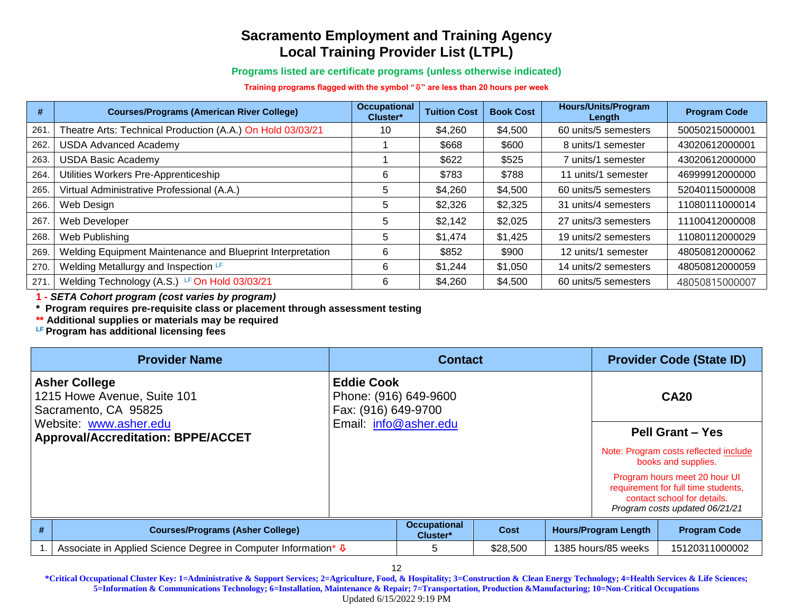**Programs listed are certificate programs (unless otherwise indicated)**

**Training programs flagged with the symbol "" are less than 20 hours per week**

| #    | <b>Courses/Programs (American River College)</b>           | <b>Occupational</b><br>Cluster* | <b>Tuition Cost</b> | <b>Book Cost</b> | <b>Hours/Units/Program</b><br>Length | <b>Program Code</b> |
|------|------------------------------------------------------------|---------------------------------|---------------------|------------------|--------------------------------------|---------------------|
| 261  | Theatre Arts: Technical Production (A.A.) On Hold 03/03/21 | 10                              | \$4,260             | \$4,500          | 60 units/5 semesters                 | 50050215000001      |
| 262. | <b>USDA Advanced Academy</b>                               |                                 | \$668               | \$600            | 8 units/1 semester                   | 43020612000001      |
| 263. | <b>USDA Basic Academy</b>                                  |                                 | \$622               | \$525            | 7 units/1 semester                   | 43020612000000      |
| 264. | Utilities Workers Pre-Apprenticeship                       | 6                               | \$783               | \$788            | 11 units/1 semester                  | 46999912000000      |
| 265. | Virtual Administrative Professional (A.A.)                 | 5                               | \$4,260             | \$4,500          | 60 units/5 semesters                 | 52040115000008      |
| 266. | Web Design                                                 | 5                               | \$2,326             | \$2,325          | 31 units/4 semesters                 | 11080111000014      |
| 267  | Web Developer                                              | 5                               | \$2,142             | \$2,025          | 27 units/3 semesters                 | 11100412000008      |
| 268. | Web Publishing                                             | 5                               | \$1,474             | \$1,425          | 19 units/2 semesters                 | 11080112000029      |
| 269. | Welding Equipment Maintenance and Blueprint Interpretation | 6                               | \$852               | \$900            | 12 units/1 semester                  | 48050812000062      |
| 270. | Welding Metallurgy and Inspection LF                       | 6                               | \$1,244             | \$1,050          | 14 units/2 semesters                 | 48050812000059      |
| 271  | Welding Technology (A.S.) LF On Hold 03/03/21              | 6                               | \$4,260             | \$4,500          | 60 units/5 semesters                 | 48050815000007      |

**1 -** *SETA Cohort program (cost varies by program)*

**\* Program requires pre-requisite class or placement through assessment testing** 

**\*\* Additional supplies or materials may be required**

**LF Program has additional licensing fees**

| <b>Provider Name</b> |                                                                             |                                                                   | <b>Contact</b>                  |          |                             | <b>Provider Code (State ID)</b>                                                                                                       |
|----------------------|-----------------------------------------------------------------------------|-------------------------------------------------------------------|---------------------------------|----------|-----------------------------|---------------------------------------------------------------------------------------------------------------------------------------|
|                      | <b>Asher College</b><br>1215 Howe Avenue, Suite 101<br>Sacramento, CA 95825 | <b>Eddie Cook</b><br>Phone: (916) 649-9600<br>Fax: (916) 649-9700 |                                 |          |                             | <b>CA20</b>                                                                                                                           |
|                      | Website: www.asher.edu<br><b>Approval/Accreditation: BPPE/ACCET</b>         | Email: info@asher.edu                                             |                                 |          |                             | <b>Pell Grant - Yes</b>                                                                                                               |
|                      |                                                                             |                                                                   |                                 |          |                             | Note: Program costs reflected include<br>books and supplies.                                                                          |
|                      |                                                                             |                                                                   |                                 |          |                             | Program hours meet 20 hour UI<br>requirement for full time students,<br>contact school for details.<br>Program costs updated 06/21/21 |
| #                    | <b>Courses/Programs (Asher College)</b>                                     |                                                                   | <b>Occupational</b><br>Cluster* | Cost     | <b>Hours/Program Length</b> | <b>Program Code</b>                                                                                                                   |
|                      | Associate in Applied Science Degree in Computer Information* $\Phi$         |                                                                   | 5                               | \$28,500 | 1385 hours/85 weeks         | 15120311000002                                                                                                                        |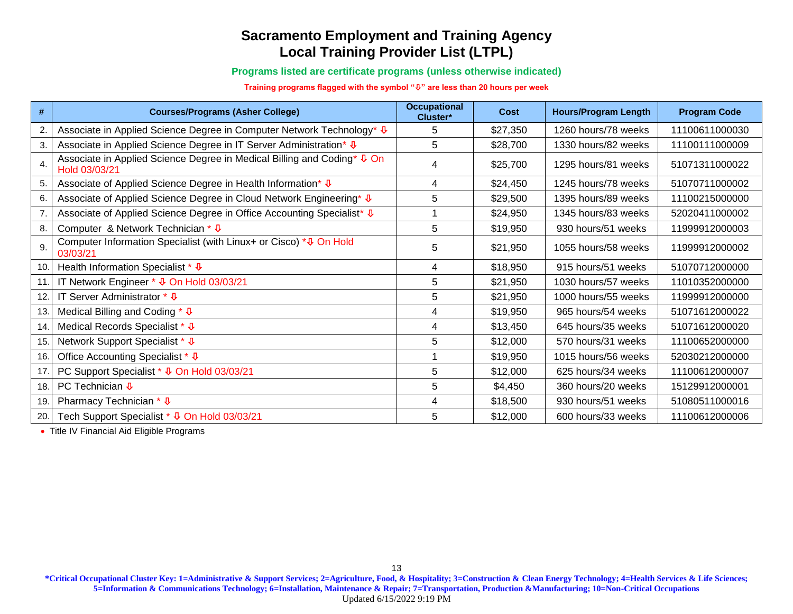#### **Programs listed are certificate programs (unless otherwise indicated)**

#### **Training programs flagged with the symbol "" are less than 20 hours per week**

| #               | <b>Courses/Programs (Asher College)</b>                                                              | <b>Occupational</b><br>Cluster* | Cost     | <b>Hours/Program Length</b> | <b>Program Code</b> |
|-----------------|------------------------------------------------------------------------------------------------------|---------------------------------|----------|-----------------------------|---------------------|
| 2.              | Associate in Applied Science Degree in Computer Network Technology* ↓                                | 5                               | \$27,350 | 1260 hours/78 weeks         | 11100611000030      |
| 3.              | Associate in Applied Science Degree in IT Server Administration* ↓                                   | 5                               | \$28,700 | 1330 hours/82 weeks         | 11100111000009      |
| 4.              | Associate in Applied Science Degree in Medical Billing and Coding <sup>*</sup> ↓ On<br>Hold 03/03/21 | 4                               | \$25,700 | 1295 hours/81 weeks         | 51071311000022      |
| 5.              | Associate of Applied Science Degree in Health Information* ↓                                         | 4                               | \$24,450 | 1245 hours/78 weeks         | 51070711000002      |
| 6.              | Associate of Applied Science Degree in Cloud Network Engineering* ↓                                  | 5                               | \$29,500 | 1395 hours/89 weeks         | 11100215000000      |
| 7.              | Associate of Applied Science Degree in Office Accounting Specialist* ↓                               |                                 | \$24,950 | 1345 hours/83 weeks         | 52020411000002      |
| 8.              | Computer & Network Technician * $\sqrt{\Phi}$                                                        | 5                               | \$19,950 | 930 hours/51 weeks          | 11999912000003      |
| 9.              | Computer Information Specialist (with Linux+ or Cisco) * ↓ On Hold<br>03/03/21                       | 5                               | \$21,950 | 1055 hours/58 weeks         | 11999912000002      |
| 10.             | Health Information Specialist * $\sqrt{\Phi}$                                                        | 4                               | \$18,950 | 915 hours/51 weeks          | 51070712000000      |
| 11              | IT Network Engineer * ↓ On Hold 03/03/21                                                             | 5                               | \$21,950 | 1030 hours/57 weeks         | 11010352000000      |
| 12.             | IT Server Administrator $*$ $\overline{\Psi}$                                                        | 5                               | \$21,950 | 1000 hours/55 weeks         | 11999912000000      |
| 13.             | Medical Billing and Coding $*$ $\overline{\Psi}$                                                     | 4                               | \$19,950 | 965 hours/54 weeks          | 51071612000022      |
| 14.             | Medical Records Specialist * ↓                                                                       | 4                               | \$13,450 | 645 hours/35 weeks          | 51071612000020      |
| 15.             | Network Support Specialist * ↓                                                                       | 5                               | \$12,000 | 570 hours/31 weeks          | 11100652000000      |
| 16.             | Office Accounting Specialist * ↓                                                                     |                                 | \$19,950 | 1015 hours/56 weeks         | 52030212000000      |
| 17 <sub>1</sub> | PC Support Specialist * ↓ On Hold 03/03/21                                                           | 5                               | \$12,000 | 625 hours/34 weeks          | 11100612000007      |
| 18.             | PC Technician $\Phi$                                                                                 | 5                               | \$4,450  | 360 hours/20 weeks          | 15129912000001      |
| 19.             | Pharmacy Technician $*$ $\overline{\Psi}$                                                            | 4                               | \$18,500 | 930 hours/51 weeks          | 51080511000016      |
| 20.             | Tech Support Specialist * $\overline{\Psi}$ On Hold 03/03/21                                         | 5                               | \$12,000 | 600 hours/33 weeks          | 11100612000006      |

• Title IV Financial Aid Eligible Programs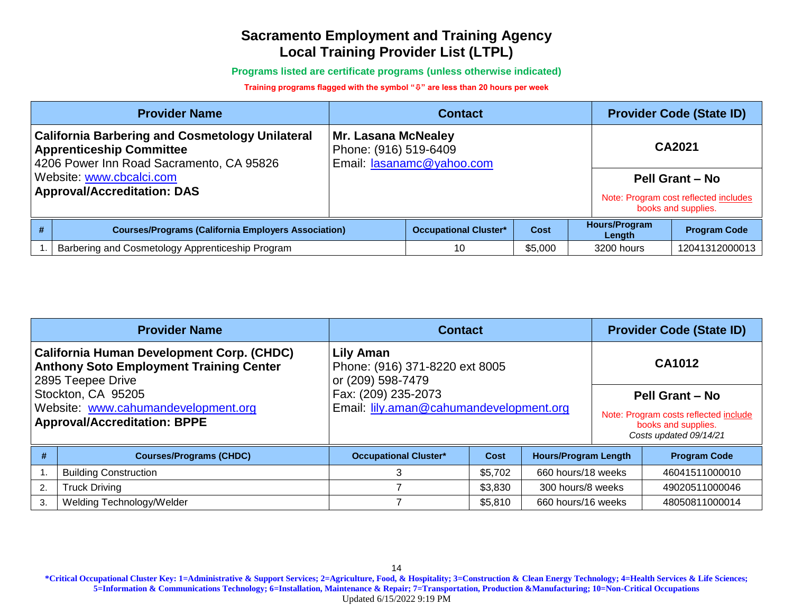**Programs listed are certificate programs (unless otherwise indicated)**

#### **Training programs flagged with the symbol "" are less than 20 hours per week**

| <b>Provider Name</b>                                                                                                                  |                                                     | <b>Contact</b>               |         | <b>Provider Code (State ID)</b> |                                                              |
|---------------------------------------------------------------------------------------------------------------------------------------|-----------------------------------------------------|------------------------------|---------|---------------------------------|--------------------------------------------------------------|
| <b>California Barbering and Cosmetology Unilateral</b><br><b>Apprenticeship Committee</b><br>4206 Power Inn Road Sacramento, CA 95826 | <b>Mr. Lasana McNealey</b><br>Phone: (916) 519-6409 | Email: lasanamc@yahoo.com    |         |                                 | CA2021                                                       |
| Website: www.cbcalci.com                                                                                                              |                                                     |                              |         |                                 | <b>Pell Grant - No</b>                                       |
| <b>Approval/Accreditation: DAS</b>                                                                                                    |                                                     |                              |         |                                 | Note: Program cost reflected includes<br>books and supplies. |
| <b>Courses/Programs (California Employers Association)</b>                                                                            |                                                     | <b>Occupational Cluster*</b> | Cost    | <b>Hours/Program</b><br>Length  | <b>Program Code</b>                                          |
| Barbering and Cosmetology Apprenticeship Program                                                                                      |                                                     | 10                           | \$5,000 | 3200 hours                      | 12041312000013                                               |

|                                                                            | <b>Provider Name</b>                                                                                                    | <b>Contact</b>                                                   | <b>Provider Code (State ID)</b> |                             |                                                                                        |                     |
|----------------------------------------------------------------------------|-------------------------------------------------------------------------------------------------------------------------|------------------------------------------------------------------|---------------------------------|-----------------------------|----------------------------------------------------------------------------------------|---------------------|
|                                                                            | <b>California Human Development Corp. (CHDC)</b><br><b>Anthony Soto Employment Training Center</b><br>2895 Teepee Drive | Lily Aman<br>Phone: (916) 371-8220 ext 8005<br>or (209) 598-7479 | <b>CA1012</b>                   |                             |                                                                                        |                     |
|                                                                            | Stockton, CA 95205                                                                                                      | Fax: (209) 235-2073                                              |                                 | <b>Pell Grant - No</b>      |                                                                                        |                     |
| Website: www.cahumandevelopment.org<br><b>Approval/Accreditation: BPPE</b> |                                                                                                                         | Email: lily.aman@cahumandevelopment.org                          |                                 |                             | Note: Program costs reflected include<br>books and supplies.<br>Costs updated 09/14/21 |                     |
|                                                                            | <b>Courses/Programs (CHDC)</b>                                                                                          | <b>Occupational Cluster*</b>                                     | <b>Cost</b>                     | <b>Hours/Program Length</b> |                                                                                        | <b>Program Code</b> |
|                                                                            | <b>Building Construction</b>                                                                                            | 3                                                                | \$5,702                         | 660 hours/18 weeks          |                                                                                        | 46041511000010      |
| 2.                                                                         | <b>Truck Driving</b>                                                                                                    |                                                                  | \$3,830                         | 300 hours/8 weeks           |                                                                                        | 49020511000046      |
| 3.                                                                         | Welding Technology/Welder                                                                                               |                                                                  | \$5,810                         | 660 hours/16 weeks          |                                                                                        | 48050811000014      |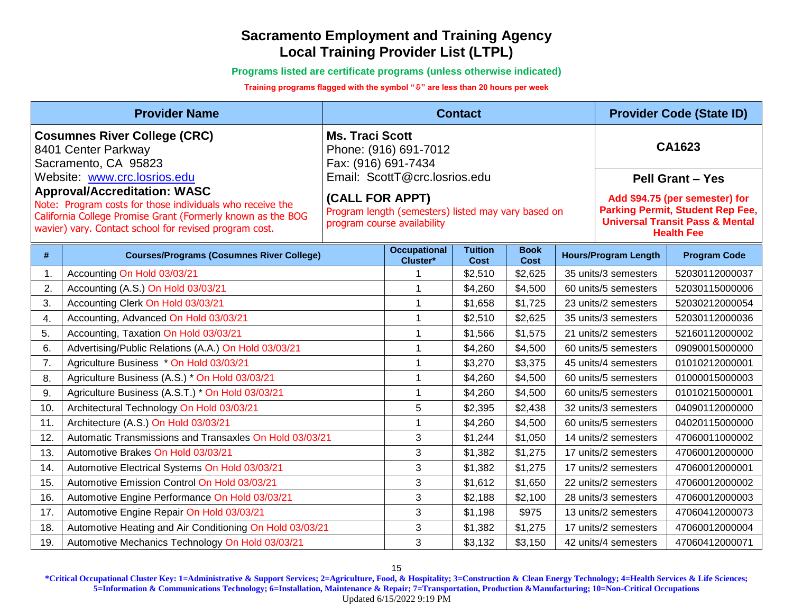**Programs listed are certificate programs (unless otherwise indicated)**

**Training programs flagged with the symbol "" are less than 20 hours per week**

|     | <b>Provider Name</b>                                                                                                                                                                                                   |                                                                  |                                                                                                               | <b>Contact</b>                |                            | <b>Provider Code (State ID)</b> |                                                                                                                |  |  |
|-----|------------------------------------------------------------------------------------------------------------------------------------------------------------------------------------------------------------------------|------------------------------------------------------------------|---------------------------------------------------------------------------------------------------------------|-------------------------------|----------------------------|---------------------------------|----------------------------------------------------------------------------------------------------------------|--|--|
|     | <b>Cosumnes River College (CRC)</b><br>8401 Center Parkway<br>Sacramento, CA 95823<br>Website: www.crc.losrios.edu<br><b>Approval/Accreditation: WASC</b><br>Note: Program costs for those individuals who receive the | <b>Ms. Traci Scott</b><br>Fax: (916) 691-7434<br>(CALL FOR APPT) | Phone: (916) 691-7012<br>Email: ScottT@crc.losrios.edu<br>Program length (semesters) listed may vary based on |                               |                            |                                 | CA1623<br><b>Pell Grant - Yes</b><br>Add \$94.75 (per semester) for<br><b>Parking Permit, Student Rep Fee,</b> |  |  |
|     | California College Promise Grant (Formerly known as the BOG<br>wavier) vary. Contact school for revised program cost.                                                                                                  |                                                                  | program course availability                                                                                   |                               |                            |                                 | <b>Universal Transit Pass &amp; Mental</b><br><b>Health Fee</b>                                                |  |  |
| #   | <b>Courses/Programs (Cosumnes River College)</b>                                                                                                                                                                       |                                                                  | <b>Occupational</b><br>Cluster*                                                                               | <b>Tuition</b><br><b>Cost</b> | <b>Book</b><br><b>Cost</b> | <b>Hours/Program Length</b>     | <b>Program Code</b>                                                                                            |  |  |
| 1.  | Accounting On Hold 03/03/21                                                                                                                                                                                            |                                                                  |                                                                                                               | \$2,510                       | \$2,625                    | 35 units/3 semesters            | 52030112000037                                                                                                 |  |  |
| 2.  | Accounting (A.S.) On Hold 03/03/21                                                                                                                                                                                     |                                                                  |                                                                                                               | \$4,260                       | \$4,500                    | 60 units/5 semesters            | 52030115000006                                                                                                 |  |  |
| 3.  | Accounting Clerk On Hold 03/03/21                                                                                                                                                                                      |                                                                  | $\overline{\phantom{a}}$                                                                                      | \$1,658                       | \$1,725                    | 23 units/2 semesters            | 52030212000054                                                                                                 |  |  |
| 4.  | Accounting, Advanced On Hold 03/03/21                                                                                                                                                                                  |                                                                  | 1                                                                                                             | \$2,510                       | \$2,625                    | 35 units/3 semesters            | 52030112000036                                                                                                 |  |  |
| 5.  | Accounting, Taxation On Hold 03/03/21                                                                                                                                                                                  |                                                                  | $\overline{\phantom{a}}$                                                                                      | \$1,566                       | \$1,575                    | 21 units/2 semesters            | 52160112000002                                                                                                 |  |  |
| 6.  | Advertising/Public Relations (A.A.) On Hold 03/03/21                                                                                                                                                                   |                                                                  | -1                                                                                                            | \$4,260                       | \$4,500                    | 60 units/5 semesters            | 09090015000000                                                                                                 |  |  |
| 7.  | Agriculture Business * On Hold 03/03/21                                                                                                                                                                                |                                                                  | $\overline{\phantom{a}}$                                                                                      | \$3,270                       | \$3,375                    | 45 units/4 semesters            | 01010212000001                                                                                                 |  |  |
| 8.  | Agriculture Business (A.S.) * On Hold 03/03/21                                                                                                                                                                         |                                                                  | $\overline{\phantom{a}}$                                                                                      | \$4,260                       | \$4,500                    | 60 units/5 semesters            | 01000015000003                                                                                                 |  |  |
| 9.  | Agriculture Business (A.S.T.) * On Hold 03/03/21                                                                                                                                                                       |                                                                  | 1                                                                                                             | \$4,260                       | \$4,500                    | 60 units/5 semesters            | 01010215000001                                                                                                 |  |  |
| 10. | Architectural Technology On Hold 03/03/21                                                                                                                                                                              |                                                                  | 5                                                                                                             | \$2,395                       | \$2,438                    | 32 units/3 semesters            | 04090112000000                                                                                                 |  |  |
| 11. | Architecture (A.S.) On Hold 03/03/21                                                                                                                                                                                   |                                                                  | $\overline{\phantom{a}}$                                                                                      | \$4,260                       | \$4,500                    | 60 units/5 semesters            | 04020115000000                                                                                                 |  |  |
| 12. | Automatic Transmissions and Transaxles On Hold 03/03/21                                                                                                                                                                |                                                                  | 3                                                                                                             | \$1,244                       | \$1,050                    | 14 units/2 semesters            | 47060011000002                                                                                                 |  |  |
| 13. | Automotive Brakes On Hold 03/03/21                                                                                                                                                                                     |                                                                  | 3                                                                                                             | \$1,382                       | \$1,275                    | 17 units/2 semesters            | 47060012000000                                                                                                 |  |  |
| 14. | Automotive Electrical Systems On Hold 03/03/21                                                                                                                                                                         |                                                                  | 3                                                                                                             | \$1,382                       | \$1,275                    | 17 units/2 semesters            | 47060012000001                                                                                                 |  |  |
| 15. | Automotive Emission Control On Hold 03/03/21                                                                                                                                                                           |                                                                  | 3                                                                                                             | \$1,612                       | \$1,650                    | 22 units/2 semesters            | 47060012000002                                                                                                 |  |  |
| 16. | Automotive Engine Performance On Hold 03/03/21                                                                                                                                                                         |                                                                  | 3                                                                                                             | \$2,188                       | \$2,100                    | 28 units/3 semesters            | 47060012000003                                                                                                 |  |  |
| 17. | Automotive Engine Repair On Hold 03/03/21                                                                                                                                                                              |                                                                  | 3                                                                                                             | \$1,198                       | \$975                      | 13 units/2 semesters            | 47060412000073                                                                                                 |  |  |
| 18. | Automotive Heating and Air Conditioning On Hold 03/03/21                                                                                                                                                               |                                                                  | 3                                                                                                             | \$1,382                       | \$1,275                    | 17 units/2 semesters            | 47060012000004                                                                                                 |  |  |
| 19. | Automotive Mechanics Technology On Hold 03/03/21                                                                                                                                                                       |                                                                  | 3                                                                                                             | \$3,132                       | \$3,150                    | 42 units/4 semesters            | 47060412000071                                                                                                 |  |  |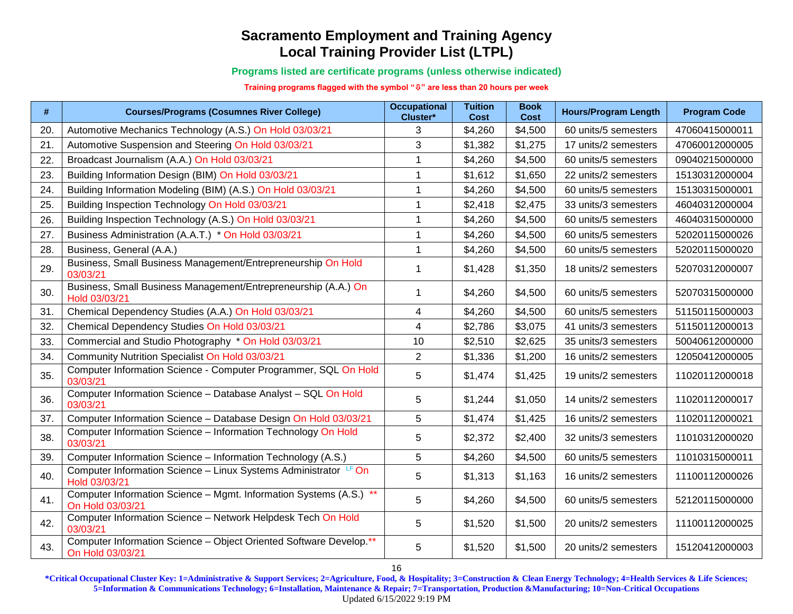**Programs listed are certificate programs (unless otherwise indicated)**

**Training programs flagged with the symbol "" are less than 20 hours per week**

| #   | <b>Courses/Programs (Cosumnes River College)</b>                                       | <b>Occupational</b><br>Cluster* | <b>Tuition</b><br><b>Cost</b> | <b>Book</b><br>Cost | <b>Hours/Program Length</b> | <b>Program Code</b> |
|-----|----------------------------------------------------------------------------------------|---------------------------------|-------------------------------|---------------------|-----------------------------|---------------------|
| 20. | Automotive Mechanics Technology (A.S.) On Hold 03/03/21                                | 3                               | \$4,260                       | \$4,500             | 60 units/5 semesters        | 47060415000011      |
| 21. | Automotive Suspension and Steering On Hold 03/03/21                                    | 3                               | \$1,382                       | \$1,275             | 17 units/2 semesters        | 47060012000005      |
| 22. | Broadcast Journalism (A.A.) On Hold 03/03/21                                           | 1                               | \$4,260                       | \$4,500             | 60 units/5 semesters        | 09040215000000      |
| 23. | Building Information Design (BIM) On Hold 03/03/21                                     | 1                               | \$1,612                       | \$1,650             | 22 units/2 semesters        | 15130312000004      |
| 24. | Building Information Modeling (BIM) (A.S.) On Hold 03/03/21                            | 1                               | \$4,260                       | \$4,500             | 60 units/5 semesters        | 15130315000001      |
| 25. | Building Inspection Technology On Hold 03/03/21                                        | 1                               | \$2,418                       | \$2,475             | 33 units/3 semesters        | 46040312000004      |
| 26. | Building Inspection Technology (A.S.) On Hold 03/03/21                                 | 1                               | \$4,260                       | \$4,500             | 60 units/5 semesters        | 46040315000000      |
| 27. | Business Administration (A.A.T.) * On Hold 03/03/21                                    | 1                               | \$4,260                       | \$4,500             | 60 units/5 semesters        | 52020115000026      |
| 28. | Business, General (A.A.)                                                               | 1                               | \$4,260                       | \$4,500             | 60 units/5 semesters        | 52020115000020      |
| 29. | Business, Small Business Management/Entrepreneurship On Hold<br>03/03/21               | 1                               | \$1,428                       | \$1,350             | 18 units/2 semesters        | 52070312000007      |
| 30. | Business, Small Business Management/Entrepreneurship (A.A.) On<br>Hold 03/03/21        | 1                               | \$4,260                       | \$4,500             | 60 units/5 semesters        | 52070315000000      |
| 31. | Chemical Dependency Studies (A.A.) On Hold 03/03/21                                    | 4                               | \$4,260                       | \$4,500             | 60 units/5 semesters        | 51150115000003      |
| 32. | Chemical Dependency Studies On Hold 03/03/21                                           | 4                               | \$2,786                       | \$3,075             | 41 units/3 semesters        | 51150112000013      |
| 33. | Commercial and Studio Photography * On Hold 03/03/21                                   | 10                              | \$2,510                       | \$2,625             | 35 units/3 semesters        | 50040612000000      |
| 34. | Community Nutrition Specialist On Hold 03/03/21                                        | $\overline{2}$                  | \$1,336                       | \$1,200             | 16 units/2 semesters        | 12050412000005      |
| 35. | Computer Information Science - Computer Programmer, SQL On Hold<br>03/03/21            | 5                               | \$1,474                       | \$1,425             | 19 units/2 semesters        | 11020112000018      |
| 36. | Computer Information Science - Database Analyst - SQL On Hold<br>03/03/21              | 5                               | \$1,244                       | \$1,050             | 14 units/2 semesters        | 11020112000017      |
| 37. | Computer Information Science - Database Design On Hold 03/03/21                        | 5                               | \$1,474                       | \$1,425             | 16 units/2 semesters        | 11020112000021      |
| 38. | Computer Information Science - Information Technology On Hold<br>03/03/21              | 5                               | \$2,372                       | \$2,400             | 32 units/3 semesters        | 11010312000020      |
| 39. | Computer Information Science - Information Technology (A.S.)                           | 5                               | \$4,260                       | \$4,500             | 60 units/5 semesters        | 11010315000011      |
| 40. | Computer Information Science - Linux Systems Administrator LF On<br>Hold 03/03/21      | 5                               | \$1,313                       | \$1,163             | 16 units/2 semesters        | 11100112000026      |
| 41. | Computer Information Science - Mgmt. Information Systems (A.S.) **<br>On Hold 03/03/21 | 5                               | \$4,260                       | \$4,500             | 60 units/5 semesters        | 52120115000000      |
| 42. | Computer Information Science - Network Helpdesk Tech On Hold<br>03/03/21               | 5                               | \$1,520                       | \$1,500             | 20 units/2 semesters        | 11100112000025      |
| 43. | Computer Information Science - Object Oriented Software Develop.**<br>On Hold 03/03/21 | 5                               | \$1,520                       | \$1,500             | 20 units/2 semesters        | 15120412000003      |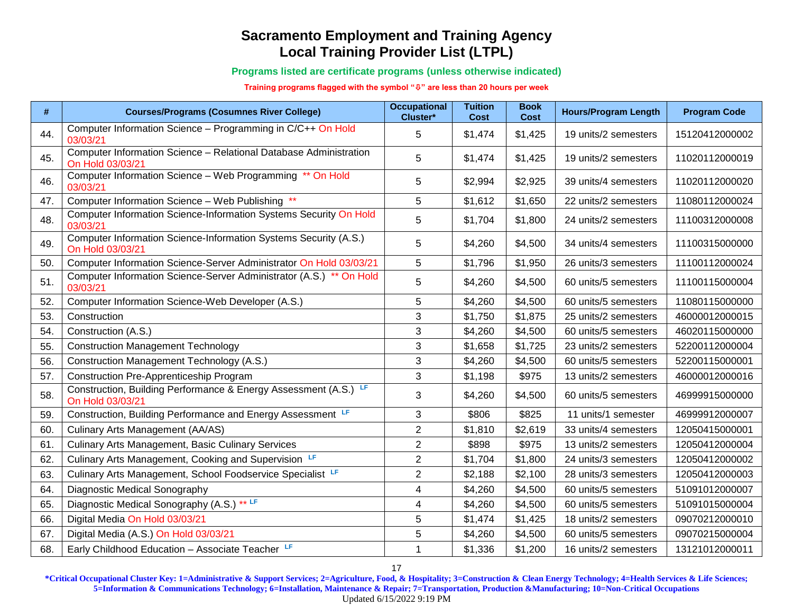#### **Programs listed are certificate programs (unless otherwise indicated)**

#### **Training programs flagged with the symbol "" are less than 20 hours per week**

| #   | <b>Courses/Programs (Cosumnes River College)</b>                                      | <b>Occupational</b><br>Cluster* | <b>Tuition</b><br><b>Cost</b> | <b>Book</b><br><b>Cost</b> | <b>Hours/Program Length</b> | <b>Program Code</b> |
|-----|---------------------------------------------------------------------------------------|---------------------------------|-------------------------------|----------------------------|-----------------------------|---------------------|
| 44. | Computer Information Science - Programming in C/C++ On Hold<br>03/03/21               | 5                               | \$1,474                       | \$1,425                    | 19 units/2 semesters        | 15120412000002      |
| 45. | Computer Information Science - Relational Database Administration<br>On Hold 03/03/21 | 5                               | \$1,474                       | \$1,425                    | 19 units/2 semesters        | 11020112000019      |
| 46. | Computer Information Science - Web Programming ** On Hold<br>03/03/21                 | 5                               | \$2,994                       | \$2,925                    | 39 units/4 semesters        | 11020112000020      |
| 47. | Computer Information Science - Web Publishing **                                      | 5                               | \$1,612                       | \$1,650                    | 22 units/2 semesters        | 11080112000024      |
| 48. | Computer Information Science-Information Systems Security On Hold<br>03/03/21         | 5                               | \$1,704                       | \$1,800                    | 24 units/2 semesters        | 11100312000008      |
| 49. | Computer Information Science-Information Systems Security (A.S.)<br>On Hold 03/03/21  | 5                               | \$4,260                       | \$4,500                    | 34 units/4 semesters        | 11100315000000      |
| 50. | Computer Information Science-Server Administrator On Hold 03/03/21                    | 5                               | \$1,796                       | \$1,950                    | 26 units/3 semesters        | 11100112000024      |
| 51. | Computer Information Science-Server Administrator (A.S.) ** On Hold<br>03/03/21       | 5                               | \$4,260                       | \$4,500                    | 60 units/5 semesters        | 11100115000004      |
| 52. | Computer Information Science-Web Developer (A.S.)                                     | 5                               | \$4,260                       | \$4,500                    | 60 units/5 semesters        | 11080115000000      |
| 53. | Construction                                                                          | 3                               | \$1,750                       | \$1,875                    | 25 units/2 semesters        | 46000012000015      |
| 54. | Construction (A.S.)                                                                   | 3                               | \$4,260                       | \$4,500                    | 60 units/5 semesters        | 46020115000000      |
| 55. | <b>Construction Management Technology</b>                                             | 3                               | \$1,658                       | \$1,725                    | 23 units/2 semesters        | 52200112000004      |
| 56. | Construction Management Technology (A.S.)                                             | 3                               | \$4,260                       | \$4,500                    | 60 units/5 semesters        | 52200115000001      |
| 57. | <b>Construction Pre-Apprenticeship Program</b>                                        | 3                               | \$1,198                       | \$975                      | 13 units/2 semesters        | 46000012000016      |
| 58. | Construction, Building Performance & Energy Assessment (A.S.) LF<br>On Hold 03/03/21  | 3                               | \$4,260                       | \$4,500                    | 60 units/5 semesters        | 46999915000000      |
| 59. | Construction, Building Performance and Energy Assessment LF                           | 3                               | \$806                         | \$825                      | 11 units/1 semester         | 46999912000007      |
| 60. | <b>Culinary Arts Management (AA/AS)</b>                                               | $\overline{2}$                  | \$1,810                       | \$2,619                    | 33 units/4 semesters        | 12050415000001      |
| 61. | <b>Culinary Arts Management, Basic Culinary Services</b>                              | $\overline{2}$                  | \$898                         | \$975                      | 13 units/2 semesters        | 12050412000004      |
| 62. | Culinary Arts Management, Cooking and Supervision LF                                  | $\overline{2}$                  | \$1,704                       | \$1,800                    | 24 units/3 semesters        | 12050412000002      |
| 63. | Culinary Arts Management, School Foodservice Specialist LF                            | $\overline{2}$                  | \$2,188                       | \$2,100                    | 28 units/3 semesters        | 12050412000003      |
| 64. | Diagnostic Medical Sonography                                                         | 4                               | \$4,260                       | \$4,500                    | 60 units/5 semesters        | 51091012000007      |
| 65. | Diagnostic Medical Sonography (A.S.) ** LF                                            | 4                               | \$4,260                       | \$4,500                    | 60 units/5 semesters        | 51091015000004      |
| 66. | Digital Media On Hold 03/03/21                                                        | 5                               | \$1,474                       | \$1,425                    | 18 units/2 semesters        | 09070212000010      |
| 67. | Digital Media (A.S.) On Hold 03/03/21                                                 | 5                               | \$4,260                       | \$4,500                    | 60 units/5 semesters        | 09070215000004      |
| 68. | Early Childhood Education - Associate Teacher LF                                      | 1                               | \$1,336                       | \$1,200                    | 16 units/2 semesters        | 13121012000011      |

17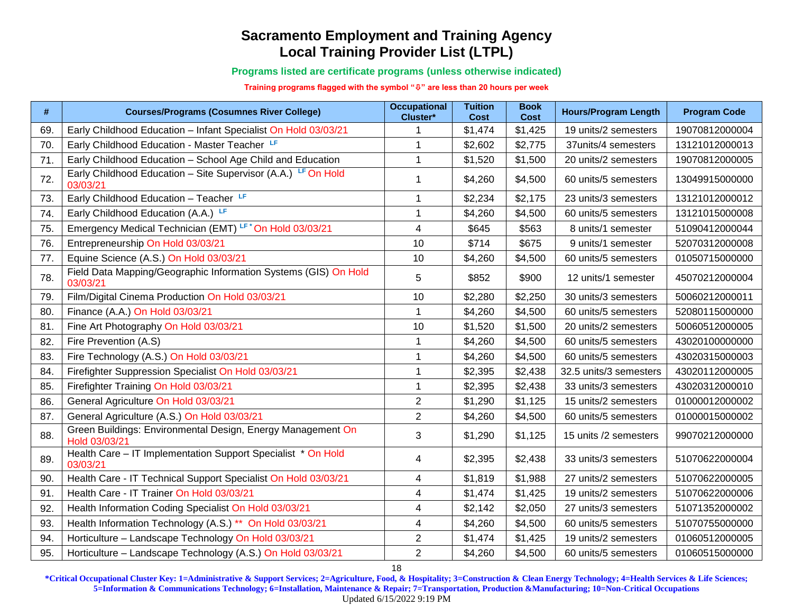**Programs listed are certificate programs (unless otherwise indicated)**

**Training programs flagged with the symbol "" are less than 20 hours per week**

| #   | <b>Courses/Programs (Cosumnes River College)</b>                             | <b>Occupational</b><br>Cluster* | <b>Tuition</b><br><b>Cost</b> | <b>Book</b><br>Cost | <b>Hours/Program Length</b> | <b>Program Code</b> |
|-----|------------------------------------------------------------------------------|---------------------------------|-------------------------------|---------------------|-----------------------------|---------------------|
| 69. | Early Childhood Education - Infant Specialist On Hold 03/03/21               |                                 | \$1,474                       | \$1,425             | 19 units/2 semesters        | 19070812000004      |
| 70. | Early Childhood Education - Master Teacher LF                                | 1                               | \$2,602                       | \$2,775             | 37units/4 semesters         | 13121012000013      |
| 71. | Early Childhood Education - School Age Child and Education                   | 1                               | \$1,520                       | \$1,500             | 20 units/2 semesters        | 19070812000005      |
| 72. | Early Childhood Education - Site Supervisor (A.A.) LF On Hold<br>03/03/21    | 1                               | \$4,260                       | \$4,500             | 60 units/5 semesters        | 13049915000000      |
| 73. | Early Childhood Education - Teacher LF                                       | 1                               | \$2,234                       | \$2,175             | 23 units/3 semesters        | 13121012000012      |
| 74. | Early Childhood Education (A.A.) LF                                          | 1                               | \$4,260                       | \$4,500             | 60 units/5 semesters        | 13121015000008      |
| 75. | Emergency Medical Technician (EMT) LF*On Hold 03/03/21                       | 4                               | \$645                         | \$563               | 8 units/1 semester          | 51090412000044      |
| 76. | Entrepreneurship On Hold 03/03/21                                            | 10                              | \$714                         | \$675               | 9 units/1 semester          | 52070312000008      |
| 77. | Equine Science (A.S.) On Hold 03/03/21                                       | 10                              | \$4,260                       | \$4,500             | 60 units/5 semesters        | 01050715000000      |
| 78. | Field Data Mapping/Geographic Information Systems (GIS) On Hold<br>03/03/21  | 5                               | \$852                         | \$900               | 12 units/1 semester         | 45070212000004      |
| 79  | Film/Digital Cinema Production On Hold 03/03/21                              | 10                              | \$2,280                       | \$2,250             | 30 units/3 semesters        | 50060212000011      |
| 80. | Finance (A.A.) On Hold 03/03/21                                              | 1                               | \$4,260                       | \$4,500             | 60 units/5 semesters        | 52080115000000      |
| 81. | Fine Art Photography On Hold 03/03/21                                        | 10                              | \$1,520                       | \$1,500             | 20 units/2 semesters        | 50060512000005      |
| 82. | Fire Prevention (A.S)                                                        | 1                               | \$4,260                       | \$4,500             | 60 units/5 semesters        | 43020100000000      |
| 83. | Fire Technology (A.S.) On Hold 03/03/21                                      | 1                               | \$4,260                       | \$4,500             | 60 units/5 semesters        | 43020315000003      |
| 84. | Firefighter Suppression Specialist On Hold 03/03/21                          | 1                               | \$2,395                       | \$2,438             | 32.5 units/3 semesters      | 43020112000005      |
| 85. | Firefighter Training On Hold 03/03/21                                        | 1                               | \$2,395                       | \$2,438             | 33 units/3 semesters        | 43020312000010      |
| 86. | General Agriculture On Hold 03/03/21                                         | $\overline{2}$                  | \$1,290                       | \$1,125             | 15 units/2 semesters        | 01000012000002      |
| 87. | General Agriculture (A.S.) On Hold 03/03/21                                  | $\overline{2}$                  | \$4,260                       | \$4,500             | 60 units/5 semesters        | 01000015000002      |
| 88. | Green Buildings: Environmental Design, Energy Management On<br>Hold 03/03/21 | 3                               | \$1,290                       | \$1,125             | 15 units /2 semesters       | 99070212000000      |
| 89. | Health Care - IT Implementation Support Specialist * On Hold<br>03/03/21     | 4                               | \$2,395                       | \$2,438             | 33 units/3 semesters        | 51070622000004      |
| 90. | Health Care - IT Technical Support Specialist On Hold 03/03/21               | 4                               | \$1,819                       | \$1,988             | 27 units/2 semesters        | 51070622000005      |
| 91  | Health Care - IT Trainer On Hold 03/03/21                                    | 4                               | \$1,474                       | \$1,425             | 19 units/2 semesters        | 51070622000006      |
| 92. | Health Information Coding Specialist On Hold 03/03/21                        | 4                               | \$2,142                       | \$2,050             | 27 units/3 semesters        | 51071352000002      |
| 93. | Health Information Technology (A.S.) ** On Hold 03/03/21                     | 4                               | \$4,260                       | \$4,500             | 60 units/5 semesters        | 51070755000000      |
| 94  | Horticulture - Landscape Technology On Hold 03/03/21                         | $\overline{c}$                  | \$1,474                       | \$1,425             | 19 units/2 semesters        | 01060512000005      |
| 95. | Horticulture - Landscape Technology (A.S.) On Hold 03/03/21                  | $\overline{2}$                  | \$4,260                       | \$4,500             | 60 units/5 semesters        | 01060515000000      |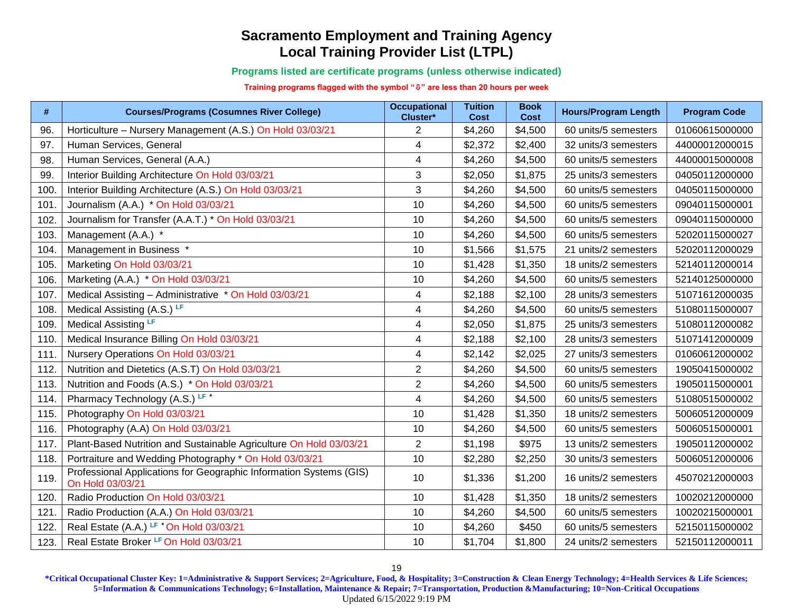**Programs listed are certificate programs (unless otherwise indicated)**

**Training programs flagged with the symbol "" are less than 20 hours per week**

| #    | <b>Courses/Programs (Cosumnes River College)</b>                                       | <b>Occupational</b><br>Cluster* | <b>Tuition</b><br><b>Cost</b> | <b>Book</b><br><b>Cost</b> | <b>Hours/Program Length</b> | <b>Program Code</b> |
|------|----------------------------------------------------------------------------------------|---------------------------------|-------------------------------|----------------------------|-----------------------------|---------------------|
| 96.  | Horticulture - Nursery Management (A.S.) On Hold 03/03/21                              | 2                               | \$4,260                       | \$4,500                    | 60 units/5 semesters        | 01060615000000      |
| 97.  | Human Services, General                                                                | 4                               | \$2,372                       | \$2,400                    | 32 units/3 semesters        | 44000012000015      |
| 98.  | Human Services, General (A.A.)                                                         | 4                               | \$4,260                       | \$4,500                    | 60 units/5 semesters        | 44000015000008      |
| 99.  | Interior Building Architecture On Hold 03/03/21                                        | 3                               | \$2,050                       | \$1,875                    | 25 units/3 semesters        | 04050112000000      |
| 100. | Interior Building Architecture (A.S.) On Hold 03/03/21                                 | 3                               | \$4,260                       | \$4,500                    | 60 units/5 semesters        | 04050115000000      |
| 101. | Journalism (A.A.) * On Hold 03/03/21                                                   | 10                              | \$4,260                       | \$4,500                    | 60 units/5 semesters        | 09040115000001      |
| 102. | Journalism for Transfer (A.A.T.) * On Hold 03/03/21                                    | 10                              | \$4,260                       | \$4,500                    | 60 units/5 semesters        | 09040115000000      |
| 103. | Management (A.A.) *                                                                    | 10                              | \$4,260                       | \$4,500                    | 60 units/5 semesters        | 52020115000027      |
| 104. | Management in Business *                                                               | 10                              | \$1,566                       | \$1,575                    | 21 units/2 semesters        | 52020112000029      |
| 105. | Marketing On Hold 03/03/21                                                             | 10                              | \$1,428                       | \$1,350                    | 18 units/2 semesters        | 52140112000014      |
| 106. | Marketing (A.A.) * On Hold 03/03/21                                                    | 10                              | \$4,260                       | \$4,500                    | 60 units/5 semesters        | 52140125000000      |
| 107. | Medical Assisting - Administrative * On Hold 03/03/21                                  | 4                               | \$2,188                       | \$2,100                    | 28 units/3 semesters        | 51071612000035      |
| 108. | Medical Assisting (A.S.) LF                                                            | 4                               | \$4,260                       | \$4,500                    | 60 units/5 semesters        | 51080115000007      |
| 109. | Medical Assisting LF                                                                   | 4                               | \$2,050                       | \$1,875                    | 25 units/3 semesters        | 51080112000082      |
| 110. | Medical Insurance Billing On Hold 03/03/21                                             | 4                               | \$2,188                       | \$2,100                    | 28 units/3 semesters        | 51071412000009      |
| 111. | Nursery Operations On Hold 03/03/21                                                    | 4                               | \$2,142                       | \$2,025                    | 27 units/3 semesters        | 01060612000002      |
| 112. | Nutrition and Dietetics (A.S.T) On Hold 03/03/21                                       | $\overline{2}$                  | \$4,260                       | \$4,500                    | 60 units/5 semesters        | 19050415000002      |
| 113. | Nutrition and Foods (A.S.) * On Hold 03/03/21                                          | $\overline{2}$                  | \$4,260                       | \$4,500                    | 60 units/5 semesters        | 19050115000001      |
| 114. | Pharmacy Technology (A.S.) LF*                                                         | 4                               | \$4,260                       | \$4,500                    | 60 units/5 semesters        | 51080515000002      |
| 115. | Photography On Hold 03/03/21                                                           | 10                              | \$1,428                       | \$1,350                    | 18 units/2 semesters        | 50060512000009      |
| 116. | Photography (A.A) On Hold 03/03/21                                                     | 10                              | \$4,260                       | \$4,500                    | 60 units/5 semesters        | 50060515000001      |
| 117. | Plant-Based Nutrition and Sustainable Agriculture On Hold 03/03/21                     | $\overline{2}$                  | \$1,198                       | \$975                      | 13 units/2 semesters        | 19050112000002      |
| 118. | Portraiture and Wedding Photography * On Hold 03/03/21                                 | 10                              | \$2,280                       | \$2,250                    | 30 units/3 semesters        | 50060512000006      |
| 119. | Professional Applications for Geographic Information Systems (GIS)<br>On Hold 03/03/21 | 10                              | \$1,336                       | \$1,200                    | 16 units/2 semesters        | 45070212000003      |
| 120. | Radio Production On Hold 03/03/21                                                      | 10                              | \$1,428                       | \$1,350                    | 18 units/2 semesters        | 10020212000000      |
| 121. | Radio Production (A.A.) On Hold 03/03/21                                               | 10                              | \$4,260                       | \$4,500                    | 60 units/5 semesters        | 10020215000001      |
| 122. | Real Estate (A.A.) LF * On Hold 03/03/21                                               | 10                              | \$4,260                       | \$450                      | 60 units/5 semesters        | 52150115000002      |
| 123. | Real Estate Broker <sup>LF</sup> On Hold 03/03/21                                      | 10                              | \$1,704                       | \$1,800                    | 24 units/2 semesters        | 52150112000011      |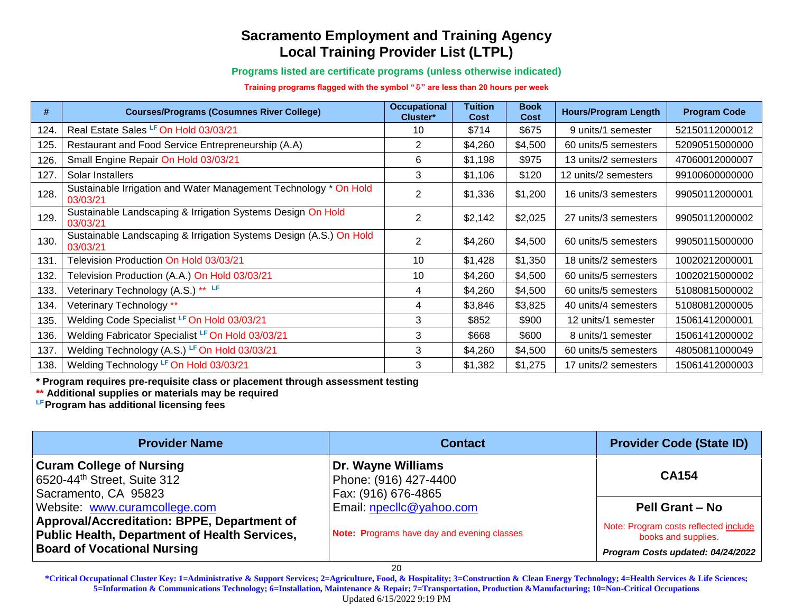**Programs listed are certificate programs (unless otherwise indicated)**

**Training programs flagged with the symbol "" are less than 20 hours per week**

| #    | <b>Courses/Programs (Cosumnes River College)</b>                               | <b>Occupational</b><br>Cluster* | Tuition<br><b>Cost</b> | <b>Book</b><br><b>Cost</b> | <b>Hours/Program Length</b> | <b>Program Code</b> |
|------|--------------------------------------------------------------------------------|---------------------------------|------------------------|----------------------------|-----------------------------|---------------------|
| 124. | Real Estate Sales LF On Hold 03/03/21                                          | 10                              | \$714                  | \$675                      | 9 units/1 semester          | 52150112000012      |
| 125. | Restaurant and Food Service Entrepreneurship (A.A)                             | 2                               | \$4,260                | \$4,500                    | 60 units/5 semesters        | 52090515000000      |
| 126. | Small Engine Repair On Hold 03/03/21                                           | 6                               | \$1,198                | \$975                      | 13 units/2 semesters        | 47060012000007      |
| 127. | Solar Installers                                                               | 3                               | \$1,106                | \$120                      | 12 units/2 semesters        | 99100600000000      |
| 128. | Sustainable Irrigation and Water Management Technology * On Hold<br>03/03/21   | 2                               | \$1,336                | \$1,200                    | 16 units/3 semesters        | 99050112000001      |
| 129. | Sustainable Landscaping & Irrigation Systems Design On Hold<br>03/03/21        | $\overline{2}$                  | \$2,142                | \$2,025                    | 27 units/3 semesters        | 99050112000002      |
| 130. | Sustainable Landscaping & Irrigation Systems Design (A.S.) On Hold<br>03/03/21 | 2                               | \$4,260                | \$4,500                    | 60 units/5 semesters        | 99050115000000      |
| 131. | Television Production On Hold 03/03/21                                         | 10                              | \$1,428                | \$1,350                    | 18 units/2 semesters        | 10020212000001      |
| 132. | Television Production (A.A.) On Hold 03/03/21                                  | 10                              | \$4,260                | \$4,500                    | 60 units/5 semesters        | 10020215000002      |
| 133. | Veterinary Technology (A.S.) ** LF                                             | 4                               | \$4,260                | \$4,500                    | 60 units/5 semesters        | 51080815000002      |
| 134. | Veterinary Technology **                                                       | 4                               | \$3,846                | \$3,825                    | 40 units/4 semesters        | 51080812000005      |
| 135. | Welding Code Specialist LF On Hold 03/03/21                                    | 3                               | \$852                  | \$900                      | 12 units/1 semester         | 15061412000001      |
| 136. | Welding Fabricator Specialist LF On Hold 03/03/21                              | 3                               | \$668                  | \$600                      | 8 units/1 semester          | 15061412000002      |
| 137. | Welding Technology (A.S.) LF On Hold 03/03/21                                  | 3                               | \$4,260                | \$4,500                    | 60 units/5 semesters        | 48050811000049      |
| 138. | Welding Technology LF On Hold 03/03/21                                         | 3                               | \$1,382                | \$1,275                    | 17 units/2 semesters        | 15061412000003      |

**\* Program requires pre-requisite class or placement through assessment testing** 

**\*\* Additional supplies or materials may be required**

**LFProgram has additional licensing fees**

| <b>Provider Name</b>                                                                                                               | <b>Contact</b>                                                     | <b>Provider Code (State ID)</b>                                                                   |
|------------------------------------------------------------------------------------------------------------------------------------|--------------------------------------------------------------------|---------------------------------------------------------------------------------------------------|
| <b>Curam College of Nursing</b><br>6520-44th Street, Suite 312<br>Sacramento, CA 95823                                             | Dr. Wayne Williams<br>Phone: (916) 427-4400<br>Fax: (916) 676-4865 | <b>CA154</b>                                                                                      |
| Website: www.curamcollege.com                                                                                                      | Email: npecllc@yahoo.com                                           | <b>Pell Grant - No</b>                                                                            |
| Approval/Accreditation: BPPE, Department of<br>Public Health, Department of Health Services.<br><b>Board of Vocational Nursing</b> | Note: Programs have day and evening classes                        | Note: Program costs reflected include<br>books and supplies.<br>Program Costs updated: 04/24/2022 |

20

**\*Critical Occupational Cluster Key: 1=Administrative & Support Services; 2=Agriculture, Food, & Hospitality; 3=Construction & Clean Energy Technology; 4=Health Services & Life Sciences; 5=Information & Communications Technology; 6=Installation, Maintenance & Repair; 7=Transportation, Production &Manufacturing; 10=Non-Critical Occupations**

Updated 6/15/2022 9:19 PM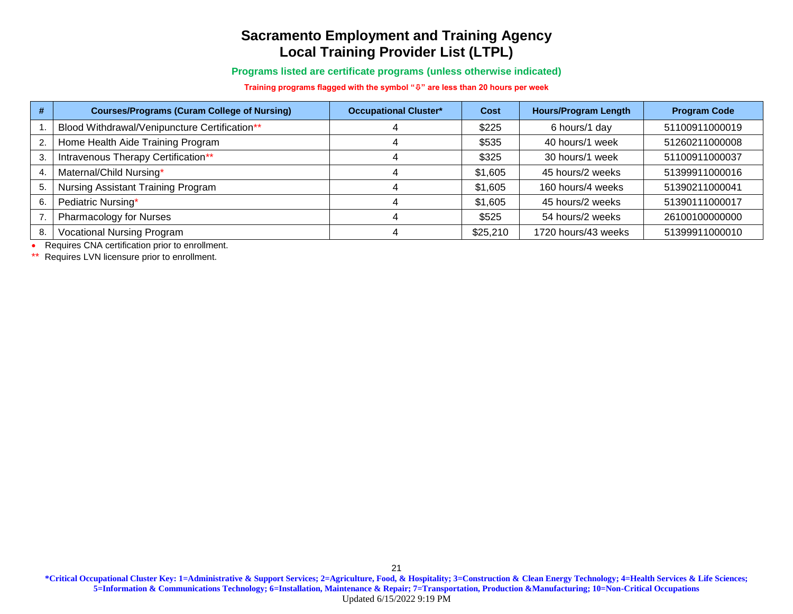**Programs listed are certificate programs (unless otherwise indicated)**

**Training programs flagged with the symbol "" are less than 20 hours per week**

| #  | <b>Courses/Programs (Curam College of Nursing)</b> | <b>Occupational Cluster*</b> | <b>Cost</b> | <b>Hours/Program Length</b> | <b>Program Code</b> |
|----|----------------------------------------------------|------------------------------|-------------|-----------------------------|---------------------|
|    | Blood Withdrawal/Venipuncture Certification**      |                              | \$225       | 6 hours/1 day               | 51100911000019      |
| 2. | Home Health Aide Training Program                  |                              | \$535       | 40 hours/1 week             | 51260211000008      |
| 3  | Intravenous Therapy Certification**                |                              | \$325       | 30 hours/1 week             | 51100911000037      |
| 4. | Maternal/Child Nursing*                            |                              | \$1,605     | 45 hours/2 weeks            | 51399911000016      |
| 5. | Nursing Assistant Training Program                 |                              | \$1,605     | 160 hours/4 weeks           | 51390211000041      |
| 6. | Pediatric Nursing*                                 |                              | \$1,605     | 45 hours/2 weeks            | 51390111000017      |
|    | <b>Pharmacology for Nurses</b>                     |                              | \$525       | 54 hours/2 weeks            | 26100100000000      |
| 8. | <b>Vocational Nursing Program</b>                  |                              | \$25,210    | 1720 hours/43 weeks         | 51399911000010      |

• Requires CNA certification prior to enrollment.

\*\* Requires LVN licensure prior to enrollment.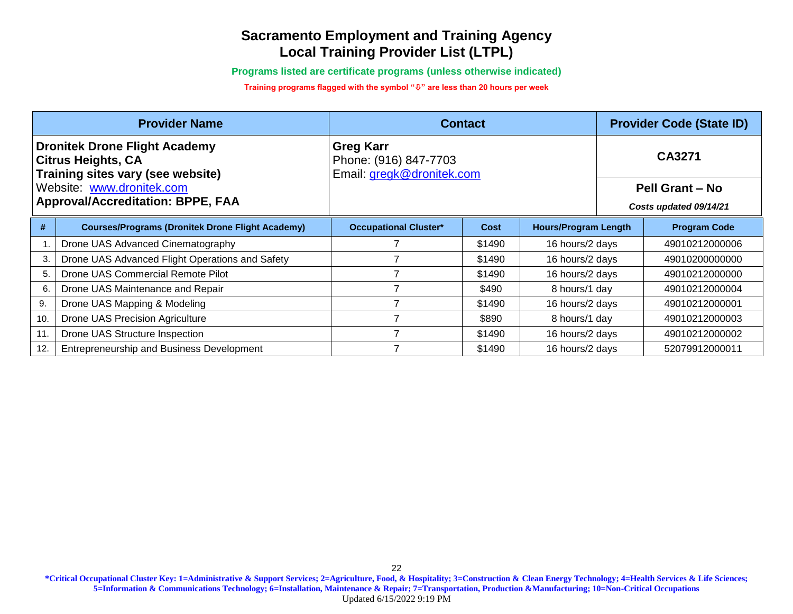**Programs listed are certificate programs (unless otherwise indicated)**

**Training programs flagged with the symbol "" are less than 20 hours per week**

|                                                                                                                                                                                 | <b>Provider Name</b>                                    | <b>Contact</b>                                                         |        |                             |                                                     | <b>Provider Code (State ID)</b> |  |
|---------------------------------------------------------------------------------------------------------------------------------------------------------------------------------|---------------------------------------------------------|------------------------------------------------------------------------|--------|-----------------------------|-----------------------------------------------------|---------------------------------|--|
| <b>Dronitek Drone Flight Academy</b><br><b>Citrus Heights, CA</b><br>Training sites vary (see website)<br>Website: www.dronitek.com<br><b>Approval/Accreditation: BPPE, FAA</b> |                                                         | <b>Greg Karr</b><br>Phone: (916) 847-7703<br>Email: gregk@dronitek.com |        |                             | CA3271<br>Pell Grant - No<br>Costs updated 09/14/21 |                                 |  |
| #                                                                                                                                                                               | <b>Courses/Programs (Dronitek Drone Flight Academy)</b> | <b>Occupational Cluster*</b>                                           | Cost   | <b>Hours/Program Length</b> |                                                     | <b>Program Code</b>             |  |
|                                                                                                                                                                                 | Drone UAS Advanced Cinematography                       |                                                                        | \$1490 | 16 hours/2 days             |                                                     | 49010212000006                  |  |
| 3.                                                                                                                                                                              | Drone UAS Advanced Flight Operations and Safety         |                                                                        | \$1490 | 16 hours/2 days             |                                                     | 49010200000000                  |  |
| 5.                                                                                                                                                                              | Drone UAS Commercial Remote Pilot                       |                                                                        | \$1490 | 16 hours/2 days             |                                                     | 49010212000000                  |  |
| 6.                                                                                                                                                                              | Drone UAS Maintenance and Repair                        |                                                                        | \$490  | 8 hours/1 day               |                                                     | 49010212000004                  |  |
| 9.                                                                                                                                                                              | Drone UAS Mapping & Modeling                            |                                                                        | \$1490 | 16 hours/2 days             |                                                     | 49010212000001                  |  |
| 10.                                                                                                                                                                             | Drone UAS Precision Agriculture                         |                                                                        | \$890  | 8 hours/1 day               |                                                     | 49010212000003                  |  |
| 11.                                                                                                                                                                             | Drone UAS Structure Inspection                          |                                                                        | \$1490 | 16 hours/2 days             |                                                     | 49010212000002                  |  |
| 12.                                                                                                                                                                             | Entrepreneurship and Business Development               |                                                                        | \$1490 | 16 hours/2 days             |                                                     | 52079912000011                  |  |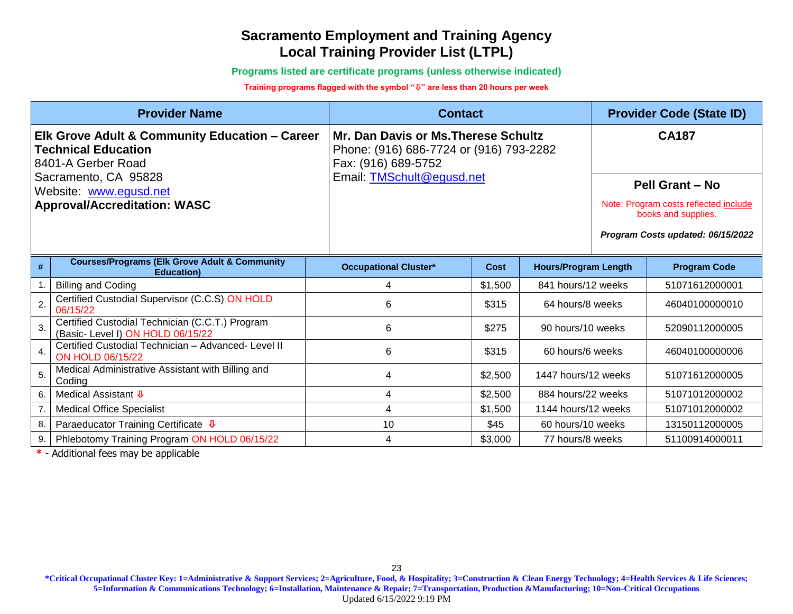**Programs listed are certificate programs (unless otherwise indicated)**

#### **Training programs flagged with the symbol "" are less than 20 hours per week**

|                                                                                                    | <b>Provider Name</b>                                                                 |                              | <b>Contact</b>                                                                  |                             |  |                                                              |  |
|----------------------------------------------------------------------------------------------------|--------------------------------------------------------------------------------------|------------------------------|---------------------------------------------------------------------------------|-----------------------------|--|--------------------------------------------------------------|--|
| Elk Grove Adult & Community Education - Career<br><b>Technical Education</b><br>8401-A Gerber Road |                                                                                      | Fax: (916) 689-5752          | Mr. Dan Davis or Ms. Therese Schultz<br>Phone: (916) 686-7724 or (916) 793-2282 |                             |  | <b>CA187</b>                                                 |  |
| Sacramento, CA 95828<br>Website: www.egusd.net                                                     |                                                                                      | Email: TMSchult@egusd.net    |                                                                                 |                             |  | Pell Grant - No                                              |  |
| <b>Approval/Accreditation: WASC</b>                                                                |                                                                                      |                              |                                                                                 |                             |  | Note: Program costs reflected include<br>books and supplies. |  |
|                                                                                                    |                                                                                      |                              |                                                                                 |                             |  | Program Costs updated: 06/15/2022                            |  |
| #                                                                                                  | <b>Courses/Programs (Elk Grove Adult &amp; Community</b><br><b>Education</b> )       | <b>Occupational Cluster*</b> | <b>Cost</b>                                                                     | <b>Hours/Program Length</b> |  | <b>Program Code</b>                                          |  |
|                                                                                                    | <b>Billing and Coding</b>                                                            | 4                            | \$1,500                                                                         | 841 hours/12 weeks          |  | 51071612000001                                               |  |
| $\overline{2}$                                                                                     | Certified Custodial Supervisor (C.C.S) ON HOLD<br>06/15/22                           | 6                            | \$315                                                                           | 64 hours/8 weeks            |  | 46040100000010                                               |  |
| 3.                                                                                                 | Certified Custodial Technician (C.C.T.) Program<br>(Basic- Level I) ON HOLD 06/15/22 | 6                            | \$275                                                                           | 90 hours/10 weeks           |  | 52090112000005                                               |  |
|                                                                                                    | Certified Custodial Technician - Advanced- Level II<br><b>ON HOLD 06/15/22</b>       | 6                            | \$315                                                                           | 60 hours/6 weeks            |  | 46040100000006                                               |  |
| 5.                                                                                                 | Medical Administrative Assistant with Billing and<br>Coding                          | 4                            | \$2,500                                                                         | 1447 hours/12 weeks         |  | 51071612000005                                               |  |
| 6.                                                                                                 | Medical Assistant <b>↓</b>                                                           | 4                            | \$2,500                                                                         | 884 hours/22 weeks          |  | 51071012000002                                               |  |
|                                                                                                    | <b>Medical Office Specialist</b>                                                     | 4                            | \$1,500                                                                         | 1144 hours/12 weeks         |  | 51071012000002                                               |  |
| 8.                                                                                                 | Paraeducator Training Certificate $\Phi$                                             | 10                           | \$45                                                                            | 60 hours/10 weeks           |  | 13150112000005                                               |  |
| 9.                                                                                                 | Phlebotomy Training Program ON HOLD 06/15/22                                         | 4                            | \$3,000                                                                         | 77 hours/8 weeks            |  | 51100914000011                                               |  |

**\*** - Additional fees may be applicable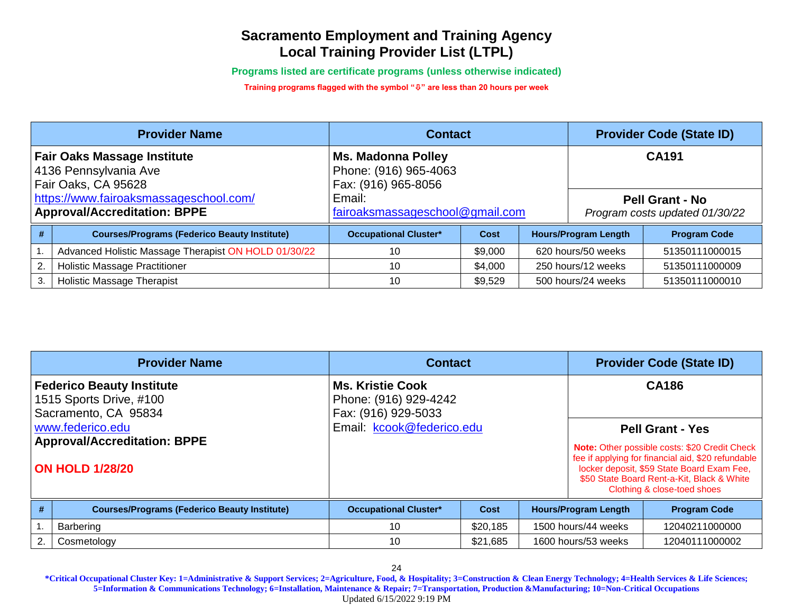**Programs listed are certificate programs (unless otherwise indicated)**

**Training programs flagged with the symbol "" are less than 20 hours per week**

| <b>Provider Name</b>                                                               |                                                      | <b>Contact</b>                                                            |         | <b>Provider Code (State ID)</b> |                                                          |                     |  |
|------------------------------------------------------------------------------------|------------------------------------------------------|---------------------------------------------------------------------------|---------|---------------------------------|----------------------------------------------------------|---------------------|--|
| <b>Fair Oaks Massage Institute</b><br>4136 Pennsylvania Ave<br>Fair Oaks, CA 95628 |                                                      | <b>Ms. Madonna Polley</b><br>Phone: (916) 965-4063<br>Fax: (916) 965-8056 |         |                                 | <b>CA191</b>                                             |                     |  |
| https://www.fairoaksmassageschool.com/<br><b>Approval/Accreditation: BPPE</b>      |                                                      | Email:<br>fairoaksmassageschool@gmail.com                                 |         |                                 | <b>Pell Grant - No</b><br>Program costs updated 01/30/22 |                     |  |
| #                                                                                  | <b>Courses/Programs (Federico Beauty Institute)</b>  | <b>Occupational Cluster*</b>                                              | Cost    |                                 | <b>Hours/Program Length</b>                              | <b>Program Code</b> |  |
|                                                                                    | Advanced Holistic Massage Therapist ON HOLD 01/30/22 | 10                                                                        | \$9,000 |                                 | 620 hours/50 weeks                                       | 51350111000015      |  |
| 2.                                                                                 | <b>Holistic Massage Practitioner</b>                 | 10                                                                        | \$4,000 |                                 | 250 hours/12 weeks                                       | 51350111000009      |  |
| 3.                                                                                 | <b>Holistic Massage Therapist</b>                    | 10                                                                        | \$9,529 |                                 | 500 hours/24 weeks                                       | 51350111000010      |  |

|    | <b>Provider Name</b>                                                                | <b>Contact</b>                                                          |          | <b>Provider Code (State ID)</b> |                                       |                                                                                                                                                                                                                                                           |  |
|----|-------------------------------------------------------------------------------------|-------------------------------------------------------------------------|----------|---------------------------------|---------------------------------------|-----------------------------------------------------------------------------------------------------------------------------------------------------------------------------------------------------------------------------------------------------------|--|
|    | <b>Federico Beauty Institute</b><br>1515 Sports Drive, #100<br>Sacramento, CA 95834 | <b>Ms. Kristie Cook</b><br>Phone: (916) 929-4242<br>Fax: (916) 929-5033 |          |                                 | <b>CA186</b>                          |                                                                                                                                                                                                                                                           |  |
|    | www.federico.edu<br><b>Approval/Accreditation: BPPE</b><br><b>ON HOLD 1/28/20</b>   | Email: kcook@federico.edu                                               |          |                                 |                                       | <b>Pell Grant - Yes</b><br>Note: Other possible costs: \$20 Credit Check<br>fee if applying for financial aid, \$20 refundable<br>locker deposit, \$59 State Board Exam Fee,<br>\$50 State Board Rent-a-Kit, Black & White<br>Clothing & close-toed shoes |  |
| #  | <b>Courses/Programs (Federico Beauty Institute)</b>                                 | <b>Occupational Cluster*</b>                                            | Cost     |                                 | <b>Hours/Program Length</b>           | <b>Program Code</b>                                                                                                                                                                                                                                       |  |
|    | Barbering                                                                           | 10                                                                      | \$20,185 |                                 | 1500 hours/44 weeks                   | 12040211000000                                                                                                                                                                                                                                            |  |
| 2. | Cosmetology                                                                         | 10                                                                      | \$21,685 |                                 | 1600 hours/53 weeks<br>12040111000002 |                                                                                                                                                                                                                                                           |  |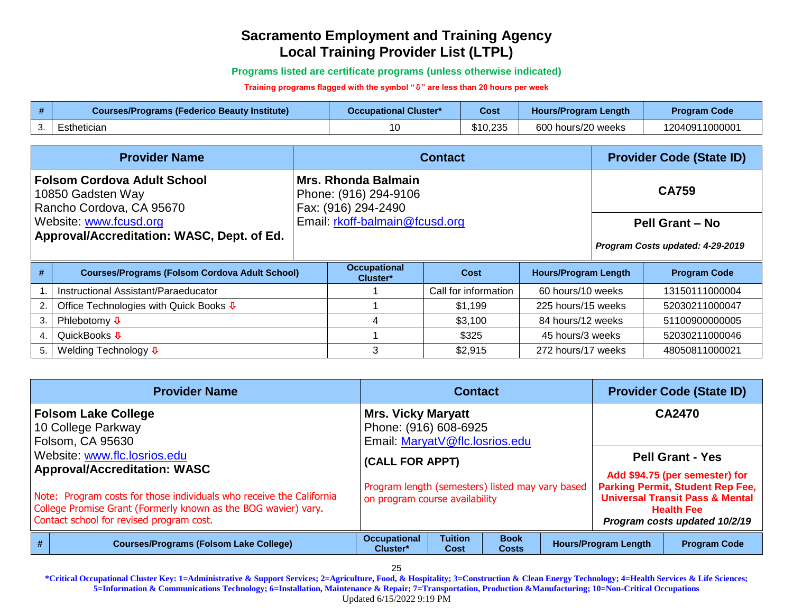**Programs listed are certificate programs (unless otherwise indicated)**

**Training programs flagged with the symbol "" are less than 20 hours per week**

| <b>Courses/Programs (Federico Beauty Institute)</b> | Occupational Cluster* | Cost     | Hours/Program Length | <b>Program Code</b> |
|-----------------------------------------------------|-----------------------|----------|----------------------|---------------------|
| Esthetician                                         |                       | \$10,235 | 600 hours/20 weeks   | 12040911000001      |

|                                                                                     | <b>Provider Name</b>                                   |  |                                                                            | <b>Contact</b>       |                             | <b>Provider Code (State ID)</b> |                                  |  |
|-------------------------------------------------------------------------------------|--------------------------------------------------------|--|----------------------------------------------------------------------------|----------------------|-----------------------------|---------------------------------|----------------------------------|--|
| <b>Folsom Cordova Adult School</b><br>10850 Gadsten Way<br>Rancho Cordova, CA 95670 |                                                        |  | <b>Mrs. Rhonda Balmain</b><br>Phone: (916) 294-9106<br>Fax: (916) 294-2490 |                      |                             |                                 | <b>CA759</b>                     |  |
| Website: www.fcusd.org                                                              |                                                        |  | Email: rkoff-balmain@fcusd.org                                             |                      |                             |                                 | Pell Grant - No                  |  |
| Approval/Accreditation: WASC, Dept. of Ed.                                          |                                                        |  |                                                                            |                      |                             |                                 | Program Costs updated: 4-29-2019 |  |
| #                                                                                   | <b>Courses/Programs (Folsom Cordova Adult School)</b>  |  | <b>Occupational</b><br>Cluster*                                            | Cost                 | <b>Hours/Program Length</b> |                                 | <b>Program Code</b>              |  |
|                                                                                     | Instructional Assistant/Paraeducator                   |  |                                                                            | Call for information | 60 hours/10 weeks           |                                 | 13150111000004                   |  |
| 2.                                                                                  | Office Technologies with Quick Books $\overline{\Psi}$ |  |                                                                            | \$1,199              | 225 hours/15 weeks          |                                 | 52030211000047                   |  |
| 3.                                                                                  | Phlebotomy $\sqrt{\Phi}$                               |  |                                                                            | \$3,100              | 84 hours/12 weeks           |                                 | 51100900000005                   |  |
| $\mathbf{4}$                                                                        | QuickBooks ↓                                           |  |                                                                            | \$325                | 45 hours/3 weeks            |                                 | 52030211000046                   |  |
| 5.                                                                                  | Welding Technology $\overline{\Psi}$                   |  | 3                                                                          | \$2,915              | 272 hours/17 weeks          |                                 | 48050811000021                   |  |

|   | <b>Provider Name</b>                                                                                                                                                               | <b>Contact</b>                                                                       |                        |                             |  | <b>Provider Code (State ID)</b> |                                                                                                                                             |  |
|---|------------------------------------------------------------------------------------------------------------------------------------------------------------------------------------|--------------------------------------------------------------------------------------|------------------------|-----------------------------|--|---------------------------------|---------------------------------------------------------------------------------------------------------------------------------------------|--|
|   | <b>Folsom Lake College</b><br>10 College Parkway<br>Folsom, CA 95630                                                                                                               | <b>Mrs. Vicky Maryatt</b><br>Phone: (916) 608-6925<br>Email: MaryatV@flc.losrios.edu |                        |                             |  |                                 | <b>CA2470</b>                                                                                                                               |  |
|   | Website: www.flc.losrios.edu<br><b>Approval/Accreditation: WASC</b>                                                                                                                | (CALL FOR APPT)                                                                      |                        |                             |  |                                 | <b>Pell Grant - Yes</b><br>Add \$94.75 (per semester) for                                                                                   |  |
|   | Note: Program costs for those individuals who receive the California<br>College Promise Grant (Formerly known as the BOG wavier) vary.<br>Contact school for revised program cost. | Program length (semesters) listed may vary based<br>on program course availability   |                        |                             |  |                                 | <b>Parking Permit, Student Rep Fee,</b><br><b>Universal Transit Pass &amp; Mental</b><br><b>Health Fee</b><br>Program costs updated 10/2/19 |  |
| # | <b>Courses/Programs (Folsom Lake College)</b>                                                                                                                                      | <b>Occupational</b><br>Cluster*                                                      | <b>Tuition</b><br>Cost | <b>Book</b><br><b>Costs</b> |  | <b>Hours/Program Length</b>     | <b>Program Code</b>                                                                                                                         |  |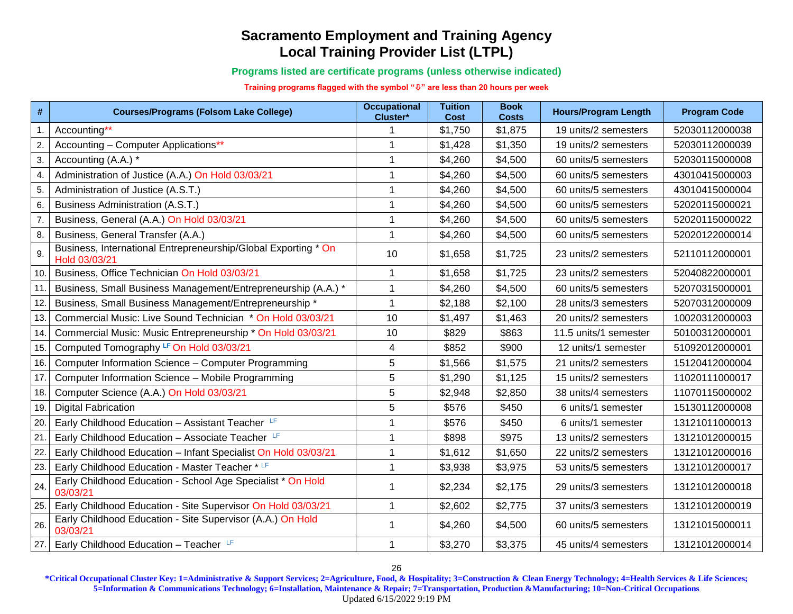**Programs listed are certificate programs (unless otherwise indicated)**

**Training programs flagged with the symbol "" are less than 20 hours per week**

| $\pmb{\#}$ | <b>Courses/Programs (Folsom Lake College)</b>                                   | <b>Occupational</b><br>Cluster* | <b>Tuition</b><br>Cost | <b>Book</b><br><b>Costs</b> | <b>Hours/Program Length</b> | <b>Program Code</b> |
|------------|---------------------------------------------------------------------------------|---------------------------------|------------------------|-----------------------------|-----------------------------|---------------------|
| 1.         | Accounting**                                                                    |                                 | \$1,750                | \$1,875                     | 19 units/2 semesters        | 52030112000038      |
| 2.         | Accounting - Computer Applications**                                            |                                 | \$1,428                | \$1,350                     | 19 units/2 semesters        | 52030112000039      |
| 3.         | Accounting (A.A.) *                                                             |                                 | \$4,260                | \$4,500                     | 60 units/5 semesters        | 52030115000008      |
| 4.         | Administration of Justice (A.A.) On Hold 03/03/21                               | 1                               | \$4,260                | \$4,500                     | 60 units/5 semesters        | 43010415000003      |
| 5.         | Administration of Justice (A.S.T.)                                              |                                 | \$4,260                | \$4,500                     | 60 units/5 semesters        | 43010415000004      |
| 6.         | <b>Business Administration (A.S.T.)</b>                                         |                                 | \$4,260                | \$4,500                     | 60 units/5 semesters        | 52020115000021      |
| 7.         | Business, General (A.A.) On Hold 03/03/21                                       | 1                               | \$4,260                | \$4,500                     | 60 units/5 semesters        | 52020115000022      |
| 8.         | Business, General Transfer (A.A.)                                               | 1                               | \$4,260                | \$4,500                     | 60 units/5 semesters        | 52020122000014      |
| 9.         | Business, International Entrepreneurship/Global Exporting * On<br>Hold 03/03/21 | 10                              | \$1,658                | \$1,725                     | 23 units/2 semesters        | 52110112000001      |
| 10.        | Business, Office Technician On Hold 03/03/21                                    | 1                               | \$1,658                | \$1,725                     | 23 units/2 semesters        | 52040822000001      |
| 11.        | Business, Small Business Management/Entrepreneurship (A.A.) *                   | 1                               | \$4,260                | \$4,500                     | 60 units/5 semesters        | 52070315000001      |
| 12.        | Business, Small Business Management/Entrepreneurship *                          | 1                               | \$2,188                | \$2,100                     | 28 units/3 semesters        | 52070312000009      |
| 13.        | Commercial Music: Live Sound Technician * On Hold 03/03/21                      | 10                              | \$1,497                | \$1,463                     | 20 units/2 semesters        | 10020312000003      |
| 14.        | Commercial Music: Music Entrepreneurship * On Hold 03/03/21                     | 10                              | \$829                  | \$863                       | 11.5 units/1 semester       | 50100312000001      |
| 15.        | Computed Tomography LF On Hold 03/03/21                                         | 4                               | \$852                  | \$900                       | 12 units/1 semester         | 51092012000001      |
| 16.        | Computer Information Science - Computer Programming                             | 5                               | \$1,566                | \$1,575                     | 21 units/2 semesters        | 15120412000004      |
| 17.        | Computer Information Science - Mobile Programming                               | 5                               | \$1,290                | \$1,125                     | 15 units/2 semesters        | 11020111000017      |
| 18.        | Computer Science (A.A.) On Hold 03/03/21                                        | 5                               | \$2,948                | \$2,850                     | 38 units/4 semesters        | 11070115000002      |
| 19.        | <b>Digital Fabrication</b>                                                      | 5                               | \$576                  | \$450                       | 6 units/1 semester          | 15130112000008      |
| 20.        | Early Childhood Education - Assistant Teacher                                   | 1                               | \$576                  | \$450                       | 6 units/1 semester          | 13121011000013      |
| 21.        | Early Childhood Education - Associate Teacher                                   | 1                               | \$898                  | \$975                       | 13 units/2 semesters        | 13121012000015      |
| 22.        | Early Childhood Education - Infant Specialist On Hold 03/03/21                  | 1                               | \$1,612                | \$1,650                     | 22 units/2 semesters        | 13121012000016      |
| 23.        | Early Childhood Education - Master Teacher * LF                                 | 1                               | \$3,938                | \$3,975                     | 53 units/5 semesters        | 13121012000017      |
| 24.        | Early Childhood Education - School Age Specialist * On Hold<br>03/03/21         |                                 | \$2,234                | \$2,175                     | 29 units/3 semesters        | 13121012000018      |
| 25.        | Early Childhood Education - Site Supervisor On Hold 03/03/21                    | $\mathbf 1$                     | \$2,602                | \$2,775                     | 37 units/3 semesters        | 13121012000019      |
| 26.        | Early Childhood Education - Site Supervisor (A.A.) On Hold<br>03/03/21          |                                 | \$4,260                | \$4,500                     | 60 units/5 semesters        | 13121015000011      |
| 27.        | Early Childhood Education - Teacher LF                                          | 1                               | \$3,270                | \$3,375                     | 45 units/4 semesters        | 13121012000014      |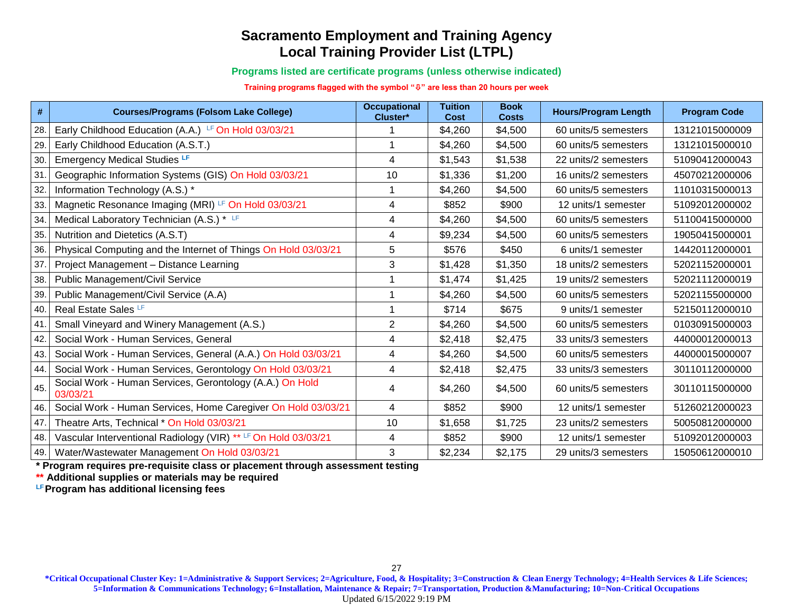**Programs listed are certificate programs (unless otherwise indicated)**

**Training programs flagged with the symbol "" are less than 20 hours per week**

| $\#$ | <b>Courses/Programs (Folsom Lake College)</b>                        | <b>Occupational</b><br>Cluster* | <b>Tuition</b><br><b>Cost</b> | <b>Book</b><br><b>Costs</b> | <b>Hours/Program Length</b> | <b>Program Code</b> |
|------|----------------------------------------------------------------------|---------------------------------|-------------------------------|-----------------------------|-----------------------------|---------------------|
| 28.  | Early Childhood Education (A.A.) LF On Hold 03/03/21                 |                                 | \$4,260                       | \$4,500                     | 60 units/5 semesters        | 13121015000009      |
| 29.  | Early Childhood Education (A.S.T.)                                   |                                 | \$4,260                       | \$4,500                     | 60 units/5 semesters        | 13121015000010      |
| 30.  | <b>Emergency Medical Studies LF</b>                                  | 4                               | \$1,543                       | \$1,538                     | 22 units/2 semesters        | 51090412000043      |
| 31.  | Geographic Information Systems (GIS) On Hold 03/03/21                | 10                              | \$1,336                       | \$1,200                     | 16 units/2 semesters        | 45070212000006      |
| 32.  | Information Technology (A.S.) *                                      |                                 | \$4,260                       | \$4,500                     | 60 units/5 semesters        | 11010315000013      |
| 33.  | Magnetic Resonance Imaging (MRI) LF On Hold 03/03/21                 | 4                               | \$852                         | \$900                       | 12 units/1 semester         | 51092012000002      |
| 34.  | Medical Laboratory Technician (A.S.) * LF                            | 4                               | \$4,260                       | \$4,500                     | 60 units/5 semesters        | 51100415000000      |
| 35.  | Nutrition and Dietetics (A.S.T)                                      | 4                               | \$9,234                       | \$4,500                     | 60 units/5 semesters        | 19050415000001      |
| 36.  | Physical Computing and the Internet of Things On Hold 03/03/21       | 5                               | \$576                         | \$450                       | 6 units/1 semester          | 14420112000001      |
| 37.  | Project Management - Distance Learning                               | 3                               | \$1,428                       | \$1,350                     | 18 units/2 semesters        | 52021152000001      |
| 38.  | <b>Public Management/Civil Service</b>                               |                                 | \$1,474                       | \$1,425                     | 19 units/2 semesters        | 52021112000019      |
| 39.  | Public Management/Civil Service (A.A)                                |                                 | \$4,260                       | \$4,500                     | 60 units/5 semesters        | 52021155000000      |
| 40.  | Real Estate Sales <sup>LF</sup>                                      |                                 | \$714                         | \$675                       | 9 units/1 semester          | 52150112000010      |
| 41.  | Small Vineyard and Winery Management (A.S.)                          | $\mathbf{2}$                    | \$4,260                       | \$4,500                     | 60 units/5 semesters        | 01030915000003      |
| 42.  | Social Work - Human Services, General                                | $\overline{4}$                  | \$2,418                       | \$2,475                     | 33 units/3 semesters        | 44000012000013      |
| 43.  | Social Work - Human Services, General (A.A.) On Hold 03/03/21        | 4                               | \$4,260                       | \$4,500                     | 60 units/5 semesters        | 44000015000007      |
| 44.  | Social Work - Human Services, Gerontology On Hold 03/03/21           | $\overline{4}$                  | \$2,418                       | \$2,475                     | 33 units/3 semesters        | 30110112000000      |
| 45.  | Social Work - Human Services, Gerontology (A.A.) On Hold<br>03/03/21 | 4                               | \$4,260                       | \$4,500                     | 60 units/5 semesters        | 30110115000000      |
| 46.  | Social Work - Human Services, Home Caregiver On Hold 03/03/21        | $\overline{4}$                  | \$852                         | \$900                       | 12 units/1 semester         | 51260212000023      |
| 47.  | Theatre Arts, Technical * On Hold 03/03/21                           | 10                              | \$1,658                       | \$1,725                     | 23 units/2 semesters        | 50050812000000      |
| 48.  | Vascular Interventional Radiology (VIR) ** LF On Hold 03/03/21       | 4                               | \$852                         | \$900                       | 12 units/1 semester         | 51092012000003      |
| 49.  | Water/Wastewater Management On Hold 03/03/21                         | 3                               | \$2,234                       | \$2,175                     | 29 units/3 semesters        | 15050612000010      |

**\* Program requires pre-requisite class or placement through assessment testing** 

**\*\* Additional supplies or materials may be required**

**LFProgram has additional licensing fees**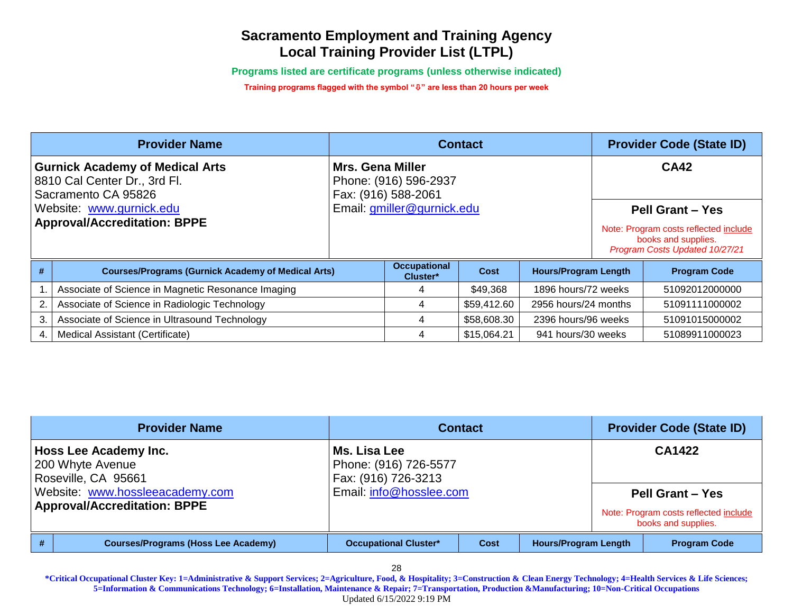**Programs listed are certificate programs (unless otherwise indicated)**

**Training programs flagged with the symbol "" are less than 20 hours per week**

|                          | <b>Provider Name</b>                                                                          | <b>Contact</b>             |                                              |             |                             | <b>Provider Code (State ID)</b> |                                                                                                |
|--------------------------|-----------------------------------------------------------------------------------------------|----------------------------|----------------------------------------------|-------------|-----------------------------|---------------------------------|------------------------------------------------------------------------------------------------|
|                          | <b>Gurnick Academy of Medical Arts</b><br>8810 Cal Center Dr., 3rd Fl.<br>Sacramento CA 95826 | <b>Mrs. Gena Miller</b>    | Phone: (916) 596-2937<br>Fax: (916) 588-2061 |             |                             |                                 | <b>CA42</b>                                                                                    |
| Website: www.gurnick.edu |                                                                                               | Email: gmiller@gurnick.edu |                                              |             |                             | <b>Pell Grant - Yes</b>         |                                                                                                |
|                          | <b>Approval/Accreditation: BPPE</b>                                                           |                            |                                              |             |                             |                                 | Note: Program costs reflected include<br>books and supplies.<br>Program Costs Updated 10/27/21 |
| #                        | <b>Courses/Programs (Gurnick Academy of Medical Arts)</b>                                     |                            | <b>Occupational</b><br>Cluster*              | <b>Cost</b> | <b>Hours/Program Length</b> |                                 | <b>Program Code</b>                                                                            |
|                          | Associate of Science in Magnetic Resonance Imaging                                            |                            | 4                                            | \$49,368    | 1896 hours/72 weeks         |                                 | 51092012000000                                                                                 |
| 2.                       | Associate of Science in Radiologic Technology                                                 |                            | 4                                            | \$59,412.60 | 2956 hours/24 months        |                                 | 51091111000002                                                                                 |
| 3.                       | Associate of Science in Ultrasound Technology                                                 |                            | 4                                            | \$58,608.30 | 2396 hours/96 weeks         |                                 | 51091015000002                                                                                 |
|                          | Medical Assistant (Certificate)                                                               |                            | 4                                            | \$15,064.21 | 941 hours/30 weeks          |                                 | 51089911000023                                                                                 |

|   | <b>Provider Name</b>                                                                                                                       | <b>Contact</b>                                                                          | <b>Provider Code (State ID)</b> |                             |                                                                                                   |
|---|--------------------------------------------------------------------------------------------------------------------------------------------|-----------------------------------------------------------------------------------------|---------------------------------|-----------------------------|---------------------------------------------------------------------------------------------------|
|   | Hoss Lee Academy Inc.<br>200 Whyte Avenue<br>Roseville, CA 95661<br>Website: www.hossleeacademy.com<br><b>Approval/Accreditation: BPPE</b> | Ms. Lisa Lee<br>Phone: (916) 726-5577<br>Fax: (916) 726-3213<br>Email: info@hosslee.com |                                 |                             | CA1422<br><b>Pell Grant - Yes</b><br>Note: Program costs reflected include<br>books and supplies. |
| # | <b>Courses/Programs (Hoss Lee Academy)</b>                                                                                                 | <b>Occupational Cluster*</b>                                                            | Cost                            | <b>Hours/Program Length</b> | <b>Program Code</b>                                                                               |

28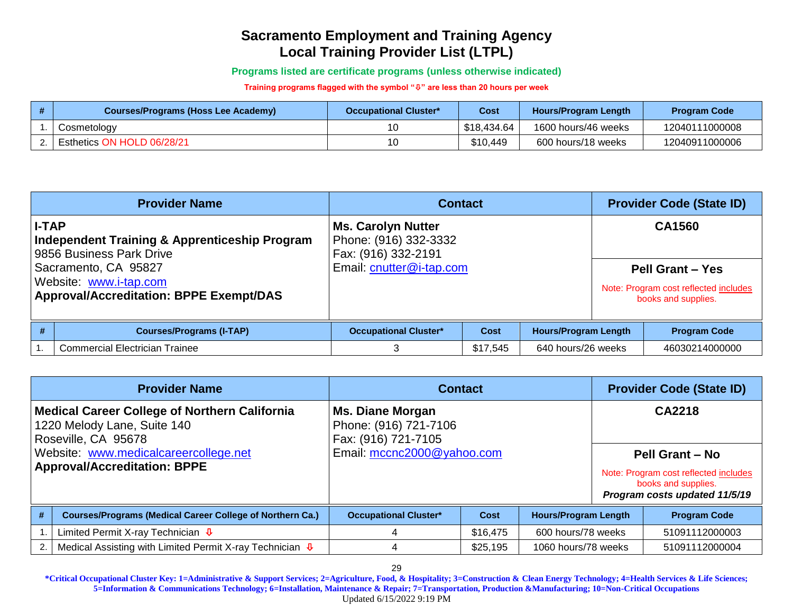**Programs listed are certificate programs (unless otherwise indicated)**

**Training programs flagged with the symbol "" are less than 20 hours per week**

| Courses/Programs (Hoss Lee Academy) | <b>Occupational Cluster*</b> | Cost        | <b>Hours/Program Length</b> | <b>Program Code</b> |
|-------------------------------------|------------------------------|-------------|-----------------------------|---------------------|
| Cosmetology                         | 10                           | \$18,434.64 | 1600 hours/46 weeks         | 12040111000008      |
| Esthetics ON HOLD 06/28/21          | 10                           | \$10,449    | 600 hours/18 weeks          | 12040911000006      |

| <b>Provider Name</b>                                                                                 |                                       | <b>Contact</b>                                                            |          |                             | <b>Provider Code (State ID)</b> |                                                                                         |
|------------------------------------------------------------------------------------------------------|---------------------------------------|---------------------------------------------------------------------------|----------|-----------------------------|---------------------------------|-----------------------------------------------------------------------------------------|
| <b>I-TAP</b><br><b>Independent Training &amp; Apprenticeship Program</b><br>9856 Business Park Drive |                                       | <b>Ms. Carolyn Nutter</b><br>Phone: (916) 332-3332<br>Fax: (916) 332-2191 |          |                             |                                 | CA1560                                                                                  |
| Sacramento, CA 95827<br>Website: www.i-tap.com<br><b>Approval/Accreditation: BPPE Exempt/DAS</b>     |                                       | Email: cnutter@i-tap.com                                                  |          |                             |                                 | <b>Pell Grant - Yes</b><br>Note: Program cost reflected includes<br>books and supplies. |
| #                                                                                                    | <b>Courses/Programs (I-TAP)</b>       | <b>Occupational Cluster*</b>                                              | Cost     | <b>Hours/Program Length</b> |                                 | <b>Program Code</b>                                                                     |
|                                                                                                      | <b>Commercial Electrician Trainee</b> | 3                                                                         | \$17,545 | 640 hours/26 weeks          |                                 | 46030214000000                                                                          |

|                                                                                                     | <b>Provider Name</b>                                             | <b>Contact</b>                                                          | <b>Provider Code (State ID)</b> |                             |                        |                                                                                               |
|-----------------------------------------------------------------------------------------------------|------------------------------------------------------------------|-------------------------------------------------------------------------|---------------------------------|-----------------------------|------------------------|-----------------------------------------------------------------------------------------------|
| Medical Career College of Northern California<br>1220 Melody Lane, Suite 140<br>Roseville, CA 95678 |                                                                  | <b>Ms. Diane Morgan</b><br>Phone: (916) 721-7106<br>Fax: (916) 721-7105 |                                 |                             | CA2218                 |                                                                                               |
| Website: www.medicalcareercollege.net                                                               |                                                                  | Email: mccnc2000@yahoo.com                                              |                                 |                             | <b>Pell Grant - No</b> |                                                                                               |
| <b>Approval/Accreditation: BPPE</b>                                                                 |                                                                  |                                                                         |                                 |                             |                        | Note: Program cost reflected includes<br>books and supplies.<br>Program costs updated 11/5/19 |
| #                                                                                                   | <b>Courses/Programs (Medical Career College of Northern Ca.)</b> | <b>Occupational Cluster*</b>                                            | Cost                            | <b>Hours/Program Length</b> |                        | <b>Program Code</b>                                                                           |
|                                                                                                     | Limited Permit X-ray Technician $\Phi$                           | 4                                                                       | \$16,475                        | 600 hours/78 weeks          |                        | 51091112000003                                                                                |
| $\mathbf{2}$                                                                                        | Medical Assisting with Limited Permit X-ray Technician $\Phi$    |                                                                         | \$25,195                        | 1060 hours/78 weeks         |                        | 51091112000004                                                                                |

29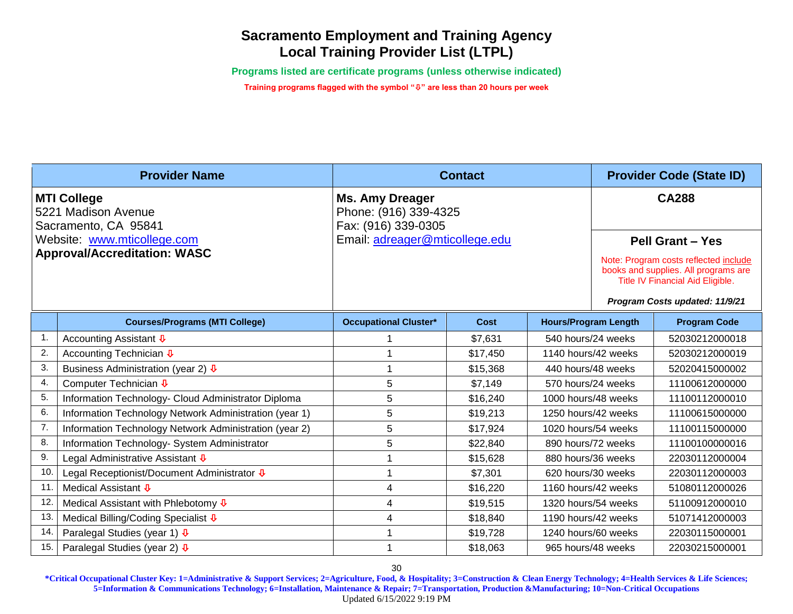**Programs listed are certificate programs (unless otherwise indicated)**

**Training programs flagged with the symbol "" are less than 20 hours per week**

| <b>Provider Name</b>                                                                                                                    |                                                             |                                                                                                          | <b>Contact</b> | <b>Provider Code (State ID)</b> |                                                                                                                                                                                                |                     |  |
|-----------------------------------------------------------------------------------------------------------------------------------------|-------------------------------------------------------------|----------------------------------------------------------------------------------------------------------|----------------|---------------------------------|------------------------------------------------------------------------------------------------------------------------------------------------------------------------------------------------|---------------------|--|
| <b>MTI College</b><br>5221 Madison Avenue<br>Sacramento, CA 95841<br>Website: www.mticollege.com<br><b>Approval/Accreditation: WASC</b> |                                                             | <b>Ms. Amy Dreager</b><br>Phone: (916) 339-4325<br>Fax: (916) 339-0305<br>Email: adreager@mticollege.edu |                |                                 | <b>CA288</b><br><b>Pell Grant - Yes</b><br>Note: Program costs reflected include<br>books and supplies. All programs are<br>Title IV Financial Aid Eligible.<br>Program Costs updated: 11/9/21 |                     |  |
|                                                                                                                                         | <b>Courses/Programs (MTI College)</b>                       | <b>Occupational Cluster*</b>                                                                             | <b>Cost</b>    | <b>Hours/Program Length</b>     |                                                                                                                                                                                                | <b>Program Code</b> |  |
| -1.                                                                                                                                     | Accounting Assistant $\overline{\Psi}$                      |                                                                                                          | \$7,631        | 540 hours/24 weeks              |                                                                                                                                                                                                | 52030212000018      |  |
| $\overline{2}$                                                                                                                          | Accounting Technician ↓                                     | 1                                                                                                        | \$17,450       | 1140 hours/42 weeks             |                                                                                                                                                                                                | 52030212000019      |  |
| 3.                                                                                                                                      | Business Administration (year 2) $\sqrt{1}$                 | 1                                                                                                        | \$15,368       | 440 hours/48 weeks              |                                                                                                                                                                                                | 52020415000002      |  |
| $\overline{4}$ .                                                                                                                        | Computer Technician <b>↓</b>                                | 5                                                                                                        | \$7,149        | 570 hours/24 weeks              |                                                                                                                                                                                                | 11100612000000      |  |
| 5.                                                                                                                                      | Information Technology- Cloud Administrator Diploma         | 5                                                                                                        | \$16,240       | 1000 hours/48 weeks             |                                                                                                                                                                                                | 11100112000010      |  |
| 6.                                                                                                                                      | Information Technology Network Administration (year 1)      | 5                                                                                                        | \$19,213       | 1250 hours/42 weeks             |                                                                                                                                                                                                | 11100615000000      |  |
| 7.                                                                                                                                      | Information Technology Network Administration (year 2)      | 5                                                                                                        | \$17,924       | 1020 hours/54 weeks             |                                                                                                                                                                                                | 11100115000000      |  |
| 8.                                                                                                                                      | Information Technology- System Administrator                | 5                                                                                                        | \$22,840       | 890 hours/72 weeks              |                                                                                                                                                                                                | 11100100000016      |  |
| 9.                                                                                                                                      | Legal Administrative Assistant ↓                            | 1                                                                                                        | \$15,628       | 880 hours/36 weeks              |                                                                                                                                                                                                | 22030112000004      |  |
| 10.                                                                                                                                     | Legal Receptionist/Document Administrator $\overline{\Psi}$ | 1                                                                                                        | \$7,301        | 620 hours/30 weeks              |                                                                                                                                                                                                | 22030112000003      |  |
| 11                                                                                                                                      | Medical Assistant <b>↓</b>                                  | 4                                                                                                        | \$16,220       | 1160 hours/42 weeks             |                                                                                                                                                                                                | 51080112000026      |  |
| 12.                                                                                                                                     | Medical Assistant with Phlebotomy $\overline{\Psi}$         | 4                                                                                                        | \$19,515       | 1320 hours/54 weeks             |                                                                                                                                                                                                | 51100912000010      |  |
| 13.                                                                                                                                     | Medical Billing/Coding Specialist ↓                         | $\overline{4}$                                                                                           | \$18,840       | 1190 hours/42 weeks             |                                                                                                                                                                                                | 51071412000003      |  |
| 14.                                                                                                                                     | Paralegal Studies (year 1) $\sqrt{4}$                       |                                                                                                          | \$19,728       | 1240 hours/60 weeks             |                                                                                                                                                                                                | 22030115000001      |  |
| 15.                                                                                                                                     | Paralegal Studies (year 2) $\sqrt[4]{v}$                    |                                                                                                          | \$18,063       | 965 hours/48 weeks              |                                                                                                                                                                                                | 22030215000001      |  |

30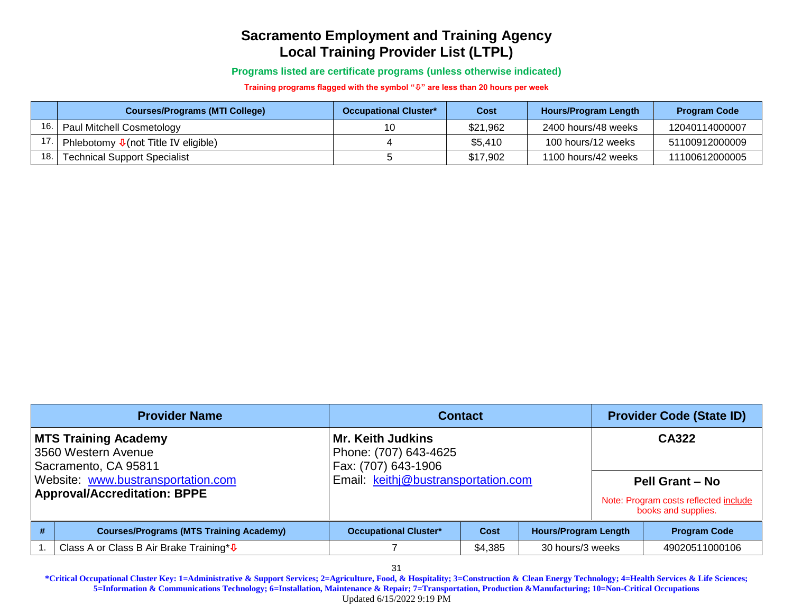**Programs listed are certificate programs (unless otherwise indicated)**

**Training programs flagged with the symbol "" are less than 20 hours per week**

|       | <b>Courses/Programs (MTI College)</b>            | <b>Occupational Cluster*</b> | Cost     | <b>Hours/Program Length</b> | <b>Program Code</b> |
|-------|--------------------------------------------------|------------------------------|----------|-----------------------------|---------------------|
| 16. l | Paul Mitchell Cosmetology                        | 10                           | \$21,962 | 2400 hours/48 weeks         | 12040114000007      |
| 17.1  | Phlebotomy $\sqrt{\Psi}$ (not Title IV eligible) |                              | \$5.410  | 100 hours/12 weeks          | 51100912000009      |
| 18. l | <b>Technical Support Specialist</b>              |                              | \$17,902 | 1100 hours/42 weeks         | 11100612000005      |

| <b>Provider Name</b>                                                                                                                                    |                                                      | <b>Contact</b>                                                                                                  | <b>Provider Code (State ID)</b> |                             |  |                                                                                                 |
|---------------------------------------------------------------------------------------------------------------------------------------------------------|------------------------------------------------------|-----------------------------------------------------------------------------------------------------------------|---------------------------------|-----------------------------|--|-------------------------------------------------------------------------------------------------|
| <b>MTS Training Academy</b><br>3560 Western Avenue<br>Sacramento, CA 95811<br>Website: www.bustransportation.com<br><b>Approval/Accreditation: BPPE</b> |                                                      | <b>Mr. Keith Judkins</b><br>Phone: (707) 643-4625<br>Fax: (707) 643-1906<br>Email: keithj@bustransportation.com |                                 |                             |  | CA322<br><b>Pell Grant - No</b><br>Note: Program costs reflected include<br>books and supplies. |
| #                                                                                                                                                       | <b>Courses/Programs (MTS Training Academy)</b>       | <b>Occupational Cluster*</b>                                                                                    | <b>Cost</b>                     | <b>Hours/Program Length</b> |  | <b>Program Code</b>                                                                             |
|                                                                                                                                                         | Class A or Class B Air Brake Training* $\sqrt{\Phi}$ |                                                                                                                 | \$4,385                         | 30 hours/3 weeks            |  | 49020511000106                                                                                  |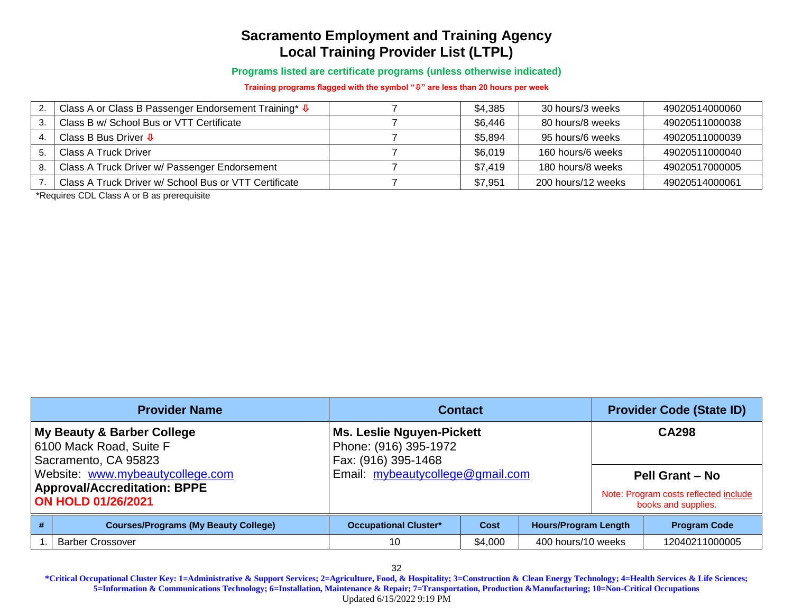**Programs listed are certificate programs (unless otherwise indicated)**

**Training programs flagged with the symbol "" are less than 20 hours per week**

|    | Class A or Class B Passenger Endorsement Training* $\sqrt{\Phi}$ | \$4,385 | 30 hours/3 weeks   | 49020514000060 |
|----|------------------------------------------------------------------|---------|--------------------|----------------|
|    | Class B w/ School Bus or VTT Certificate                         | \$6,446 | 80 hours/8 weeks   | 49020511000038 |
|    | Class B Bus Driver $\overline{\Psi}$                             | \$5,894 | 95 hours/6 weeks   | 49020511000039 |
|    | Class A Truck Driver                                             | \$6,019 | 160 hours/6 weeks  | 49020511000040 |
| 8. | Class A Truck Driver w/ Passenger Endorsement                    | \$7.419 | 180 hours/8 weeks  | 49020517000005 |
|    | Class A Truck Driver w/ School Bus or VTT Certificate            | \$7,951 | 200 hours/12 weeks | 49020514000061 |

\*Requires CDL Class A or B as prerequisite

| <b>Provider Name</b>                                                                                 |                                                                               | <b>Contact</b>                                                            | <b>Provider Code (State ID)</b> |                    |  |                                                                                        |
|------------------------------------------------------------------------------------------------------|-------------------------------------------------------------------------------|---------------------------------------------------------------------------|---------------------------------|--------------------|--|----------------------------------------------------------------------------------------|
|                                                                                                      | My Beauty & Barber College<br>6100 Mack Road, Suite F<br>Sacramento, CA 95823 | Ms. Leslie Nguyen-Pickett<br>Phone: (916) 395-1972<br>Fax: (916) 395-1468 |                                 |                    |  | <b>CA298</b>                                                                           |
| Website: www.mybeautycollege.com<br><b>Approval/Accreditation: BPPE</b><br><b>ON HOLD 01/26/2021</b> |                                                                               | Email: mybeautycollege@gmail.com                                          |                                 |                    |  | <b>Pell Grant - No</b><br>Note: Program costs reflected include<br>books and supplies. |
|                                                                                                      | <b>Courses/Programs (My Beauty College)</b>                                   | <b>Hours/Program Length</b><br><b>Occupational Cluster*</b><br>Cost       |                                 |                    |  | <b>Program Code</b>                                                                    |
|                                                                                                      | <b>Barber Crossover</b>                                                       | 10                                                                        | \$4,000                         | 400 hours/10 weeks |  | 12040211000005                                                                         |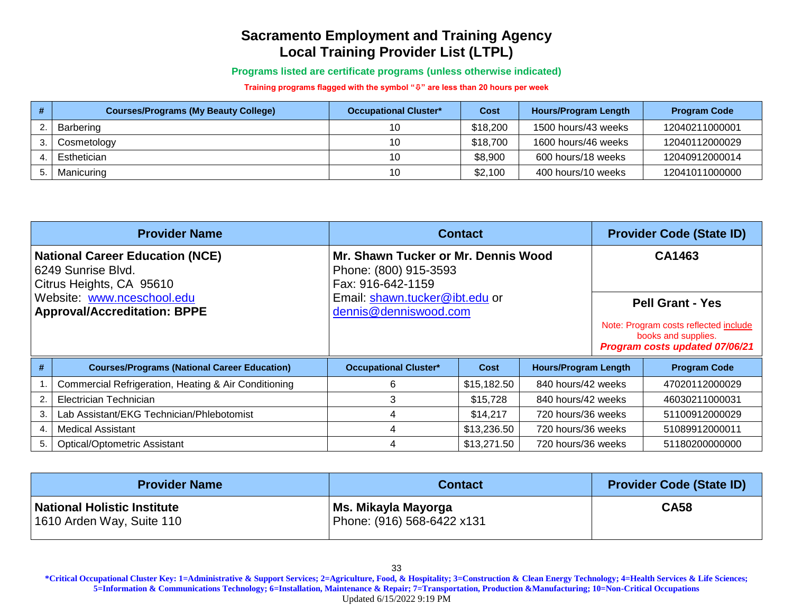**Programs listed are certificate programs (unless otherwise indicated)**

**Training programs flagged with the symbol "" are less than 20 hours per week**

| <b>Courses/Programs (My Beauty College)</b> | <b>Occupational Cluster*</b> | Cost     | Hours/Program Length | <b>Program Code</b> |
|---------------------------------------------|------------------------------|----------|----------------------|---------------------|
| Barbering                                   | 10                           | \$18,200 | 1500 hours/43 weeks  | 12040211000001      |
| Cosmetology                                 | 10                           | \$18,700 | 1600 hours/46 weeks  | 12040112000029      |
| Esthetician                                 | 10                           | \$8,900  | 600 hours/18 weeks   | 12040912000014      |
| Manicuring                                  | 10                           | \$2,100  | 400 hours/10 weeks   | 12041011000000      |

|                                                                                          | <b>Provider Name</b>                                 | <b>Contact</b>                                                                    | <b>Provider Code (State ID)</b> |                             |        |                                                                                                |  |
|------------------------------------------------------------------------------------------|------------------------------------------------------|-----------------------------------------------------------------------------------|---------------------------------|-----------------------------|--------|------------------------------------------------------------------------------------------------|--|
| <b>National Career Education (NCE)</b><br>6249 Sunrise Blvd.<br>Citrus Heights, CA 95610 |                                                      | Mr. Shawn Tucker or Mr. Dennis Wood<br>Phone: (800) 915-3593<br>Fax: 916-642-1159 |                                 |                             | CA1463 |                                                                                                |  |
| Website: www.nceschool.edu                                                               |                                                      | Email: shawn.tucker@ibt.edu or                                                    |                                 |                             |        | <b>Pell Grant - Yes</b>                                                                        |  |
| <b>Approval/Accreditation: BPPE</b>                                                      |                                                      | dennis@denniswood.com                                                             |                                 |                             |        | Note: Program costs reflected include<br>books and supplies.<br>Program costs updated 07/06/21 |  |
| #                                                                                        | <b>Courses/Programs (National Career Education)</b>  | <b>Occupational Cluster*</b>                                                      | <b>Cost</b>                     | <b>Hours/Program Length</b> |        | <b>Program Code</b>                                                                            |  |
|                                                                                          | Commercial Refrigeration, Heating & Air Conditioning | 6                                                                                 | \$15,182.50                     | 840 hours/42 weeks          |        | 47020112000029                                                                                 |  |
| 2.                                                                                       | Electrician Technician                               | 3                                                                                 | \$15,728                        | 840 hours/42 weeks          |        | 46030211000031                                                                                 |  |
| 3.                                                                                       | Lab Assistant/EKG Technician/Phlebotomist            | 4                                                                                 | \$14,217                        | 720 hours/36 weeks          |        | 51100912000029                                                                                 |  |
| 4.                                                                                       | <b>Medical Assistant</b>                             |                                                                                   | \$13,236.50                     | 720 hours/36 weeks          |        | 51089912000011                                                                                 |  |
| 5.                                                                                       | <b>Optical/Optometric Assistant</b>                  |                                                                                   | \$13,271.50                     | 720 hours/36 weeks          |        | 51180200000000                                                                                 |  |

| <b>Provider Name</b>                                            | <b>Contact</b>                                    | <b>Provider Code (State ID)</b> |
|-----------------------------------------------------------------|---------------------------------------------------|---------------------------------|
| <b>National Holistic Institute</b><br>1610 Arden Way, Suite 110 | Ms. Mikayla Mayorga<br>Phone: (916) 568-6422 x131 | <b>CA58</b>                     |

**\*Critical Occupational Cluster Key: 1=Administrative & Support Services; 2=Agriculture, Food, & Hospitality; 3=Construction & Clean Energy Technology; 4=Health Services & Life Sciences; 5=Information & Communications Technology; 6=Installation, Maintenance & Repair; 7=Transportation, Production &Manufacturing; 10=Non-Critical Occupations** Updated 6/15/2022 9:19 PM

33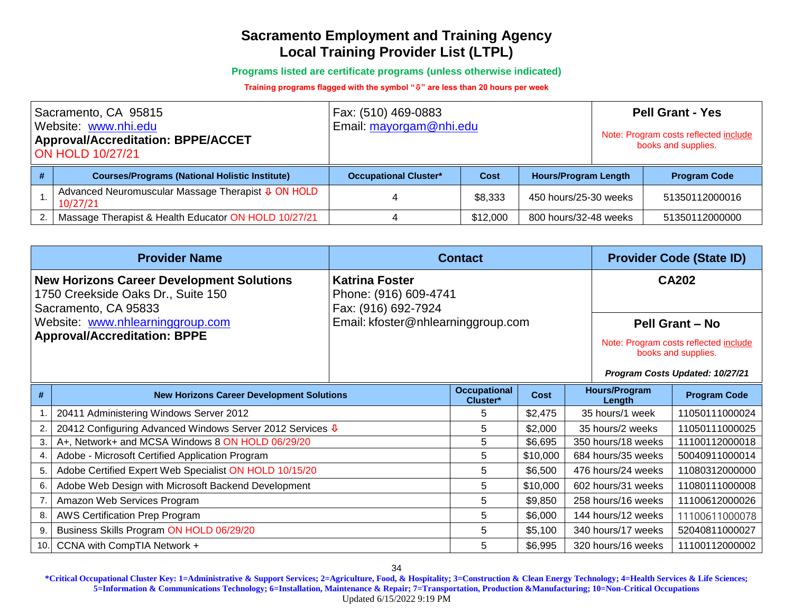**Programs listed are certificate programs (unless otherwise indicated)**

**Training programs flagged with the symbol "" are less than 20 hours per week**

| Sacramento, CA 95815<br>Website: www.nhi.edu<br><b>Approval/Accreditation: BPPE/ACCET</b><br><b>ON HOLD 10/27/21</b> |                                                                | Fax: (510) 469-0883<br>Email: mayorgam@nhi.edu |             |                             | <b>Pell Grant - Yes</b><br>Note: Program costs reflected include<br>books and supplies. |                     |
|----------------------------------------------------------------------------------------------------------------------|----------------------------------------------------------------|------------------------------------------------|-------------|-----------------------------|-----------------------------------------------------------------------------------------|---------------------|
| #                                                                                                                    | <b>Courses/Programs (National Holistic Institute)</b>          | <b>Occupational Cluster*</b>                   | <b>Cost</b> | <b>Hours/Program Length</b> |                                                                                         | <b>Program Code</b> |
|                                                                                                                      | Advanced Neuromuscular Massage Therapist & ON HOLD<br>10/27/21 |                                                | \$8,333     | 450 hours/25-30 weeks       |                                                                                         | 51350112000016      |
|                                                                                                                      | Massage Therapist & Health Educator ON HOLD 10/27/21           |                                                | \$12,000    | 800 hours/32-48 weeks       |                                                                                         | 51350112000000      |

|                                                                                                                                                                                           | <b>Provider Name</b>                                      | <b>Contact</b>                                                        |                                         |          |                                | <b>Provider Code (State ID)</b>                              |                                 |  |
|-------------------------------------------------------------------------------------------------------------------------------------------------------------------------------------------|-----------------------------------------------------------|-----------------------------------------------------------------------|-----------------------------------------|----------|--------------------------------|--------------------------------------------------------------|---------------------------------|--|
| <b>New Horizons Career Development Solutions</b><br>1750 Creekside Oaks Dr., Suite 150<br>Sacramento, CA 95833<br>Website: www.nhlearninggroup.com<br><b>Approval/Accreditation: BPPE</b> |                                                           | <b>Katrina Foster</b><br>Phone: (916) 609-4741<br>Fax: (916) 692-7924 |                                         |          |                                |                                                              | <b>CA202</b>                    |  |
|                                                                                                                                                                                           |                                                           | Email: kfoster@nhlearninggroup.com                                    |                                         |          |                                |                                                              | <b>Pell Grant - No</b>          |  |
|                                                                                                                                                                                           |                                                           |                                                                       |                                         |          |                                | Note: Program costs reflected include<br>books and supplies. |                                 |  |
|                                                                                                                                                                                           |                                                           |                                                                       |                                         |          |                                |                                                              | Program Costs Updated: 10/27/21 |  |
| #                                                                                                                                                                                         | <b>New Horizons Career Development Solutions</b>          |                                                                       | <b>Occupational</b><br>Cost<br>Cluster* |          | <b>Hours/Program</b><br>Length | <b>Program Code</b>                                          |                                 |  |
|                                                                                                                                                                                           | 20411 Administering Windows Server 2012                   |                                                                       | 5                                       | \$2,475  |                                | 35 hours/1 week                                              | 11050111000024                  |  |
| 2.                                                                                                                                                                                        | 20412 Configuring Advanced Windows Server 2012 Services ↓ |                                                                       | 5                                       | \$2,000  | 35 hours/2 weeks               |                                                              | 11050111000025                  |  |
| 3.                                                                                                                                                                                        | A+, Network+ and MCSA Windows 8 ON HOLD 06/29/20          |                                                                       | 5                                       | \$6,695  |                                | 350 hours/18 weeks                                           | 11100112000018                  |  |
| 4.                                                                                                                                                                                        | Adobe - Microsoft Certified Application Program           |                                                                       | 5                                       | \$10,000 |                                | 684 hours/35 weeks                                           | 50040911000014                  |  |
| 5.                                                                                                                                                                                        | Adobe Certified Expert Web Specialist ON HOLD 10/15/20    |                                                                       | 5                                       | \$6,500  |                                | 476 hours/24 weeks                                           | 11080312000000                  |  |
| 6.                                                                                                                                                                                        | Adobe Web Design with Microsoft Backend Development       |                                                                       | 5                                       | \$10,000 |                                | 602 hours/31 weeks                                           | 11080111000008                  |  |
|                                                                                                                                                                                           | Amazon Web Services Program                               |                                                                       | 5                                       | \$9,850  |                                | 258 hours/16 weeks                                           | 11100612000026                  |  |
| AWS Certification Prep Program<br>8.                                                                                                                                                      |                                                           |                                                                       | 5                                       | \$6,000  |                                | 144 hours/12 weeks                                           | 11100611000078                  |  |
| 9.                                                                                                                                                                                        | Business Skills Program ON HOLD 06/29/20                  |                                                                       | 5                                       | \$5,100  | 340 hours/17 weeks             |                                                              | 52040811000027                  |  |
| 10.                                                                                                                                                                                       | CCNA with CompTIA Network +                               |                                                                       | 5                                       | \$6,995  |                                | 320 hours/16 weeks                                           | 11100112000002                  |  |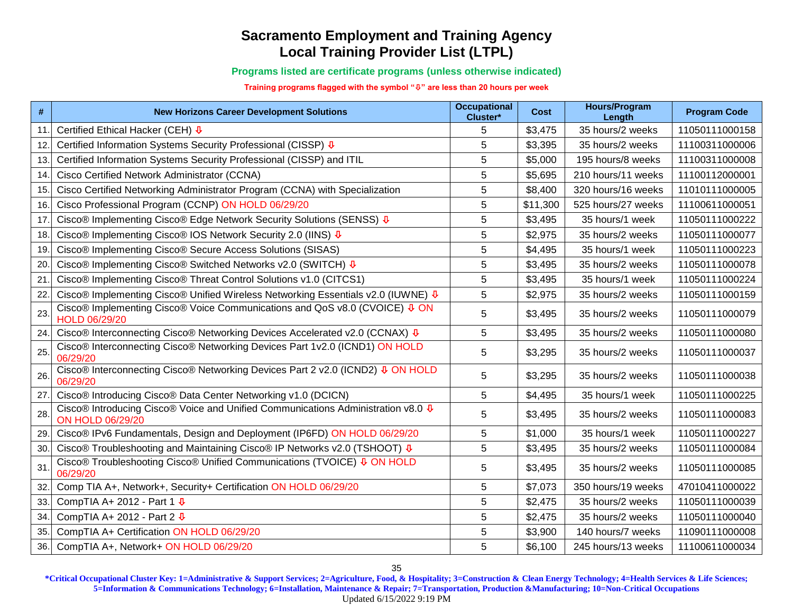**Programs listed are certificate programs (unless otherwise indicated)**

**Training programs flagged with the symbol "" are less than 20 hours per week**

| #   | <b>New Horizons Career Development Solutions</b>                                                     | <b>Occupational</b><br>Cluster* | Cost     | <b>Hours/Program</b><br>Length | <b>Program Code</b> |
|-----|------------------------------------------------------------------------------------------------------|---------------------------------|----------|--------------------------------|---------------------|
| 11. | Certified Ethical Hacker (CEH) $\overline{\Psi}$                                                     | 5                               | \$3,475  | 35 hours/2 weeks               | 11050111000158      |
| 12. | Certified Information Systems Security Professional (CISSP) V                                        | 5                               | \$3,395  | 35 hours/2 weeks               | 11100311000006      |
| 13. | Certified Information Systems Security Professional (CISSP) and ITIL                                 | 5                               | \$5,000  | 195 hours/8 weeks              | 11100311000008      |
| 14. | Cisco Certified Network Administrator (CCNA)                                                         | 5                               | \$5,695  | 210 hours/11 weeks             | 11100112000001      |
| 15. | Cisco Certified Networking Administrator Program (CCNA) with Specialization                          | 5                               | \$8,400  | 320 hours/16 weeks             | 11010111000005      |
| 16. | Cisco Professional Program (CCNP) ON HOLD 06/29/20                                                   | 5                               | \$11,300 | 525 hours/27 weeks             | 11100611000051      |
| 17. | Cisco® Implementing Cisco® Edge Network Security Solutions (SENSS) $\Phi$                            | 5                               | \$3,495  | 35 hours/1 week                | 11050111000222      |
| 18. | Cisco® Implementing Cisco® IOS Network Security 2.0 (IINS) V                                         | 5                               | \$2,975  | 35 hours/2 weeks               | 11050111000077      |
| 19. | Cisco® Implementing Cisco® Secure Access Solutions (SISAS)                                           | 5                               | \$4,495  | 35 hours/1 week                | 11050111000223      |
| 20. | Cisco® Implementing Cisco® Switched Networks v2.0 (SWITCH) $\Phi$                                    | 5                               | \$3,495  | 35 hours/2 weeks               | 11050111000078      |
| 21. | Cisco® Implementing Cisco® Threat Control Solutions v1.0 (CITCS1)                                    | 5                               | \$3,495  | 35 hours/1 week                | 11050111000224      |
| 22. | Cisco® Implementing Cisco® Unified Wireless Networking Essentials v2.0 (IUWNE) $\Phi$                | 5                               | \$2,975  | 35 hours/2 weeks               | 11050111000159      |
| 23. | Cisco® Implementing Cisco® Voice Communications and QoS v8.0 (CVOICE) ↓ ON<br>HOLD 06/29/20          | 5                               | \$3,495  | 35 hours/2 weeks               | 11050111000079      |
| 24. | Cisco® Interconnecting Cisco® Networking Devices Accelerated v2.0 (CCNAX) V                          | 5                               | \$3,495  | 35 hours/2 weeks               | 11050111000080      |
| 25. | Cisco® Interconnecting Cisco® Networking Devices Part 1v2.0 (ICND1) ON HOLD<br>06/29/20              | 5                               | \$3,295  | 35 hours/2 weeks               | 11050111000037      |
| 26. | Cisco® Interconnecting Cisco® Networking Devices Part 2 v2.0 (ICND2) ↓ ON HOLD<br>06/29/20           | 5                               | \$3,295  | 35 hours/2 weeks               | 11050111000038      |
| 27. | Cisco® Introducing Cisco® Data Center Networking v1.0 (DCICN)                                        | 5                               | \$4,495  | 35 hours/1 week                | 11050111000225      |
| 28. | Cisco® Introducing Cisco® Voice and Unified Communications Administration v8.0 ↓<br>ON HOLD 06/29/20 | 5                               | \$3,495  | 35 hours/2 weeks               | 11050111000083      |
| 29. | Cisco® IPv6 Fundamentals, Design and Deployment (IP6FD) ON HOLD 06/29/20                             | 5                               | \$1,000  | 35 hours/1 week                | 11050111000227      |
| 30. | Cisco® Troubleshooting and Maintaining Cisco® IP Networks v2.0 (TSHOOT) V                            | 5                               | \$3,495  | 35 hours/2 weeks               | 11050111000084      |
| 31. | Cisco® Troubleshooting Cisco® Unified Communications (TVOICE) ↓ ON HOLD<br>06/29/20                  | 5                               | \$3,495  | 35 hours/2 weeks               | 11050111000085      |
| 32. | Comp TIA A+, Network+, Security+ Certification ON HOLD 06/29/20                                      | 5                               | \$7,073  | 350 hours/19 weeks             | 47010411000022      |
| 33. | CompTIA A+ 2012 - Part 1 $\overline{\Psi}$                                                           | 5                               | \$2,475  | 35 hours/2 weeks               | 11050111000039      |
| 34. | CompTIA A+ 2012 - Part 2 $\sqrt{\Phi}$                                                               | 5                               | \$2,475  | 35 hours/2 weeks               | 11050111000040      |
| 35. | CompTIA A+ Certification ON HOLD 06/29/20                                                            | 5                               | \$3,900  | 140 hours/7 weeks              | 11090111000008      |
| 36. | CompTIA A+, Network+ ON HOLD 06/29/20                                                                | 5                               | \$6,100  | 245 hours/13 weeks             | 11100611000034      |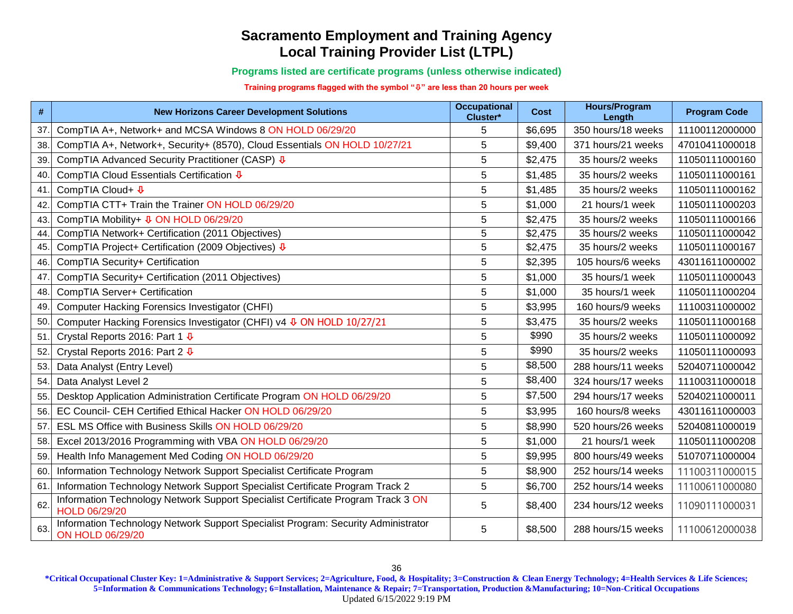**Programs listed are certificate programs (unless otherwise indicated)**

**Training programs flagged with the symbol "" are less than 20 hours per week**

| $\#$ | <b>New Horizons Career Development Solutions</b>                                                             | <b>Occupational</b><br>Cluster* | Cost    | <b>Hours/Program</b><br>Length | <b>Program Code</b> |
|------|--------------------------------------------------------------------------------------------------------------|---------------------------------|---------|--------------------------------|---------------------|
| 37.  | CompTIA A+, Network+ and MCSA Windows 8 ON HOLD 06/29/20                                                     | 5                               | \$6,695 | 350 hours/18 weeks             | 11100112000000      |
| 38.  | CompTIA A+, Network+, Security+ (8570), Cloud Essentials ON HOLD 10/27/21                                    | 5                               | \$9,400 | 371 hours/21 weeks             | 47010411000018      |
| 39.  | CompTIA Advanced Security Practitioner (CASP) ↓                                                              | 5                               | \$2,475 | 35 hours/2 weeks               | 11050111000160      |
| 40.  | CompTIA Cloud Essentials Certification ↓                                                                     | 5                               | \$1,485 | 35 hours/2 weeks               | 11050111000161      |
| 41.  | CompTIA Cloud+ <b>↓</b>                                                                                      | 5                               | \$1,485 | 35 hours/2 weeks               | 11050111000162      |
| 42.  | CompTIA CTT+ Train the Trainer ON HOLD 06/29/20                                                              | 5                               | \$1,000 | 21 hours/1 week                | 11050111000203      |
| 43.  | CompTIA Mobility+ <b>0 ON HOLD 06/29/20</b>                                                                  | 5                               | \$2,475 | 35 hours/2 weeks               | 11050111000166      |
| 44.  | CompTIA Network+ Certification (2011 Objectives)                                                             | 5                               | \$2,475 | 35 hours/2 weeks               | 11050111000042      |
| 45.  | CompTIA Project+ Certification (2009 Objectives) ↓                                                           | 5                               | \$2,475 | 35 hours/2 weeks               | 11050111000167      |
| 46.  | CompTIA Security+ Certification                                                                              | 5                               | \$2,395 | 105 hours/6 weeks              | 43011611000002      |
| 47.  | CompTIA Security+ Certification (2011 Objectives)                                                            | 5                               | \$1,000 | 35 hours/1 week                | 11050111000043      |
| 48.  | CompTIA Server+ Certification                                                                                | 5                               | \$1,000 | 35 hours/1 week                | 11050111000204      |
| 49.  | Computer Hacking Forensics Investigator (CHFI)                                                               | 5                               | \$3,995 | 160 hours/9 weeks              | 11100311000002      |
| 50.  | Computer Hacking Forensics Investigator (CHFI) v4 & ON HOLD 10/27/21                                         | 5                               | \$3,475 | 35 hours/2 weeks               | 11050111000168      |
| 51.  | Crystal Reports 2016: Part 1 $\sqrt[4]{ }$                                                                   | 5                               | \$990   | 35 hours/2 weeks               | 11050111000092      |
| 52.  | Crystal Reports 2016: Part 2 $\sqrt[4]{ }$                                                                   | 5                               | \$990   | 35 hours/2 weeks               | 11050111000093      |
| 53.  | Data Analyst (Entry Level)                                                                                   | 5                               | \$8,500 | 288 hours/11 weeks             | 52040711000042      |
| 54.  | Data Analyst Level 2                                                                                         | 5                               | \$8,400 | 324 hours/17 weeks             | 11100311000018      |
| 55.  | Desktop Application Administration Certificate Program ON HOLD 06/29/20                                      | 5                               | \$7,500 | 294 hours/17 weeks             | 52040211000011      |
| 56.  | EC Council- CEH Certified Ethical Hacker ON HOLD 06/29/20                                                    | 5                               | \$3,995 | 160 hours/8 weeks              | 43011611000003      |
| 57.  | ESL MS Office with Business Skills ON HOLD 06/29/20                                                          | 5                               | \$8,990 | 520 hours/26 weeks             | 52040811000019      |
| 58.  | Excel 2013/2016 Programming with VBA ON HOLD 06/29/20                                                        | 5                               | \$1,000 | 21 hours/1 week                | 11050111000208      |
| 59.  | Health Info Management Med Coding ON HOLD 06/29/20                                                           | 5                               | \$9,995 | 800 hours/49 weeks             | 51070711000004      |
| 60   | Information Technology Network Support Specialist Certificate Program                                        | 5                               | \$8,900 | 252 hours/14 weeks             | 11100311000015      |
| 61.  | Information Technology Network Support Specialist Certificate Program Track 2                                | 5                               | \$6,700 | 252 hours/14 weeks             | 11100611000080      |
| 62.  | Information Technology Network Support Specialist Certificate Program Track 3 ON<br>HOLD 06/29/20            | 5                               | \$8,400 | 234 hours/12 weeks             | 11090111000031      |
| 63.  | Information Technology Network Support Specialist Program: Security Administrator<br><b>ON HOLD 06/29/20</b> | 5                               | \$8,500 | 288 hours/15 weeks             | 11100612000038      |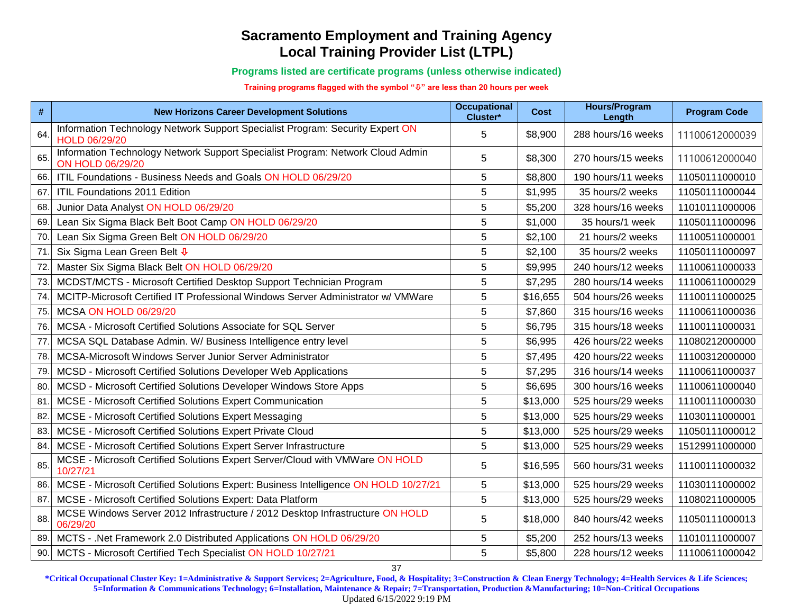#### **Programs listed are certificate programs (unless otherwise indicated)**

#### **Training programs flagged with the symbol "" are less than 20 hours per week**

| #   | <b>New Horizons Career Development Solutions</b>                                                          | <b>Occupational</b><br>Cluster* | Cost     | <b>Hours/Program</b><br>Length | <b>Program Code</b> |
|-----|-----------------------------------------------------------------------------------------------------------|---------------------------------|----------|--------------------------------|---------------------|
| 64  | Information Technology Network Support Specialist Program: Security Expert ON<br>HOLD 06/29/20            | 5                               | \$8,900  | 288 hours/16 weeks             | 11100612000039      |
| 65  | Information Technology Network Support Specialist Program: Network Cloud Admin<br><b>ON HOLD 06/29/20</b> | 5                               | \$8,300  | 270 hours/15 weeks             | 11100612000040      |
| 66. | ITIL Foundations - Business Needs and Goals ON HOLD 06/29/20                                              | 5                               | \$8,800  | 190 hours/11 weeks             | 11050111000010      |
| 67  | ITIL Foundations 2011 Edition                                                                             | 5                               | \$1,995  | 35 hours/2 weeks               | 11050111000044      |
| 68  | Junior Data Analyst ON HOLD 06/29/20                                                                      | 5                               | \$5,200  | 328 hours/16 weeks             | 11010111000006      |
| 69. | Lean Six Sigma Black Belt Boot Camp ON HOLD 06/29/20                                                      | 5                               | \$1,000  | 35 hours/1 week                | 11050111000096      |
| 70  | Lean Six Sigma Green Belt ON HOLD 06/29/20                                                                | 5                               | \$2,100  | 21 hours/2 weeks               | 11100511000001      |
| 71  | Six Sigma Lean Green Belt $\overline{\Psi}$                                                               | 5                               | \$2,100  | 35 hours/2 weeks               | 11050111000097      |
| 72  | Master Six Sigma Black Belt ON HOLD 06/29/20                                                              | 5                               | \$9,995  | 240 hours/12 weeks             | 11100611000033      |
| 73  | MCDST/MCTS - Microsoft Certified Desktop Support Technician Program                                       | 5                               | \$7,295  | 280 hours/14 weeks             | 11100611000029      |
| 74  | MCITP-Microsoft Certified IT Professional Windows Server Administrator w/ VMWare                          | 5                               | \$16,655 | 504 hours/26 weeks             | 11100111000025      |
| 75  | <b>MCSA ON HOLD 06/29/20</b>                                                                              | 5                               | \$7,860  | 315 hours/16 weeks             | 11100611000036      |
| 76  | MCSA - Microsoft Certified Solutions Associate for SQL Server                                             | 5                               | \$6,795  | 315 hours/18 weeks             | 11100111000031      |
| 77  | MCSA SQL Database Admin. W/ Business Intelligence entry level                                             | 5                               | \$6,995  | 426 hours/22 weeks             | 11080212000000      |
| 78  | MCSA-Microsoft Windows Server Junior Server Administrator                                                 | 5                               | \$7,495  | 420 hours/22 weeks             | 11100312000000      |
| 79  | MCSD - Microsoft Certified Solutions Developer Web Applications                                           | 5                               | \$7,295  | 316 hours/14 weeks             | 11100611000037      |
| 80  | MCSD - Microsoft Certified Solutions Developer Windows Store Apps                                         | 5                               | \$6,695  | 300 hours/16 weeks             | 11100611000040      |
| 81  | MCSE - Microsoft Certified Solutions Expert Communication                                                 | 5                               | \$13,000 | 525 hours/29 weeks             | 11100111000030      |
| 82  | MCSE - Microsoft Certified Solutions Expert Messaging                                                     | 5                               | \$13,000 | 525 hours/29 weeks             | 11030111000001      |
| 83  | MCSE - Microsoft Certified Solutions Expert Private Cloud                                                 | 5                               | \$13,000 | 525 hours/29 weeks             | 11050111000012      |
| 84  | MCSE - Microsoft Certified Solutions Expert Server Infrastructure                                         | 5                               | \$13,000 | 525 hours/29 weeks             | 15129911000000      |
| 85. | MCSE - Microsoft Certified Solutions Expert Server/Cloud with VMWare ON HOLD<br>10/27/21                  | 5                               | \$16,595 | 560 hours/31 weeks             | 11100111000032      |
| 86. | MCSE - Microsoft Certified Solutions Expert: Business Intelligence ON HOLD 10/27/21                       | 5                               | \$13,000 | 525 hours/29 weeks             | 11030111000002      |
| 87  | MCSE - Microsoft Certified Solutions Expert: Data Platform                                                | 5                               | \$13,000 | 525 hours/29 weeks             | 11080211000005      |
| 88  | MCSE Windows Server 2012 Infrastructure / 2012 Desktop Infrastructure ON HOLD<br>06/29/20                 | 5                               | \$18,000 | 840 hours/42 weeks             | 11050111000013      |
| 89. | MCTS - .Net Framework 2.0 Distributed Applications ON HOLD 06/29/20                                       | 5                               | \$5,200  | 252 hours/13 weeks             | 11010111000007      |
| 90. | MCTS - Microsoft Certified Tech Specialist ON HOLD 10/27/21                                               | 5                               | \$5,800  | 228 hours/12 weeks             | 11100611000042      |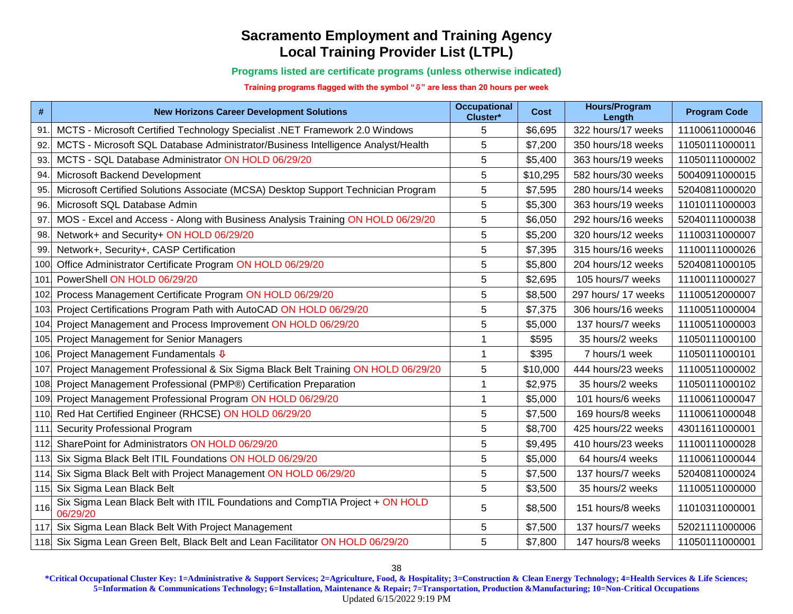**Programs listed are certificate programs (unless otherwise indicated)**

**Training programs flagged with the symbol "" are less than 20 hours per week**

| #    | <b>New Horizons Career Development Solutions</b>                                          | <b>Occupational</b><br>Cluster* | <b>Cost</b> | <b>Hours/Program</b><br>Length | <b>Program Code</b> |
|------|-------------------------------------------------------------------------------------------|---------------------------------|-------------|--------------------------------|---------------------|
| 91   | MCTS - Microsoft Certified Technology Specialist .NET Framework 2.0 Windows               | 5                               | \$6,695     | 322 hours/17 weeks             | 11100611000046      |
| 92   | MCTS - Microsoft SQL Database Administrator/Business Intelligence Analyst/Health          | 5                               | \$7,200     | 350 hours/18 weeks             | 11050111000011      |
| 93.  | MCTS - SQL Database Administrator ON HOLD 06/29/20                                        | 5                               | \$5,400     | 363 hours/19 weeks             | 11050111000002      |
| 94   | Microsoft Backend Development                                                             | 5                               | \$10,295    | 582 hours/30 weeks             | 50040911000015      |
| 95.  | Microsoft Certified Solutions Associate (MCSA) Desktop Support Technician Program         | 5                               | \$7,595     | 280 hours/14 weeks             | 52040811000020      |
| 96.  | Microsoft SQL Database Admin                                                              | 5                               | \$5,300     | 363 hours/19 weeks             | 11010111000003      |
| 97.  | MOS - Excel and Access - Along with Business Analysis Training ON HOLD 06/29/20           | 5                               | \$6,050     | 292 hours/16 weeks             | 52040111000038      |
| 98.  | Network+ and Security+ ON HOLD 06/29/20                                                   | 5                               | \$5,200     | 320 hours/12 weeks             | 11100311000007      |
| 99.  | Network+, Security+, CASP Certification                                                   | 5                               | \$7,395     | 315 hours/16 weeks             | 11100111000026      |
| 100  | Office Administrator Certificate Program ON HOLD 06/29/20                                 | 5                               | \$5,800     | 204 hours/12 weeks             | 52040811000105      |
| 101  | PowerShell ON HOLD 06/29/20                                                               | 5                               | \$2,695     | 105 hours/7 weeks              | 11100111000027      |
| 102  | Process Management Certificate Program ON HOLD 06/29/20                                   | 5                               | \$8,500     | 297 hours/ 17 weeks            | 11100512000007      |
| 103  | Project Certifications Program Path with AutoCAD ON HOLD 06/29/20                         | 5                               | \$7,375     | 306 hours/16 weeks             | 11100511000004      |
| 104  | Project Management and Process Improvement ON HOLD 06/29/20                               | 5                               | \$5,000     | 137 hours/7 weeks              | 11100511000003      |
| 105  | Project Management for Senior Managers                                                    |                                 | \$595       | 35 hours/2 weeks               | 11050111000100      |
| 106  | Project Management Fundamentals ↓                                                         | 1                               | \$395       | 7 hours/1 week                 | 11050111000101      |
| 107  | Project Management Professional & Six Sigma Black Belt Training ON HOLD 06/29/20          | 5                               | \$10,000    | 444 hours/23 weeks             | 11100511000002      |
| 108  | Project Management Professional (PMP®) Certification Preparation                          | 1                               | \$2,975     | 35 hours/2 weeks               | 11050111000102      |
| 109  | Project Management Professional Program ON HOLD 06/29/20                                  | 1                               | \$5,000     | 101 hours/6 weeks              | 11100611000047      |
| 110  | Red Hat Certified Engineer (RHCSE) ON HOLD 06/29/20                                       | 5                               | \$7,500     | 169 hours/8 weeks              | 11100611000048      |
| 111  | <b>Security Professional Program</b>                                                      | 5                               | \$8,700     | 425 hours/22 weeks             | 43011611000001      |
| 112  | SharePoint for Administrators ON HOLD 06/29/20                                            | 5                               | \$9,495     | 410 hours/23 weeks             | 11100111000028      |
| 113  | Six Sigma Black Belt ITIL Foundations ON HOLD 06/29/20                                    | 5                               | \$5,000     | 64 hours/4 weeks               | 11100611000044      |
| 114  | Six Sigma Black Belt with Project Management ON HOLD 06/29/20                             | 5                               | \$7,500     | 137 hours/7 weeks              | 52040811000024      |
| 115  | Six Sigma Lean Black Belt                                                                 | 5                               | \$3,500     | 35 hours/2 weeks               | 11100511000000      |
| 116  | Six Sigma Lean Black Belt with ITIL Foundations and CompTIA Project + ON HOLD<br>06/29/20 | 5                               | \$8,500     | 151 hours/8 weeks              | 11010311000001      |
| 117  | Six Sigma Lean Black Belt With Project Management                                         | 5                               | \$7,500     | 137 hours/7 weeks              | 52021111000006      |
| 118. | Six Sigma Lean Green Belt, Black Belt and Lean Facilitator ON HOLD 06/29/20               | 5                               | \$7,800     | 147 hours/8 weeks              | 11050111000001      |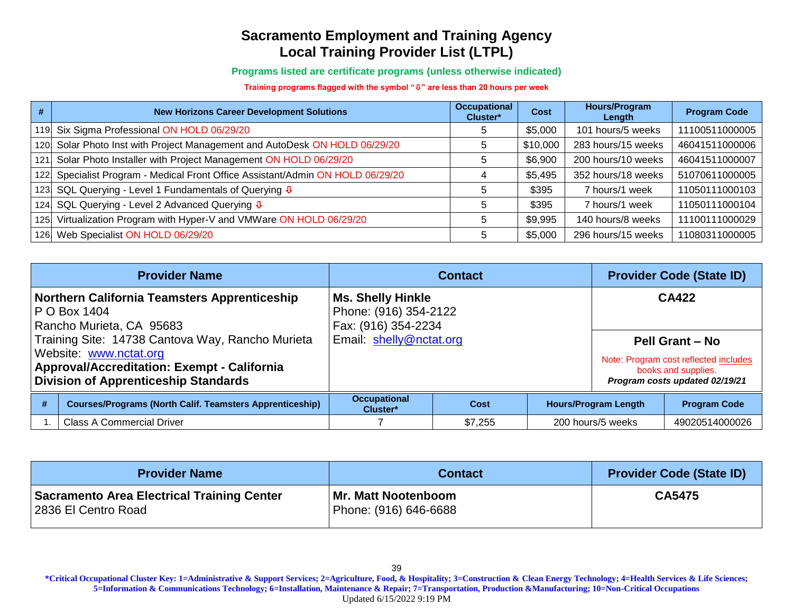**Programs listed are certificate programs (unless otherwise indicated)**

**Training programs flagged with the symbol "" are less than 20 hours per week**

| #                | <b>New Horizons Career Development Solutions</b>                           | <b>Occupational</b><br>Cluster* | <b>Cost</b> | <b>Hours/Program</b><br>Length | <b>Program Code</b> |
|------------------|----------------------------------------------------------------------------|---------------------------------|-------------|--------------------------------|---------------------|
| 119 <sub>1</sub> | Six Sigma Professional ON HOLD 06/29/20                                    | 5                               | \$5,000     | 101 hours/5 weeks              | 11100511000005      |
| 120.             | Solar Photo Inst with Project Management and AutoDesk ON HOLD 06/29/20     |                                 | \$10,000    | 283 hours/15 weeks             | 46041511000006      |
| 121              | Solar Photo Installer with Project Management ON HOLD 06/29/20             | b                               | \$6,900     | 200 hours/10 weeks             | 46041511000007      |
| 122              | Specialist Program - Medical Front Office Assistant/Admin ON HOLD 06/29/20 |                                 | \$5,495     | 352 hours/18 weeks             | 51070611000005      |
| 123 <sub>1</sub> | SQL Querying - Level 1 Fundamentals of Querying $\sqrt{\Psi}$              | b                               | \$395       | 7 hours/1 week                 | 11050111000103      |
| 124.             | SQL Querying - Level 2 Advanced Querying $\sqrt{\Phi}$                     |                                 | \$395       | 7 hours/1 week                 | 11050111000104      |
| 125              | Virtualization Program with Hyper-V and VMWare ON HOLD 06/29/20            | 5                               | \$9,995     | 140 hours/8 weeks              | 11100111000029      |
| 126.             | Web Specialist ON HOLD 06/29/20                                            |                                 | \$5,000     | 296 hours/15 weeks             | 11080311000005      |

|                                                                                                                                                                                 | <b>Provider Name</b>                                                                            |                                                                          | <b>Contact</b> | <b>Provider Code (State ID)</b> |                             |                                                                                                                          |
|---------------------------------------------------------------------------------------------------------------------------------------------------------------------------------|-------------------------------------------------------------------------------------------------|--------------------------------------------------------------------------|----------------|---------------------------------|-----------------------------|--------------------------------------------------------------------------------------------------------------------------|
|                                                                                                                                                                                 | <b>Northern California Teamsters Apprenticeship</b><br>P O Box 1404<br>Rancho Murieta, CA 95683 | <b>Ms. Shelly Hinkle</b><br>Phone: (916) 354-2122<br>Fax: (916) 354-2234 |                |                                 |                             | <b>CA422</b>                                                                                                             |
| Training Site: 14738 Cantova Way, Rancho Murieta<br>Website: www.nctat.org<br><b>Approval/Accreditation: Exempt - California</b><br><b>Division of Apprenticeship Standards</b> |                                                                                                 | Email: shelly@nctat.org                                                  |                |                                 |                             | <b>Pell Grant - No</b><br>Note: Program cost reflected includes<br>books and supplies.<br>Program costs updated 02/19/21 |
| #                                                                                                                                                                               | <b>Courses/Programs (North Calif. Teamsters Apprenticeship)</b>                                 | <b>Occupational</b><br>Cluster*                                          | <b>Cost</b>    |                                 | <b>Hours/Program Length</b> | <b>Program Code</b>                                                                                                      |
|                                                                                                                                                                                 | <b>Class A Commercial Driver</b>                                                                | \$7,255<br>200 hours/5 weeks                                             |                |                                 |                             | 49020514000026                                                                                                           |

| <b>Provider Name</b>                                              | <b>Contact</b>                               | <b>Provider Code (State ID)</b> |
|-------------------------------------------------------------------|----------------------------------------------|---------------------------------|
| Sacramento Area Electrical Training Center<br>2836 El Centro Road | Mr. Matt Nootenboom<br>Phone: (916) 646-6688 | CA5475                          |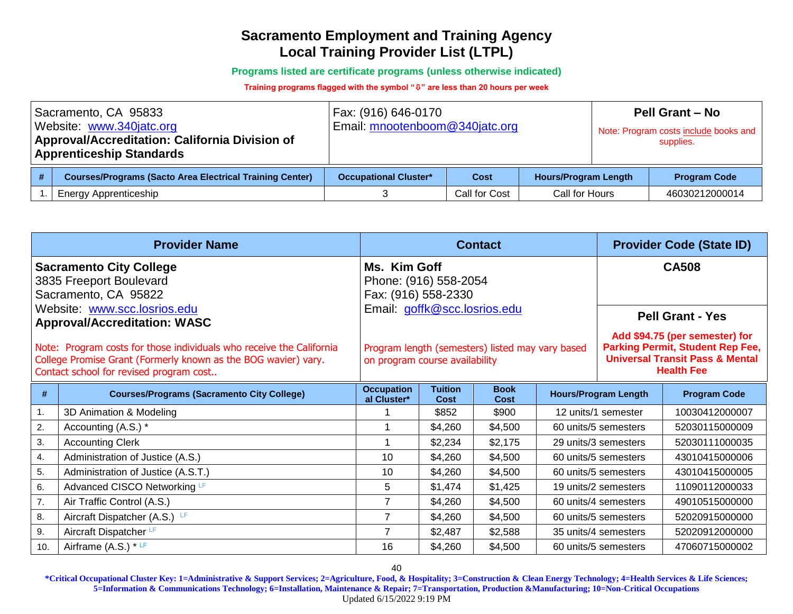**Programs listed are certificate programs (unless otherwise indicated)**

#### **Training programs flagged with the symbol "" are less than 20 hours per week**

| Sacramento, CA 95833<br>Website: www.340jatc.org<br>Approval/Accreditation: California Division of<br><b>Apprenticeship Standards</b> |                                                                 | Fax: (916) 646-0170<br>Email: mnootenboom@340jatc.org               |               |                | <b>Pell Grant - No</b><br>Note: Program costs include books and<br>supplies. |                     |
|---------------------------------------------------------------------------------------------------------------------------------------|-----------------------------------------------------------------|---------------------------------------------------------------------|---------------|----------------|------------------------------------------------------------------------------|---------------------|
|                                                                                                                                       | <b>Courses/Programs (Sacto Area Electrical Training Center)</b> | <b>Hours/Program Length</b><br><b>Occupational Cluster*</b><br>Cost |               |                |                                                                              | <b>Program Code</b> |
|                                                                                                                                       | Energy Apprenticeship                                           |                                                                     | Call for Cost | Call for Hours | 46030212000014                                                               |                     |

| <b>Provider Name</b>                                                |                                                                                                                                                                                   |                                                              |                               | <b>Contact</b>                                   |              | <b>Provider Code (State ID)</b> |                                                                                                                                              |  |
|---------------------------------------------------------------------|-----------------------------------------------------------------------------------------------------------------------------------------------------------------------------------|--------------------------------------------------------------|-------------------------------|--------------------------------------------------|--------------|---------------------------------|----------------------------------------------------------------------------------------------------------------------------------------------|--|
|                                                                     | <b>Sacramento City College</b><br>3835 Freeport Boulevard<br>Sacramento, CA 95822                                                                                                 | Ms. Kim Goff<br>Phone: (916) 558-2054<br>Fax: (916) 558-2330 |                               |                                                  | <b>CA508</b> |                                 |                                                                                                                                              |  |
| Website: www.scc.losrios.edu<br><b>Approval/Accreditation: WASC</b> |                                                                                                                                                                                   | Email: goffk@scc.losrios.edu                                 |                               |                                                  |              |                                 | <b>Pell Grant - Yes</b>                                                                                                                      |  |
|                                                                     | Note: Program costs for those individuals who receive the California<br>College Promise Grant (Formerly known as the BOG wavier) vary.<br>Contact school for revised program cost | on program course availability                               |                               | Program length (semesters) listed may vary based |              |                                 | Add \$94.75 (per semester) for<br><b>Parking Permit, Student Rep Fee,</b><br><b>Universal Transit Pass &amp; Mental</b><br><b>Health Fee</b> |  |
| #                                                                   | <b>Courses/Programs (Sacramento City College)</b>                                                                                                                                 | <b>Occupation</b><br>al Cluster*                             | <b>Tuition</b><br><b>Cost</b> | <b>Book</b><br>Cost                              |              | <b>Hours/Program Length</b>     | <b>Program Code</b>                                                                                                                          |  |
| 1.                                                                  | 3D Animation & Modeling                                                                                                                                                           |                                                              | \$852                         | \$900                                            |              | 12 units/1 semester             | 10030412000007                                                                                                                               |  |
| 2.                                                                  | Accounting (A.S.) *                                                                                                                                                               |                                                              | \$4,260                       | \$4,500                                          |              | 60 units/5 semesters            | 52030115000009                                                                                                                               |  |
| 3.                                                                  | <b>Accounting Clerk</b>                                                                                                                                                           | 1                                                            | \$2,234                       | \$2,175                                          |              | 29 units/3 semesters            | 52030111000035                                                                                                                               |  |
| 4.                                                                  | Administration of Justice (A.S.)                                                                                                                                                  | 10                                                           | \$4,260                       | \$4,500                                          |              | 60 units/5 semesters            | 43010415000006                                                                                                                               |  |
| 5.                                                                  | Administration of Justice (A.S.T.)                                                                                                                                                | 10                                                           | \$4,260                       | \$4,500                                          |              | 60 units/5 semesters            | 43010415000005                                                                                                                               |  |
| 6.                                                                  | Advanced CISCO Networking LF                                                                                                                                                      | 5                                                            | \$1,474                       | \$1,425                                          |              | 19 units/2 semesters            | 11090112000033                                                                                                                               |  |
| 7.                                                                  | Air Traffic Control (A.S.)                                                                                                                                                        | 7                                                            | \$4,260                       | \$4,500                                          |              | 60 units/4 semesters            | 49010515000000                                                                                                                               |  |
| 8.                                                                  | Aircraft Dispatcher (A.S.) LF                                                                                                                                                     | 7                                                            | \$4,260                       | \$4,500                                          |              | 60 units/5 semesters            | 52020915000000                                                                                                                               |  |
| 9.                                                                  | Aircraft Dispatcher LF                                                                                                                                                            | $\overline{7}$                                               | \$2,487                       | \$2,588                                          |              | 35 units/4 semesters            | 52020912000000                                                                                                                               |  |
| 10.                                                                 | Airframe (A.S.) * LF                                                                                                                                                              | 16                                                           | \$4,260                       | \$4,500                                          |              | 60 units/5 semesters            | 47060715000002                                                                                                                               |  |

40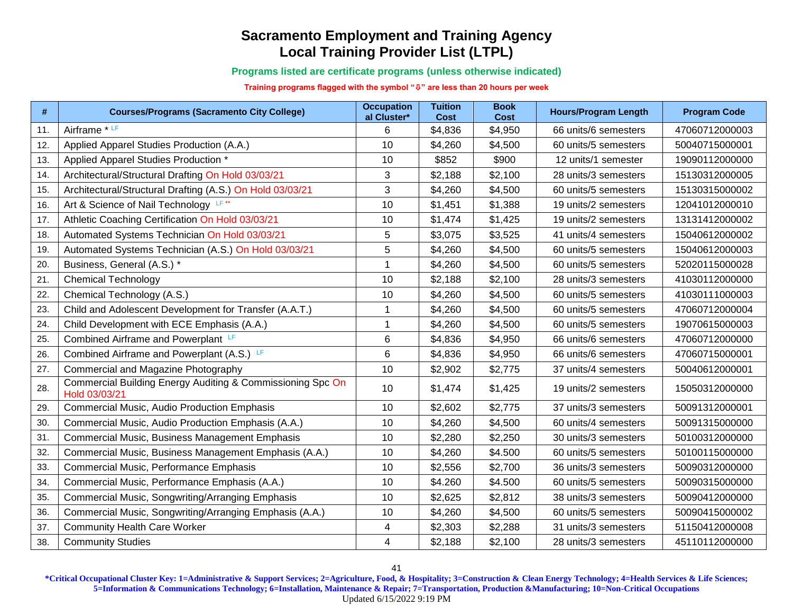**Programs listed are certificate programs (unless otherwise indicated)**

**Training programs flagged with the symbol "" are less than 20 hours per week**

| #   | <b>Courses/Programs (Sacramento City College)</b>                           | <b>Occupation</b><br>al Cluster* | <b>Tuition</b><br><b>Cost</b> | <b>Book</b><br><b>Cost</b> | <b>Hours/Program Length</b> | <b>Program Code</b> |
|-----|-----------------------------------------------------------------------------|----------------------------------|-------------------------------|----------------------------|-----------------------------|---------------------|
| 11. | Airframe * LF                                                               | 6                                | \$4,836                       | \$4,950                    | 66 units/6 semesters        | 47060712000003      |
| 12. | Applied Apparel Studies Production (A.A.)                                   | 10                               | \$4,260                       | \$4,500                    | 60 units/5 semesters        | 50040715000001      |
| 13. | Applied Apparel Studies Production *                                        | 10                               | \$852                         | \$900                      | 12 units/1 semester         | 19090112000000      |
| 14. | Architectural/Structural Drafting On Hold 03/03/21                          | 3                                | \$2,188                       | \$2,100                    | 28 units/3 semesters        | 15130312000005      |
| 15. | Architectural/Structural Drafting (A.S.) On Hold 03/03/21                   | 3                                | \$4,260                       | \$4,500                    | 60 units/5 semesters        | 15130315000002      |
| 16. | Art & Science of Nail Technology LF**                                       | 10                               | \$1,451                       | \$1,388                    | 19 units/2 semesters        | 12041012000010      |
| 17. | Athletic Coaching Certification On Hold 03/03/21                            | 10                               | \$1,474                       | \$1,425                    | 19 units/2 semesters        | 13131412000002      |
| 18. | Automated Systems Technician On Hold 03/03/21                               | 5                                | \$3,075                       | \$3,525                    | 41 units/4 semesters        | 15040612000002      |
| 19. | Automated Systems Technician (A.S.) On Hold 03/03/21                        | 5                                | \$4,260                       | \$4,500                    | 60 units/5 semesters        | 15040612000003      |
| 20. | Business, General (A.S.) *                                                  | $\mathbf{1}$                     | \$4,260                       | \$4,500                    | 60 units/5 semesters        | 52020115000028      |
| 21. | <b>Chemical Technology</b>                                                  | 10                               | \$2,188                       | \$2,100                    | 28 units/3 semesters        | 41030112000000      |
| 22. | Chemical Technology (A.S.)                                                  | 10                               | \$4,260                       | \$4,500                    | 60 units/5 semesters        | 41030111000003      |
| 23. | Child and Adolescent Development for Transfer (A.A.T.)                      | 1                                | \$4,260                       | \$4,500                    | 60 units/5 semesters        | 47060712000004      |
| 24. | Child Development with ECE Emphasis (A.A.)                                  | $\mathbf 1$                      | \$4,260                       | \$4,500                    | 60 units/5 semesters        | 19070615000003      |
| 25. | Combined Airframe and Powerplant LF                                         | 6                                | \$4,836                       | \$4,950                    | 66 units/6 semesters        | 47060712000000      |
| 26. | Combined Airframe and Powerplant (A.S.) LF                                  | 6                                | \$4,836                       | \$4,950                    | 66 units/6 semesters        | 47060715000001      |
| 27. | Commercial and Magazine Photography                                         | 10                               | \$2,902                       | \$2,775                    | 37 units/4 semesters        | 50040612000001      |
| 28. | Commercial Building Energy Auditing & Commissioning Spc On<br>Hold 03/03/21 | 10                               | \$1,474                       | \$1,425                    | 19 units/2 semesters        | 15050312000000      |
| 29. | <b>Commercial Music, Audio Production Emphasis</b>                          | 10                               | \$2,602                       | \$2,775                    | 37 units/3 semesters        | 50091312000001      |
| 30. | Commercial Music, Audio Production Emphasis (A.A.)                          | 10                               | \$4,260                       | \$4,500                    | 60 units/4 semesters        | 50091315000000      |
| 31  | Commercial Music, Business Management Emphasis                              | 10                               | \$2,280                       | \$2,250                    | 30 units/3 semesters        | 50100312000000      |
| 32. | Commercial Music, Business Management Emphasis (A.A.)                       | 10                               | \$4,260                       | \$4.500                    | 60 units/5 semesters        | 50100115000000      |
| 33. | Commercial Music, Performance Emphasis                                      | 10                               | \$2,556                       | \$2,700                    | 36 units/3 semesters        | 50090312000000      |
| 34. | Commercial Music, Performance Emphasis (A.A.)                               | 10                               | \$4.260                       | \$4.500                    | 60 units/5 semesters        | 50090315000000      |
| 35. | Commercial Music, Songwriting/Arranging Emphasis                            | 10                               | \$2,625                       | \$2,812                    | 38 units/3 semesters        | 50090412000000      |
| 36. | Commercial Music, Songwriting/Arranging Emphasis (A.A.)                     | 10                               | \$4,260                       | \$4,500                    | 60 units/5 semesters        | 50090415000002      |
| 37. | <b>Community Health Care Worker</b>                                         | 4                                | \$2,303                       | \$2,288                    | 31 units/3 semesters        | 51150412000008      |
| 38. | <b>Community Studies</b>                                                    | 4                                | \$2,188                       | \$2,100                    | 28 units/3 semesters        | 45110112000000      |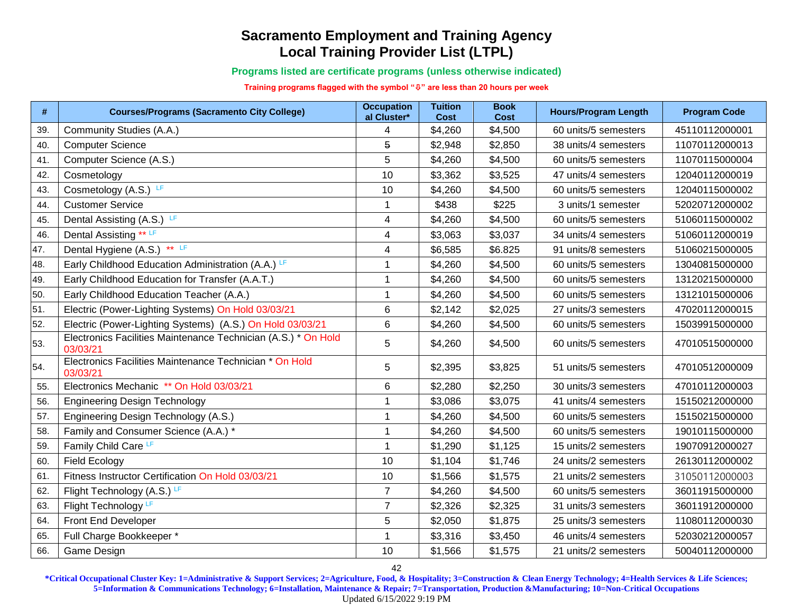**Programs listed are certificate programs (unless otherwise indicated)**

**Training programs flagged with the symbol "" are less than 20 hours per week**

| #   | <b>Courses/Programs (Sacramento City College)</b>                          | <b>Occupation</b><br>al Cluster* | <b>Tuition</b><br>Cost | <b>Book</b><br><b>Cost</b> | <b>Hours/Program Length</b> | <b>Program Code</b> |
|-----|----------------------------------------------------------------------------|----------------------------------|------------------------|----------------------------|-----------------------------|---------------------|
| 39. | Community Studies (A.A.)                                                   | 4                                | \$4,260                | \$4,500                    | 60 units/5 semesters        | 45110112000001      |
| 40. | <b>Computer Science</b>                                                    | 5                                | \$2,948                | \$2,850                    | 38 units/4 semesters        | 11070112000013      |
| 41. | Computer Science (A.S.)                                                    | 5                                | \$4,260                | \$4,500                    | 60 units/5 semesters        | 11070115000004      |
| 42. | Cosmetology                                                                | 10                               | \$3,362                | \$3,525                    | 47 units/4 semesters        | 12040112000019      |
| 43. | Cosmetology (A.S.) LF                                                      | 10                               | \$4,260                | \$4,500                    | 60 units/5 semesters        | 12040115000002      |
| 44. | <b>Customer Service</b>                                                    | 1                                | \$438                  | \$225                      | 3 units/1 semester          | 52020712000002      |
| 45. | Dental Assisting (A.S.) LF                                                 | $\overline{\mathbf{4}}$          | \$4,260                | \$4,500                    | 60 units/5 semesters        | 51060115000002      |
| 46. | Dental Assisting ** LF                                                     | 4                                | \$3,063                | \$3,037                    | 34 units/4 semesters        | 51060112000019      |
| 47. | Dental Hygiene (A.S.) ** LF                                                | 4                                | \$6,585                | \$6.825                    | 91 units/8 semesters        | 51060215000005      |
| 48. | Early Childhood Education Administration (A.A.) LF                         | 1                                | \$4,260                | \$4,500                    | 60 units/5 semesters        | 13040815000000      |
| 49. | Early Childhood Education for Transfer (A.A.T.)                            | 1                                | \$4,260                | \$4,500                    | 60 units/5 semesters        | 13120215000000      |
| 50. | Early Childhood Education Teacher (A.A.)                                   | 1                                | \$4,260                | \$4,500                    | 60 units/5 semesters        | 13121015000006      |
| 51. | Electric (Power-Lighting Systems) On Hold 03/03/21                         | 6                                | \$2,142                | \$2,025                    | 27 units/3 semesters        | 47020112000015      |
| 52. | Electric (Power-Lighting Systems) (A.S.) On Hold 03/03/21                  | 6                                | \$4,260                | \$4,500                    | 60 units/5 semesters        | 15039915000000      |
| 53. | Electronics Facilities Maintenance Technician (A.S.) * On Hold<br>03/03/21 | 5                                | \$4,260                | \$4,500                    | 60 units/5 semesters        | 47010515000000      |
| 54. | Electronics Facilities Maintenance Technician * On Hold<br>03/03/21        | 5                                | \$2,395                | \$3,825                    | 51 units/5 semesters        | 47010512000009      |
| 55. | Electronics Mechanic ** On Hold 03/03/21                                   | 6                                | \$2,280                | \$2,250                    | 30 units/3 semesters        | 47010112000003      |
| 56. | <b>Engineering Design Technology</b>                                       | 1                                | \$3,086                | \$3,075                    | 41 units/4 semesters        | 15150212000000      |
| 57. | Engineering Design Technology (A.S.)                                       | $\mathbf 1$                      | \$4,260                | \$4,500                    | 60 units/5 semesters        | 15150215000000      |
| 58. | Family and Consumer Science (A.A.) *                                       | $\mathbf{1}$                     | \$4,260                | \$4,500                    | 60 units/5 semesters        | 19010115000000      |
| 59. | Family Child Care LF                                                       | $\mathbf{1}$                     | \$1,290                | \$1,125                    | 15 units/2 semesters        | 19070912000027      |
| 60. | <b>Field Ecology</b>                                                       | 10                               | \$1,104                | \$1,746                    | 24 units/2 semesters        | 26130112000002      |
| 61. | Fitness Instructor Certification On Hold 03/03/21                          | 10                               | \$1,566                | \$1,575                    | 21 units/2 semesters        | 31050112000003      |
| 62. | Flight Technology (A.S.) LF                                                | $\overline{7}$                   | \$4,260                | \$4,500                    | 60 units/5 semesters        | 36011915000000      |
| 63. | Flight Technology LF                                                       | $\overline{7}$                   | \$2,326                | \$2,325                    | 31 units/3 semesters        | 36011912000000      |
| 64. | Front End Developer                                                        | 5                                | \$2,050                | \$1,875                    | 25 units/3 semesters        | 11080112000030      |
| 65. | Full Charge Bookkeeper *                                                   | 1                                | \$3,316                | \$3,450                    | 46 units/4 semesters        | 52030212000057      |
| 66. | Game Design                                                                | 10                               | \$1,566                | \$1,575                    | 21 units/2 semesters        | 50040112000000      |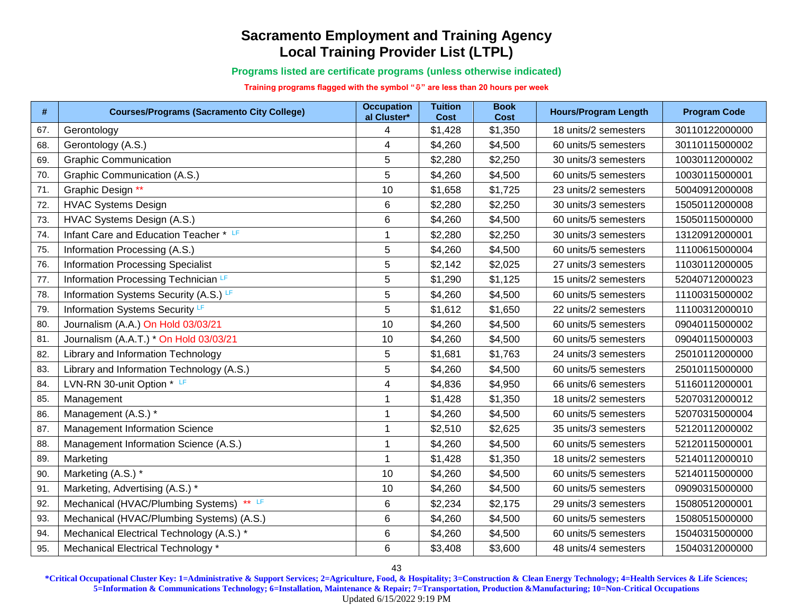**Programs listed are certificate programs (unless otherwise indicated)**

**Training programs flagged with the symbol "" are less than 20 hours per week**

| #   | <b>Courses/Programs (Sacramento City College)</b>     | <b>Occupation</b><br>al Cluster* | <b>Tuition</b><br><b>Cost</b> | <b>Book</b><br><b>Cost</b> | <b>Hours/Program Length</b> | <b>Program Code</b> |
|-----|-------------------------------------------------------|----------------------------------|-------------------------------|----------------------------|-----------------------------|---------------------|
| 67. | Gerontology                                           | 4                                | \$1,428                       | \$1,350                    | 18 units/2 semesters        | 30110122000000      |
| 68. | Gerontology (A.S.)                                    | 4                                | \$4,260                       | \$4,500                    | 60 units/5 semesters        | 30110115000002      |
| 69. | <b>Graphic Communication</b>                          | 5                                | \$2,280                       | \$2,250                    | 30 units/3 semesters        | 10030112000002      |
| 70. | Graphic Communication (A.S.)                          | $\overline{5}$                   | \$4,260                       | \$4,500                    | 60 units/5 semesters        | 10030115000001      |
| 71. | Graphic Design **                                     | 10                               | \$1,658                       | \$1,725                    | 23 units/2 semesters        | 50040912000008      |
| 72. | <b>HVAC Systems Design</b>                            | 6                                | \$2,280                       | \$2,250                    | 30 units/3 semesters        | 15050112000008      |
| 73. | HVAC Systems Design (A.S.)                            | $\,6$                            | \$4,260                       | \$4,500                    | 60 units/5 semesters        | 15050115000000      |
| 74. | Infant Care and Education Teacher * LF                | $\mathbf 1$                      | \$2,280                       | \$2,250                    | 30 units/3 semesters        | 13120912000001      |
| 75. | Information Processing (A.S.)                         | 5                                | \$4,260                       | \$4,500                    | 60 units/5 semesters        | 11100615000004      |
| 76. | <b>Information Processing Specialist</b>              | $\mathbf 5$                      | \$2,142                       | \$2,025                    | 27 units/3 semesters        | 11030112000005      |
| 77. | Information Processing Technician LF                  | 5                                | \$1,290                       | \$1,125                    | 15 units/2 semesters        | 52040712000023      |
| 78. | Information Systems Security (A.S.) LF                | $\sqrt{5}$                       | \$4,260                       | \$4,500                    | 60 units/5 semesters        | 11100315000002      |
| 79. | Information Systems Security LF                       | 5                                | \$1,612                       | \$1,650                    | 22 units/2 semesters        | 11100312000010      |
| 80. | Journalism (A.A.) On Hold 03/03/21                    | 10                               | \$4,260                       | \$4,500                    | 60 units/5 semesters        | 09040115000002      |
| 81. | Journalism (A.A.T.) * On Hold 03/03/21                | 10                               | \$4,260                       | \$4,500                    | 60 units/5 semesters        | 09040115000003      |
| 82. | Library and Information Technology                    | 5                                | \$1,681                       | \$1,763                    | 24 units/3 semesters        | 25010112000000      |
| 83. | Library and Information Technology (A.S.)             | $\sqrt{5}$                       | \$4,260                       | \$4,500                    | 60 units/5 semesters        | 25010115000000      |
| 84. | LVN-RN 30-unit Option * LF                            | $\overline{\mathbf{4}}$          | \$4,836                       | \$4,950                    | 66 units/6 semesters        | 51160112000001      |
| 85. | Management                                            | 1                                | \$1,428                       | \$1,350                    | 18 units/2 semesters        | 52070312000012      |
| 86. | Management (A.S.) *                                   | $\mathbf 1$                      | \$4,260                       | \$4,500                    | 60 units/5 semesters        | 52070315000004      |
| 87. | <b>Management Information Science</b>                 | $\mathbf{1}$                     | \$2,510                       | \$2,625                    | 35 units/3 semesters        | 52120112000002      |
| 88. | Management Information Science (A.S.)                 | $\mathbf 1$                      | \$4,260                       | \$4,500                    | 60 units/5 semesters        | 52120115000001      |
| 89. | Marketing                                             | $\mathbf{1}$                     | \$1,428                       | \$1,350                    | 18 units/2 semesters        | 52140112000010      |
| 90. | Marketing (A.S.) *                                    | 10                               | \$4,260                       | \$4,500                    | 60 units/5 semesters        | 52140115000000      |
| 91. | Marketing, Advertising (A.S.) *                       | 10                               | \$4,260                       | \$4,500                    | 60 units/5 semesters        | 09090315000000      |
| 92  | $\star\star$ LF<br>Mechanical (HVAC/Plumbing Systems) | 6                                | \$2,234                       | \$2,175                    | 29 units/3 semesters        | 15080512000001      |
| 93. | Mechanical (HVAC/Plumbing Systems) (A.S.)             | 6                                | \$4,260                       | \$4,500                    | 60 units/5 semesters        | 15080515000000      |
| 94. | Mechanical Electrical Technology (A.S.) *             | 6                                | \$4,260                       | \$4,500                    | 60 units/5 semesters        | 15040315000000      |
| 95. | Mechanical Electrical Technology *                    | 6                                | \$3,408                       | \$3,600                    | 48 units/4 semesters        | 15040312000000      |

43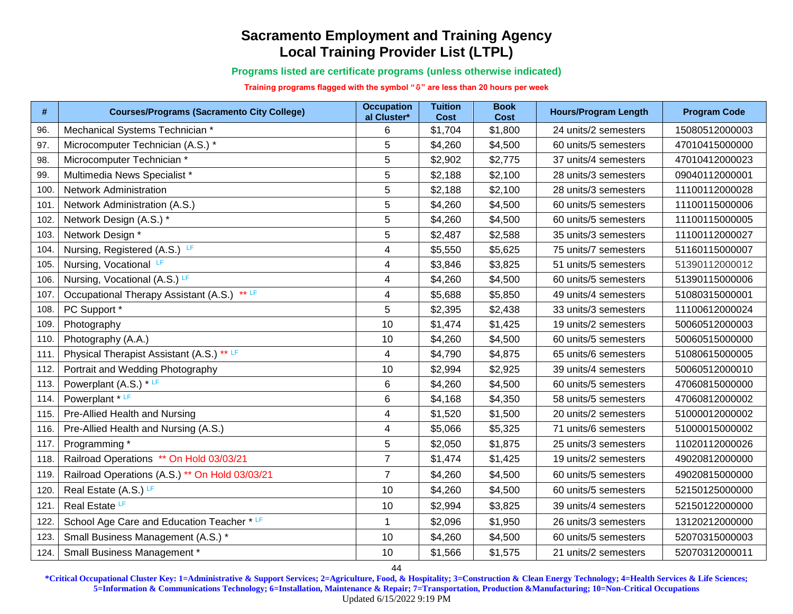**Programs listed are certificate programs (unless otherwise indicated)**

**Training programs flagged with the symbol "" are less than 20 hours per week**

| $\#$ | <b>Courses/Programs (Sacramento City College)</b> | <b>Occupation</b><br>al Cluster* | <b>Tuition</b><br><b>Cost</b> | <b>Book</b><br><b>Cost</b> | <b>Hours/Program Length</b> | <b>Program Code</b> |
|------|---------------------------------------------------|----------------------------------|-------------------------------|----------------------------|-----------------------------|---------------------|
| 96.  | Mechanical Systems Technician *                   | 6                                | \$1,704                       | \$1,800                    | 24 units/2 semesters        | 15080512000003      |
| 97.  | Microcomputer Technician (A.S.) *                 | 5                                | \$4,260                       | \$4,500                    | 60 units/5 semesters        | 47010415000000      |
| 98.  | Microcomputer Technician *                        | 5                                | \$2,902                       | \$2,775                    | 37 units/4 semesters        | 47010412000023      |
| 99.  | Multimedia News Specialist *                      | 5                                | \$2,188                       | \$2,100                    | 28 units/3 semesters        | 09040112000001      |
| 100  | <b>Network Administration</b>                     | 5                                | \$2,188                       | \$2,100                    | 28 units/3 semesters        | 11100112000028      |
| 101  | Network Administration (A.S.)                     | 5                                | \$4,260                       | \$4,500                    | 60 units/5 semesters        | 11100115000006      |
| 102. | Network Design (A.S.) *                           | 5                                | \$4,260                       | \$4,500                    | 60 units/5 semesters        | 11100115000005      |
| 103. | Network Design *                                  | 5                                | \$2,487                       | \$2,588                    | 35 units/3 semesters        | 11100112000027      |
| 104  | Nursing, Registered (A.S.) LF                     | 4                                | \$5,550                       | \$5,625                    | 75 units/7 semesters        | 51160115000007      |
| 105. | Nursing, Vocational LF                            | 4                                | \$3,846                       | \$3,825                    | 51 units/5 semesters        | 51390112000012      |
| 106. | Nursing, Vocational (A.S.) LF                     | 4                                | \$4,260                       | \$4,500                    | 60 units/5 semesters        | 51390115000006      |
| 107  | Occupational Therapy Assistant (A.S.) ** LF       | 4                                | \$5,688                       | \$5,850                    | 49 units/4 semesters        | 51080315000001      |
| 108. | PC Support *                                      | 5                                | \$2,395                       | \$2,438                    | 33 units/3 semesters        | 11100612000024      |
| 109. | Photography                                       | 10                               | \$1,474                       | \$1,425                    | 19 units/2 semesters        | 50060512000003      |
| 110. | Photography (A.A.)                                | 10                               | \$4,260                       | \$4,500                    | 60 units/5 semesters        | 50060515000000      |
| 111  | Physical Therapist Assistant (A.S.) ** LF         | 4                                | \$4,790                       | \$4,875                    | 65 units/6 semesters        | 51080615000005      |
| 112. | Portrait and Wedding Photography                  | 10                               | \$2,994                       | \$2,925                    | 39 units/4 semesters        | 50060512000010      |
| 113. | Powerplant $(A.S.) * LF$                          | 6                                | \$4,260                       | \$4,500                    | 60 units/5 semesters        | 47060815000000      |
| 114. | Powerplant * LF                                   | 6                                | \$4,168                       | \$4,350                    | 58 units/5 semesters        | 47060812000002      |
| 115. | Pre-Allied Health and Nursing                     | 4                                | \$1,520                       | \$1,500                    | 20 units/2 semesters        | 51000012000002      |
| 116. | Pre-Allied Health and Nursing (A.S.)              | 4                                | \$5,066                       | \$5,325                    | 71 units/6 semesters        | 51000015000002      |
| 117. | Programming *                                     | 5                                | \$2,050                       | \$1,875                    | 25 units/3 semesters        | 11020112000026      |
| 118. | Railroad Operations ** On Hold 03/03/21           | $\overline{7}$                   | \$1,474                       | \$1,425                    | 19 units/2 semesters        | 49020812000000      |
| 119. | Railroad Operations (A.S.) ** On Hold 03/03/21    | $\overline{7}$                   | \$4,260                       | \$4,500                    | 60 units/5 semesters        | 49020815000000      |
| 120. | Real Estate (A.S.) LF                             | 10                               | \$4,260                       | \$4,500                    | 60 units/5 semesters        | 52150125000000      |
| 121  | Real Estate LF                                    | 10                               | \$2,994                       | \$3,825                    | 39 units/4 semesters        | 52150122000000      |
| 122. | School Age Care and Education Teacher * LF        | $\mathbf{1}$                     | \$2,096                       | \$1,950                    | 26 units/3 semesters        | 13120212000000      |
| 123. | Small Business Management (A.S.) *                | 10                               | \$4,260                       | \$4,500                    | 60 units/5 semesters        | 52070315000003      |
| 124. | Small Business Management *                       | 10                               | \$1,566                       | \$1,575                    | 21 units/2 semesters        | 52070312000011      |

**\*Critical Occupational Cluster Key: 1=Administrative & Support Services; 2=Agriculture, Food, & Hospitality; 3=Construction & Clean Energy Technology; 4=Health Services & Life Sciences; 5=Information & Communications Technology; 6=Installation, Maintenance & Repair; 7=Transportation, Production &Manufacturing; 10=Non-Critical Occupations** Updated 6/15/2022 9:19 PM

44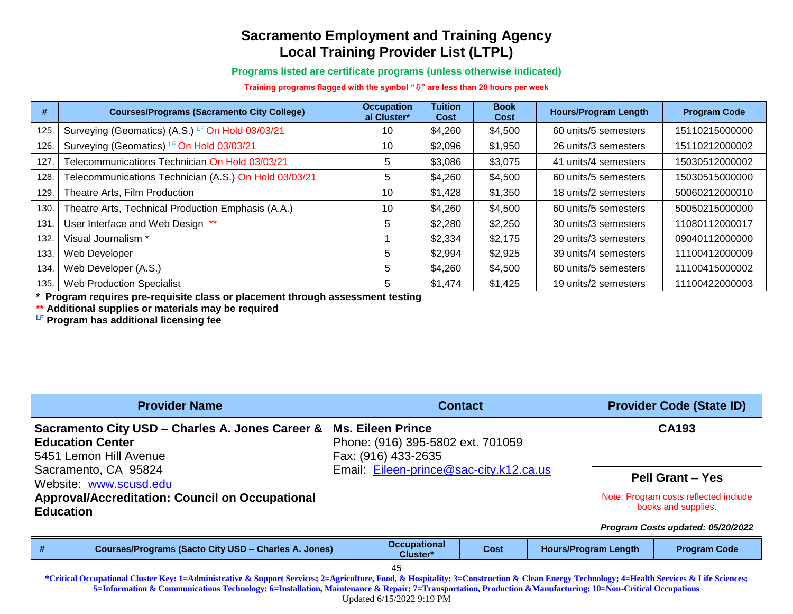**Programs listed are certificate programs (unless otherwise indicated)**

**Training programs flagged with the symbol "" are less than 20 hours per week**

| #    | <b>Courses/Programs (Sacramento City College)</b>     | <b>Occupation</b><br>al Cluster* | <b>Tuition</b><br>Cost | <b>Book</b><br>Cost | <b>Hours/Program Length</b> | <b>Program Code</b> |
|------|-------------------------------------------------------|----------------------------------|------------------------|---------------------|-----------------------------|---------------------|
| 125. | Surveying (Geomatics) (A.S.) LF On Hold 03/03/21      | 10                               | \$4,260                | \$4,500             | 60 units/5 semesters        | 15110215000000      |
| 126. | Surveying (Geomatics) LF On Hold 03/03/21             | 10                               | \$2,096                | \$1,950             | 26 units/3 semesters        | 15110212000002      |
| 127  | Telecommunications Technician On Hold 03/03/21        | 5                                | \$3,086                | \$3,075             | 41 units/4 semesters        | 15030512000002      |
| 128. | Telecommunications Technician (A.S.) On Hold 03/03/21 | 5                                | \$4,260                | \$4,500             | 60 units/5 semesters        | 15030515000000      |
| 129. | Theatre Arts, Film Production                         | 10                               | \$1,428                | \$1,350             | 18 units/2 semesters        | 50060212000010      |
| 130. | Theatre Arts, Technical Production Emphasis (A.A.)    | 10                               | \$4,260                | \$4,500             | 60 units/5 semesters        | 50050215000000      |
| 131  | User Interface and Web Design **                      | 5                                | \$2,280                | \$2,250             | 30 units/3 semesters        | 11080112000017      |
| 132. | Visual Journalism *                                   |                                  | \$2,334                | \$2,175             | 29 units/3 semesters        | 09040112000000      |
| 133. | Web Developer                                         | 5                                | \$2,994                | \$2,925             | 39 units/4 semesters        | 11100412000009      |
| 134. | Web Developer (A.S.)                                  | 5                                | \$4,260                | \$4,500             | 60 units/5 semesters        | 11100415000002      |
| 135. | <b>Web Production Specialist</b>                      | 5                                | \$1,474                | \$1,425             | 19 units/2 semesters        | 11100422000003      |

**\* Program requires pre-requisite class or placement through assessment testing** 

**\*\* Additional supplies or materials may be required**

**LF Program has additional licensing fee**

| <b>Provider Name</b><br><b>Contact</b>                                     |                                                                                                      |                                                                                                                          |                                 |      | <b>Provider Code (State ID)</b> |                                                              |
|----------------------------------------------------------------------------|------------------------------------------------------------------------------------------------------|--------------------------------------------------------------------------------------------------------------------------|---------------------------------|------|---------------------------------|--------------------------------------------------------------|
|                                                                            | Sacramento City USD - Charles A. Jones Career &<br><b>Education Center</b><br>5451 Lemon Hill Avenue | Ms. Eileen Prince<br>Phone: (916) 395-5802 ext. 701059<br>Fax: (916) 433-2635<br>Email: Eileen-prince@sac-city.k12.ca.us |                                 |      | <b>CA193</b>                    |                                                              |
| Sacramento, CA 95824<br>Website: www.scusd.edu                             |                                                                                                      |                                                                                                                          |                                 |      |                                 | <b>Pell Grant - Yes</b>                                      |
| <b>Approval/Accreditation: Council on Occupational</b><br><b>Education</b> |                                                                                                      |                                                                                                                          |                                 |      |                                 | Note: Program costs reflected include<br>books and supplies. |
|                                                                            |                                                                                                      |                                                                                                                          |                                 |      |                                 | Program Costs updated: 05/20/2022                            |
|                                                                            | <b>Courses/Programs (Sacto City USD - Charles A. Jones)</b>                                          |                                                                                                                          | <b>Occupational</b><br>Cluster* | Cost | <b>Hours/Program Length</b>     | <b>Program Code</b>                                          |
|                                                                            |                                                                                                      |                                                                                                                          | 45                              |      |                                 |                                                              |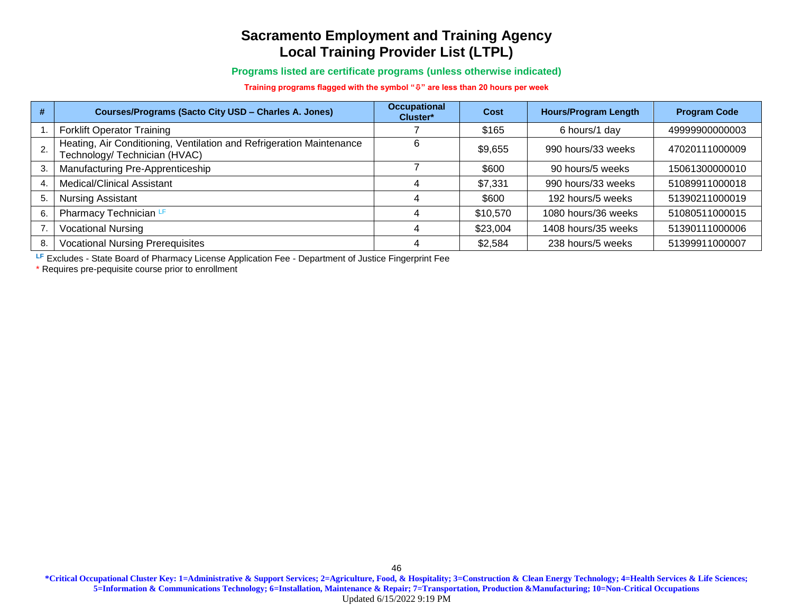#### **Programs listed are certificate programs (unless otherwise indicated)**

#### **Training programs flagged with the symbol "" are less than 20 hours per week**

| #  | <b>Courses/Programs (Sacto City USD - Charles A. Jones)</b>                                           | <b>Occupational</b><br>Cluster* | Cost     | <b>Hours/Program Length</b> | <b>Program Code</b> |
|----|-------------------------------------------------------------------------------------------------------|---------------------------------|----------|-----------------------------|---------------------|
|    | <b>Forklift Operator Training</b>                                                                     |                                 | \$165    | 6 hours/1 day               | 49999900000003      |
|    | Heating, Air Conditioning, Ventilation and Refrigeration Maintenance<br>Technology/ Technician (HVAC) |                                 | \$9,655  | 990 hours/33 weeks          | 47020111000009      |
| 3. | Manufacturing Pre-Apprenticeship                                                                      |                                 | \$600    | 90 hours/5 weeks            | 15061300000010      |
| 4. | Medical/Clinical Assistant                                                                            |                                 | \$7,331  | 990 hours/33 weeks          | 51089911000018      |
| 5. | <b>Nursing Assistant</b>                                                                              |                                 | \$600    | 192 hours/5 weeks           | 51390211000019      |
| 6. | Pharmacy Technician LF                                                                                |                                 | \$10,570 | 1080 hours/36 weeks         | 51080511000015      |
|    | <b>Vocational Nursing</b>                                                                             |                                 | \$23,004 | 1408 hours/35 weeks         | 51390111000006      |
| 8. | <b>Vocational Nursing Prerequisites</b>                                                               |                                 | \$2,584  | 238 hours/5 weeks           | 51399911000007      |

**LF** Excludes - State Board of Pharmacy License Application Fee - Department of Justice Fingerprint Fee

\* Requires pre-pequisite course prior to enrollment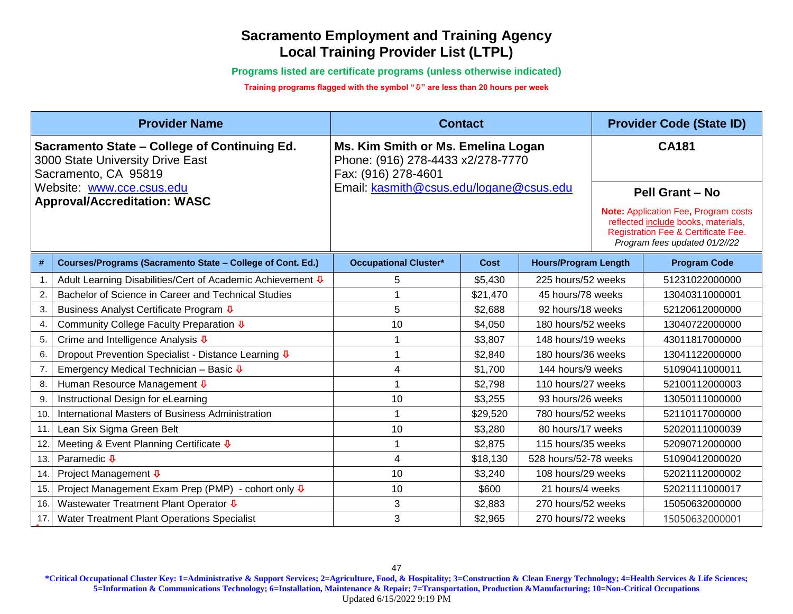**Programs listed are certificate programs (unless otherwise indicated)**

**Training programs flagged with the symbol "" are less than 20 hours per week**

|                 | <b>Provider Name</b>                                                                                                                                                         |                                                                                                                                           | <b>Contact</b> |                             |  | <b>Provider Code (State ID)</b>                                                                                                                                                               |  |
|-----------------|------------------------------------------------------------------------------------------------------------------------------------------------------------------------------|-------------------------------------------------------------------------------------------------------------------------------------------|----------------|-----------------------------|--|-----------------------------------------------------------------------------------------------------------------------------------------------------------------------------------------------|--|
|                 | Sacramento State - College of Continuing Ed.<br>3000 State University Drive East<br>Sacramento, CA 95819<br>Website: www.cce.csus.edu<br><b>Approval/Accreditation: WASC</b> | Ms. Kim Smith or Ms. Emelina Logan<br>Phone: (916) 278-4433 x2/278-7770<br>Fax: (916) 278-4601<br>Email: kasmith@csus.edu/logane@csus.edu |                |                             |  | <b>CA181</b><br><b>Pell Grant - No</b><br>Note: Application Fee, Program costs<br>reflected include books, materials,<br>Registration Fee & Certificate Fee.<br>Program fees updated 01/2//22 |  |
| #               | Courses/Programs (Sacramento State - College of Cont. Ed.)                                                                                                                   | <b>Occupational Cluster*</b>                                                                                                              | <b>Cost</b>    | <b>Hours/Program Length</b> |  | <b>Program Code</b>                                                                                                                                                                           |  |
| 1.              | Adult Learning Disabilities/Cert of Academic Achievement V                                                                                                                   | 5                                                                                                                                         | \$5,430        | 225 hours/52 weeks          |  | 51231022000000                                                                                                                                                                                |  |
| 2.              | Bachelor of Science in Career and Technical Studies                                                                                                                          |                                                                                                                                           | \$21,470       | 45 hours/78 weeks           |  | 13040311000001                                                                                                                                                                                |  |
| 3.              | Business Analyst Certificate Program ↓                                                                                                                                       | 5                                                                                                                                         | \$2,688        | 92 hours/18 weeks           |  | 52120612000000                                                                                                                                                                                |  |
| 4.              | Community College Faculty Preparation $\overline{\Psi}$                                                                                                                      | 10                                                                                                                                        | \$4,050        | 180 hours/52 weeks          |  | 13040722000000                                                                                                                                                                                |  |
| 5.              | Crime and Intelligence Analysis $\overline{\Phi}$                                                                                                                            |                                                                                                                                           | \$3,807        | 148 hours/19 weeks          |  | 43011817000000                                                                                                                                                                                |  |
| 6.              | Dropout Prevention Specialist - Distance Learning ↓                                                                                                                          |                                                                                                                                           | \$2,840        | 180 hours/36 weeks          |  | 13041122000000                                                                                                                                                                                |  |
| 7.              | Emergency Medical Technician - Basic $\overline{\Psi}$                                                                                                                       | 4                                                                                                                                         | \$1,700        | 144 hours/9 weeks           |  | 51090411000011                                                                                                                                                                                |  |
| 8.              | Human Resource Management ↓                                                                                                                                                  |                                                                                                                                           | \$2,798        | 110 hours/27 weeks          |  | 52100112000003                                                                                                                                                                                |  |
| 9.              | Instructional Design for eLearning                                                                                                                                           | 10                                                                                                                                        | \$3,255        | 93 hours/26 weeks           |  | 13050111000000                                                                                                                                                                                |  |
| 10 <sub>1</sub> | International Masters of Business Administration                                                                                                                             |                                                                                                                                           | \$29,520       | 780 hours/52 weeks          |  | 52110117000000                                                                                                                                                                                |  |
| 11              | Lean Six Sigma Green Belt                                                                                                                                                    | 10                                                                                                                                        | \$3,280        | 80 hours/17 weeks           |  | 52020111000039                                                                                                                                                                                |  |
| 12.             | Meeting & Event Planning Certificate $\Phi$                                                                                                                                  |                                                                                                                                           | \$2,875        | 115 hours/35 weeks          |  | 52090712000000                                                                                                                                                                                |  |
| 13.             | Paramedic $\overline{\Psi}$                                                                                                                                                  | 4                                                                                                                                         | \$18,130       | 528 hours/52-78 weeks       |  | 51090412000020                                                                                                                                                                                |  |
| 14              | Project Management <b>↓</b>                                                                                                                                                  | 10                                                                                                                                        | \$3,240        | 108 hours/29 weeks          |  | 52021112000002                                                                                                                                                                                |  |
| 15              | Project Management Exam Prep (PMP) - cohort only $\sqrt{\Phi}$                                                                                                               | 10                                                                                                                                        | \$600          | 21 hours/4 weeks            |  | 52021111000017                                                                                                                                                                                |  |
| 16              | Wastewater Treatment Plant Operator $\overline{\Psi}$                                                                                                                        | 3                                                                                                                                         | \$2,883        | 270 hours/52 weeks          |  | 15050632000000                                                                                                                                                                                |  |
| 17.             | Water Treatment Plant Operations Specialist                                                                                                                                  | 3                                                                                                                                         | \$2,965        | 270 hours/72 weeks          |  | 15050632000001                                                                                                                                                                                |  |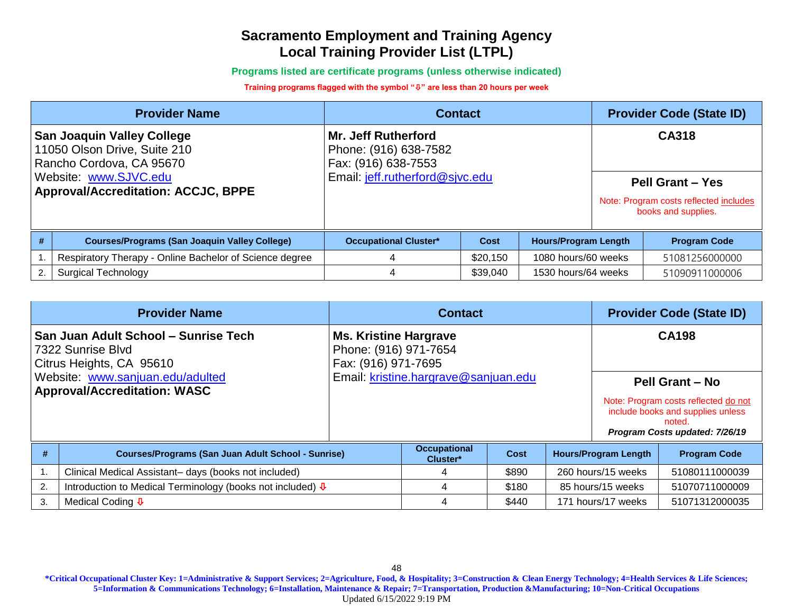**Programs listed are certificate programs (unless otherwise indicated)**

#### **Training programs flagged with the symbol "" are less than 20 hours per week**

|                                                                                                                                                                      | <b>Provider Name</b>                                    | <b>Contact</b>                                                                                                | <b>Provider Code (State ID)</b> |                             |  |                                                                                                   |
|----------------------------------------------------------------------------------------------------------------------------------------------------------------------|---------------------------------------------------------|---------------------------------------------------------------------------------------------------------------|---------------------------------|-----------------------------|--|---------------------------------------------------------------------------------------------------|
| <b>San Joaquin Valley College</b><br>11050 Olson Drive, Suite 210<br>Rancho Cordova, CA 95670<br>Website: www.SJVC.edu<br><b>Approval/Accreditation: ACCJC, BPPE</b> |                                                         | <b>Mr. Jeff Rutherford</b><br>Phone: (916) 638-7582<br>Fax: (916) 638-7553<br>Email: jeff.rutherford@sjvc.edu |                                 |                             |  | CA318<br><b>Pell Grant - Yes</b><br>Note: Program costs reflected includes<br>books and supplies. |
|                                                                                                                                                                      |                                                         |                                                                                                               |                                 |                             |  |                                                                                                   |
| #                                                                                                                                                                    | <b>Courses/Programs (San Joaquin Valley College)</b>    | <b>Occupational Cluster*</b>                                                                                  | Cost                            | <b>Hours/Program Length</b> |  | <b>Program Code</b>                                                                               |
|                                                                                                                                                                      | Respiratory Therapy - Online Bachelor of Science degree |                                                                                                               | \$20,150                        | 1080 hours/60 weeks         |  | 51081256000000                                                                                    |
| 2.                                                                                                                                                                   | <b>Surgical Technology</b>                              | 4                                                                                                             | \$39,040                        | 1530 hours/64 weeks         |  | 51090911000006                                                                                    |

|    | <b>Provider Name</b>                                                                  | <b>Contact</b>                                                               |                                 |             |  | <b>Provider Code (State ID)</b> |                                                                                                                       |
|----|---------------------------------------------------------------------------------------|------------------------------------------------------------------------------|---------------------------------|-------------|--|---------------------------------|-----------------------------------------------------------------------------------------------------------------------|
|    | San Juan Adult School – Sunrise Tech<br>7322 Sunrise Blvd<br>Citrus Heights, CA 95610 | <b>Ms. Kristine Hargrave</b><br>Phone: (916) 971-7654<br>Fax: (916) 971-7695 |                                 |             |  |                                 | <b>CA198</b>                                                                                                          |
|    | Website: www.sanjuan.edu/adulted<br><b>Approval/Accreditation: WASC</b>               | Email: kristine.hargrave@sanjuan.edu                                         |                                 |             |  | <b>Pell Grant - No</b>          |                                                                                                                       |
|    |                                                                                       |                                                                              |                                 |             |  |                                 | Note: Program costs reflected do not<br>include books and supplies unless<br>noted.<br>Program Costs updated: 7/26/19 |
| #  | <b>Courses/Programs (San Juan Adult School - Sunrise)</b>                             |                                                                              | <b>Occupational</b><br>Cluster* | <b>Cost</b> |  | <b>Hours/Program Length</b>     | <b>Program Code</b>                                                                                                   |
|    | Clinical Medical Assistant- days (books not included)                                 |                                                                              | 4                               | \$890       |  | 260 hours/15 weeks              | 51080111000039                                                                                                        |
| 2. | Introduction to Medical Terminology (books not included) ↓                            |                                                                              | 4                               | \$180       |  | 85 hours/15 weeks               | 51070711000009                                                                                                        |
| 3. | Medical Coding $\overline{\Psi}$                                                      |                                                                              | 4                               | \$440       |  | 171 hours/17 weeks              | 51071312000035                                                                                                        |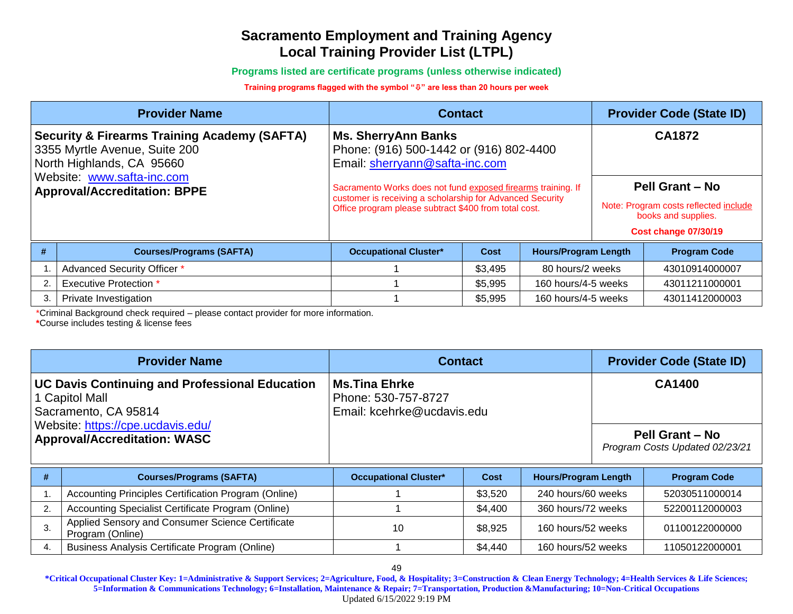**Programs listed are certificate programs (unless otherwise indicated)**

#### **Training programs flagged with the symbol "" are less than 20 hours per week**

|                                                                                                                       | <b>Provider Name</b>            | <b>Contact</b>                                                                                                                                                                     |         | <b>Provider Code (State ID)</b> |        |                                                                                                                       |
|-----------------------------------------------------------------------------------------------------------------------|---------------------------------|------------------------------------------------------------------------------------------------------------------------------------------------------------------------------------|---------|---------------------------------|--------|-----------------------------------------------------------------------------------------------------------------------|
| <b>Security &amp; Firearms Training Academy (SAFTA)</b><br>3355 Myrtle Avenue, Suite 200<br>North Highlands, CA 95660 |                                 | <b>Ms. SherryAnn Banks</b><br>Phone: (916) 500-1442 or (916) 802-4400<br>Email: sherryann@safta-inc.com                                                                            |         |                                 | CA1872 |                                                                                                                       |
| Website: www.safta-inc.com<br><b>Approval/Accreditation: BPPE</b>                                                     |                                 | Sacramento Works does not fund exposed firearms training. If<br>customer is receiving a scholarship for Advanced Security<br>Office program please subtract \$400 from total cost. |         |                                 |        | <b>Pell Grant - No</b><br>Note: Program costs reflected include<br>books and supplies.<br><b>Cost change 07/30/19</b> |
|                                                                                                                       | <b>Courses/Programs (SAFTA)</b> | <b>Occupational Cluster*</b>                                                                                                                                                       | Cost    | <b>Hours/Program Length</b>     |        | <b>Program Code</b>                                                                                                   |
|                                                                                                                       | Advanced Security Officer *     |                                                                                                                                                                                    | \$3,495 | 80 hours/2 weeks                |        | 43010914000007                                                                                                        |
| 2.                                                                                                                    | <b>Executive Protection *</b>   |                                                                                                                                                                                    | \$5,995 | 160 hours/4-5 weeks             |        | 43011211000001                                                                                                        |
| 3.                                                                                                                    | Private Investigation           |                                                                                                                                                                                    | \$5,995 | 160 hours/4-5 weeks             |        | 43011412000003                                                                                                        |

\*Criminal Background check required – please contact provider for more information.

**\***Course includes testing & license fees

| <b>Provider Name</b>                                                                            | <b>Contact</b>                                                      | <b>Provider Code (State ID)</b>                          |
|-------------------------------------------------------------------------------------------------|---------------------------------------------------------------------|----------------------------------------------------------|
| <b>UC Davis Continuing and Professional Education</b><br>1 Capitol Mall<br>Sacramento, CA 95814 | ∣Ms.Tina Ehrke<br>Phone: 530-757-8727<br>Email: kcehrke@ucdavis.edu | <b>CA1400</b>                                            |
| Website: https://cpe.ucdavis.edu/<br><b>Approval/Accreditation: WASC</b>                        |                                                                     | <b>Pell Grant - No</b><br>Program Costs Updated 02/23/21 |

| <b>Courses/Programs (SAFTA)</b>                                      | <b>Occupational Cluster*</b> | Cost    | <b>Hours/Program Length</b> | <b>Program Code</b> |
|----------------------------------------------------------------------|------------------------------|---------|-----------------------------|---------------------|
| Accounting Principles Certification Program (Online)                 |                              | \$3,520 | 240 hours/60 weeks          | 52030511000014      |
| Accounting Specialist Certificate Program (Online)                   |                              | \$4,400 | 360 hours/72 weeks          | 52200112000003      |
| Applied Sensory and Consumer Science Certificate<br>Program (Online) | 10                           | \$8,925 | 160 hours/52 weeks          | 01100122000000      |
| Business Analysis Certificate Program (Online)                       |                              | \$4,440 | 160 hours/52 weeks          | 11050122000001      |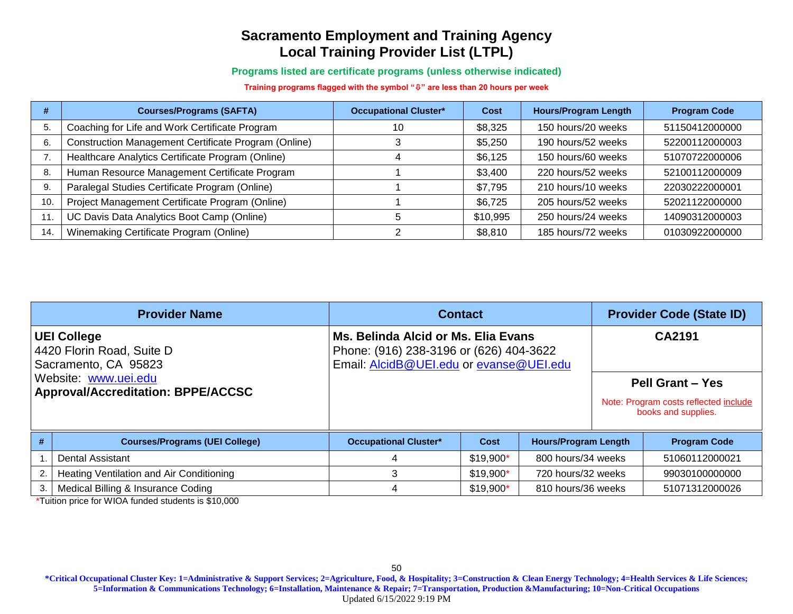**Programs listed are certificate programs (unless otherwise indicated)**

**Training programs flagged with the symbol "" are less than 20 hours per week**

| #   | <b>Courses/Programs (SAFTA)</b>                      | <b>Occupational Cluster*</b> | Cost     | <b>Hours/Program Length</b> | <b>Program Code</b> |
|-----|------------------------------------------------------|------------------------------|----------|-----------------------------|---------------------|
| 5.  | Coaching for Life and Work Certificate Program       | 10                           | \$8,325  | 150 hours/20 weeks          | 51150412000000      |
| 6.  | Construction Management Certificate Program (Online) |                              | \$5,250  | 190 hours/52 weeks          | 52200112000003      |
|     | Healthcare Analytics Certificate Program (Online)    |                              | \$6,125  | 150 hours/60 weeks          | 51070722000006      |
| 8.  | Human Resource Management Certificate Program        |                              | \$3,400  | 220 hours/52 weeks          | 52100112000009      |
| 9.  | Paralegal Studies Certificate Program (Online)       |                              | \$7,795  | 210 hours/10 weeks          | 22030222000001      |
| 10. | Project Management Certificate Program (Online)      |                              | \$6,725  | 205 hours/52 weeks          | 52021122000000      |
| 11. | UC Davis Data Analytics Boot Camp (Online)           |                              | \$10,995 | 250 hours/24 weeks          | 14090312000003      |
| 14. | Winemaking Certificate Program (Online)              |                              | \$8,810  | 185 hours/72 weeks          | 01030922000000      |

| <b>Provider Name</b>                                                    |                                                                   | <b>Contact</b>                                                                                                            | <b>Provider Code (State ID)</b> |                             |        |                                                                                         |
|-------------------------------------------------------------------------|-------------------------------------------------------------------|---------------------------------------------------------------------------------------------------------------------------|---------------------------------|-----------------------------|--------|-----------------------------------------------------------------------------------------|
| <b>UEI College</b><br>4420 Florin Road, Suite D<br>Sacramento, CA 95823 |                                                                   | Ms. Belinda Alcid or Ms. Elia Evans<br>Phone: (916) 238-3196 or (626) 404-3622<br>Email: AlcidB@UEI.edu or evanse@UEI.edu |                                 |                             | CA2191 |                                                                                         |
|                                                                         | Website: www.uei.edu<br><b>Approval/Accreditation: BPPE/ACCSC</b> |                                                                                                                           |                                 |                             |        | <b>Pell Grant - Yes</b><br>Note: Program costs reflected include<br>books and supplies. |
| #                                                                       | <b>Courses/Programs (UEI College)</b>                             | <b>Occupational Cluster*</b>                                                                                              | Cost                            | <b>Hours/Program Length</b> |        | <b>Program Code</b>                                                                     |
|                                                                         | <b>Dental Assistant</b>                                           |                                                                                                                           | $$19,900*$                      | 800 hours/34 weeks          |        | 51060112000021                                                                          |
|                                                                         | Heating Ventilation and Air Conditioning                          |                                                                                                                           | $$19,900*$                      | 720 hours/32 weeks          |        | 99030100000000                                                                          |
| 3.                                                                      | Medical Billing & Insurance Coding                                |                                                                                                                           | $$19,900*$                      | 810 hours/36 weeks          |        | 51071312000026                                                                          |

\*Tuition price for WIOA funded students is \$10,000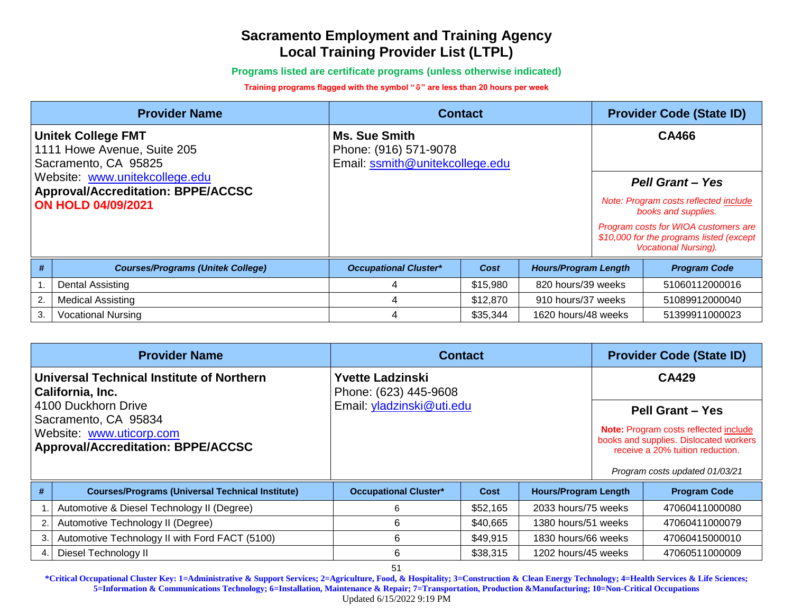**Programs listed are certificate programs (unless otherwise indicated)**

#### **Training programs flagged with the symbol "" are less than 20 hours per week**

| <b>Provider Name</b>                                                             |                                          | <b>Contact</b>                                                            | <b>Provider Code (State ID)</b> |                             |                                                              |                                                                                                                 |  |
|----------------------------------------------------------------------------------|------------------------------------------|---------------------------------------------------------------------------|---------------------------------|-----------------------------|--------------------------------------------------------------|-----------------------------------------------------------------------------------------------------------------|--|
| <b>Unitek College FMT</b><br>1111 Howe Avenue, Suite 205<br>Sacramento, CA 95825 |                                          | Ms. Sue Smith<br>Phone: (916) 571-9078<br>Email: ssmith@unitekcollege.edu |                                 |                             | <b>CA466</b>                                                 |                                                                                                                 |  |
| Website: www.unitekcollege.edu<br><b>Approval/Accreditation: BPPE/ACCSC</b>      |                                          |                                                                           |                                 |                             |                                                              | <b>Pell Grant - Yes</b>                                                                                         |  |
| <b>ON HOLD 04/09/2021</b>                                                        |                                          |                                                                           |                                 |                             | Note: Program costs reflected include<br>books and supplies. |                                                                                                                 |  |
|                                                                                  |                                          |                                                                           |                                 |                             |                                                              | Program costs for WIOA customers are<br>\$10,000 for the programs listed (except<br><b>Vocational Nursing).</b> |  |
| #                                                                                | <b>Courses/Programs (Unitek College)</b> | <b>Occupational Cluster*</b>                                              | Cost                            | <b>Hours/Program Length</b> |                                                              | <b>Program Code</b>                                                                                             |  |
|                                                                                  | Dental Assisting                         | 4                                                                         | \$15,980                        | 820 hours/39 weeks          |                                                              | 51060112000016                                                                                                  |  |
| 2.                                                                               | <b>Medical Assisting</b>                 | 4                                                                         | \$12,870                        | 910 hours/37 weeks          |                                                              | 51089912000040                                                                                                  |  |
| 3.                                                                               | <b>Vocational Nursing</b>                | 4                                                                         | \$35,344                        | 1620 hours/48 weeks         |                                                              | 51399911000023                                                                                                  |  |

|                                                                                                                      | <b>Provider Name</b>                                            | <b>Contact</b>                                   | <b>Provider Code (State ID)</b> |                             |                                                                                                                                                                                         |                     |
|----------------------------------------------------------------------------------------------------------------------|-----------------------------------------------------------------|--------------------------------------------------|---------------------------------|-----------------------------|-----------------------------------------------------------------------------------------------------------------------------------------------------------------------------------------|---------------------|
|                                                                                                                      | Universal Technical Institute of Northern<br>  California, Inc. | <b>Yvette Ladzinski</b><br>Phone: (623) 445-9608 |                                 |                             |                                                                                                                                                                                         | <b>CA429</b>        |
| 4100 Duckhorn Drive<br>Sacramento, CA 95834<br>Website: www.uticorp.com<br><b>Approval/Accreditation: BPPE/ACCSC</b> |                                                                 | Email: yladzinski@uti.edu                        |                                 |                             | <b>Pell Grant - Yes</b><br><b>Note:</b> Program costs reflected include<br>books and supplies. Dislocated workers<br>receive a 20% tuition reduction.<br>Program costs updated 01/03/21 |                     |
| #                                                                                                                    | <b>Courses/Programs (Universal Technical Institute)</b>         | <b>Occupational Cluster*</b>                     | Cost                            | <b>Hours/Program Length</b> |                                                                                                                                                                                         | <b>Program Code</b> |
|                                                                                                                      | Automotive & Diesel Technology II (Degree)                      | 6                                                | \$52,165                        | 2033 hours/75 weeks         |                                                                                                                                                                                         | 47060411000080      |
| 2.                                                                                                                   | Automotive Technology II (Degree)                               | 6                                                | \$40,665                        | 1380 hours/51 weeks         |                                                                                                                                                                                         | 47060411000079      |
| 3                                                                                                                    | Automotive Technology II with Ford FACT (5100)                  | 6                                                | \$49,915                        | 1830 hours/66 weeks         |                                                                                                                                                                                         | 47060415000010      |
| 4.                                                                                                                   | Diesel Technology II                                            | 6                                                | \$38,315                        | 1202 hours/45 weeks         |                                                                                                                                                                                         | 47060511000009      |
|                                                                                                                      |                                                                 | 51                                               |                                 |                             |                                                                                                                                                                                         |                     |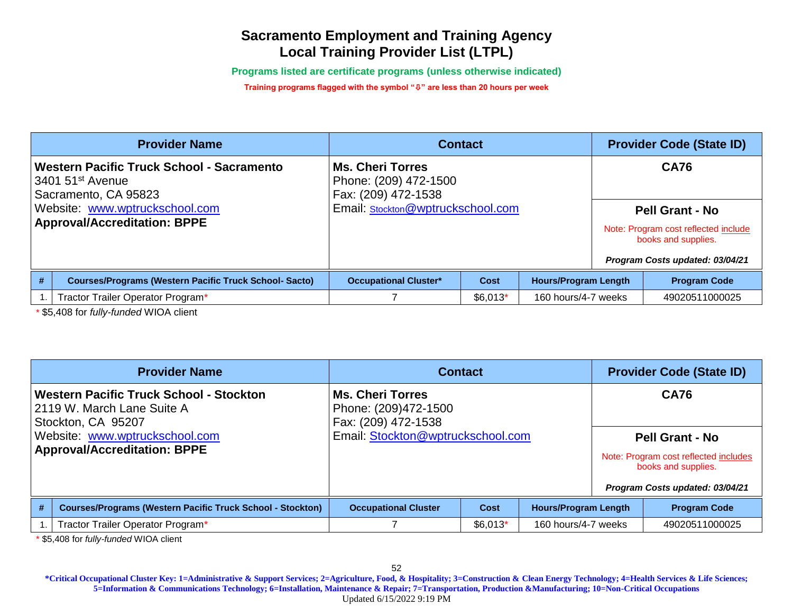**Programs listed are certificate programs (unless otherwise indicated)**

**Training programs flagged with the symbol "" are less than 20 hours per week**

| <b>Provider Name</b>                                                                  |                                                               | <b>Contact</b>                                                          | <b>Provider Code (State ID)</b> |                             |             |                                                                                                                          |
|---------------------------------------------------------------------------------------|---------------------------------------------------------------|-------------------------------------------------------------------------|---------------------------------|-----------------------------|-------------|--------------------------------------------------------------------------------------------------------------------------|
| Western Pacific Truck School - Sacramento<br>3401 51st Avenue<br>Sacramento, CA 95823 |                                                               | <b>Ms. Cheri Torres</b><br>Phone: (209) 472-1500<br>Fax: (209) 472-1538 |                                 |                             | <b>CA76</b> |                                                                                                                          |
| Website: www.wptruckschool.com<br><b>Approval/Accreditation: BPPE</b>                 |                                                               | Email: Stockton@wptruckschool.com                                       |                                 |                             |             | <b>Pell Grant - No</b><br>Note: Program cost reflected include<br>books and supplies.<br>Program Costs updated: 03/04/21 |
| #                                                                                     | <b>Courses/Programs (Western Pacific Truck School- Sacto)</b> | <b>Occupational Cluster*</b>                                            | Cost                            | <b>Hours/Program Length</b> |             | <b>Program Code</b>                                                                                                      |
|                                                                                       | Tractor Trailer Operator Program*                             |                                                                         | $$6,013*$                       | 160 hours/4-7 weeks         |             | 49020511000025                                                                                                           |

\* \$5,408 for *fully-funded* WIOA client

|                                                                                                                                                                             | <b>Provider Name</b>                                              | <b>Contact</b>                                                                                              |           |                             |                                                                                                                                          | <b>Provider Code (State ID)</b> |  |  |
|-----------------------------------------------------------------------------------------------------------------------------------------------------------------------------|-------------------------------------------------------------------|-------------------------------------------------------------------------------------------------------------|-----------|-----------------------------|------------------------------------------------------------------------------------------------------------------------------------------|---------------------------------|--|--|
| <b>Western Pacific Truck School - Stockton</b><br>2119 W. March Lane Suite A<br>Stockton, CA 95207<br>Website: www.wptruckschool.com<br><b>Approval/Accreditation: BPPE</b> |                                                                   | <b>Ms. Cheri Torres</b><br>Phone: (209)472-1500<br>Fax: (209) 472-1538<br>Email: Stockton@wptruckschool.com |           |                             | <b>CA76</b><br><b>Pell Grant - No</b><br>Note: Program cost reflected includes<br>books and supplies.<br>Program Costs updated: 03/04/21 |                                 |  |  |
| #                                                                                                                                                                           | <b>Courses/Programs (Western Pacific Truck School - Stockton)</b> | <b>Occupational Cluster</b>                                                                                 | Cost      | <b>Hours/Program Length</b> |                                                                                                                                          | <b>Program Code</b>             |  |  |
|                                                                                                                                                                             | Tractor Trailer Operator Program*                                 |                                                                                                             | $$6,013*$ | 160 hours/4-7 weeks         |                                                                                                                                          | 49020511000025                  |  |  |

\* \$5,408 for *fully-funded* WIOA client

52